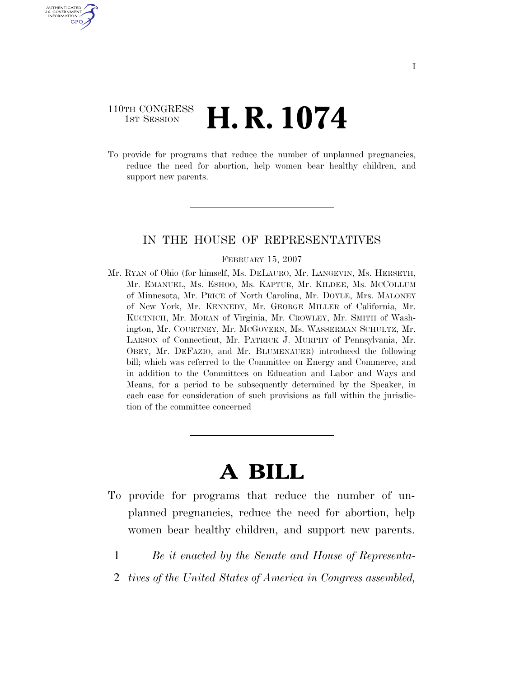# 110TH CONGRESS  $\frac{1}{15T}$  Session **H. R. 1074**

U.S. GOVERNMENT GPO

> To provide for programs that reduce the number of unplanned pregnancies, reduce the need for abortion, help women bear healthy children, and support new parents.

### IN THE HOUSE OF REPRESENTATIVES

#### FEBRUARY 15, 2007

Mr. RYAN of Ohio (for himself, Ms. DELAURO, Mr. LANGEVIN, Ms. HERSETH, Mr. EMANUEL, Ms. ESHOO, Ms. KAPTUR, Mr. KILDEE, Ms. MCCOLLUM of Minnesota, Mr. PRICE of North Carolina, Mr. DOYLE, Mrs. MALONEY of New York, Mr. KENNEDY, Mr. GEORGE MILLER of California, Mr. KUCINICH, Mr. MORAN of Virginia, Mr. CROWLEY, Mr. SMITH of Washington, Mr. COURTNEY, Mr. MCGOVERN, Ms. WASSERMAN SCHULTZ, Mr. LARSON of Connecticut, Mr. PATRICK J. MURPHY of Pennsylvania, Mr. OBEY, Mr. DEFAZIO, and Mr. BLUMENAUER) introduced the following bill; which was referred to the Committee on Energy and Commerce, and in addition to the Committees on Education and Labor and Ways and Means, for a period to be subsequently determined by the Speaker, in each case for consideration of such provisions as fall within the jurisdiction of the committee concerned

# **A BILL**

- To provide for programs that reduce the number of unplanned pregnancies, reduce the need for abortion, help women bear healthy children, and support new parents.
	- 1 *Be it enacted by the Senate and House of Representa-*
	- 2 *tives of the United States of America in Congress assembled,*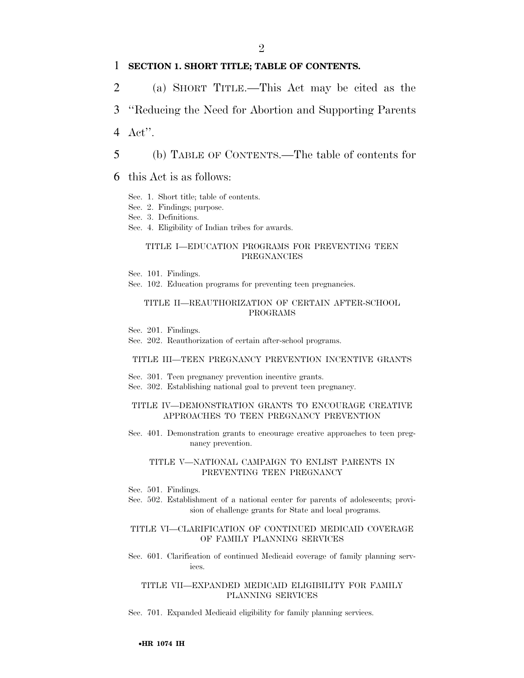#### 1 **SECTION 1. SHORT TITLE; TABLE OF CONTENTS.**

2 (a) SHORT TITLE.—This Act may be cited as the

3 ''Reducing the Need for Abortion and Supporting Parents

4 Act''.

5 (b) TABLE OF CONTENTS.—The table of contents for

- 6 this Act is as follows:
	- Sec. 1. Short title; table of contents.
	- Sec. 2. Findings; purpose.
	- Sec. 3. Definitions.
	- Sec. 4. Eligibility of Indian tribes for awards.

#### TITLE I—EDUCATION PROGRAMS FOR PREVENTING TEEN **PREGNANCIES**

Sec. 101. Findings.

Sec. 102. Education programs for preventing teen pregnancies.

#### TITLE II—REAUTHORIZATION OF CERTAIN AFTER-SCHOOL PROGRAMS

Sec. 201. Findings.

Sec. 202. Reauthorization of certain after-school programs.

#### TITLE III—TEEN PREGNANCY PREVENTION INCENTIVE GRANTS

- Sec. 301. Teen pregnancy prevention incentive grants.
- Sec. 302. Establishing national goal to prevent teen pregnancy.

#### TITLE IV—DEMONSTRATION GRANTS TO ENCOURAGE CREATIVE APPROACHES TO TEEN PREGNANCY PREVENTION

Sec. 401. Demonstration grants to encourage creative approaches to teen pregnancy prevention.

#### TITLE V—NATIONAL CAMPAIGN TO ENLIST PARENTS IN PREVENTING TEEN PREGNANCY

- Sec. 501. Findings.
- Sec. 502. Establishment of a national center for parents of adolescents; provision of challenge grants for State and local programs.

#### TITLE VI—CLARIFICATION OF CONTINUED MEDICAID COVERAGE OF FAMILY PLANNING SERVICES

Sec. 601. Clarification of continued Medicaid coverage of family planning services.

#### TITLE VII—EXPANDED MEDICAID ELIGIBILITY FOR FAMILY PLANNING SERVICES

Sec. 701. Expanded Medicaid eligibility for family planning services.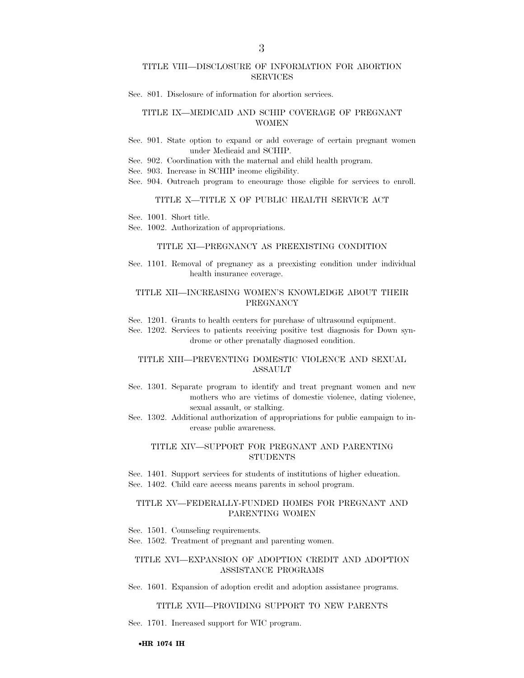#### TITLE VIII—DISCLOSURE OF INFORMATION FOR ABORTION SERVICES

Sec. 801. Disclosure of information for abortion services.

#### TITLE IX—MEDICAID AND SCHIP COVERAGE OF PREGNANT WOMEN

Sec. 901. State option to expand or add coverage of certain pregnant women under Medicaid and SCHIP.

Sec. 902. Coordination with the maternal and child health program.

Sec. 903. Increase in SCHIP income eligibility.

Sec. 904. Outreach program to encourage those eligible for services to enroll.

#### TITLE X—TITLE X OF PUBLIC HEALTH SERVICE ACT

Sec. 1001. Short title.

Sec. 1002. Authorization of appropriations.

#### TITLE XI—PREGNANCY AS PREEXISTING CONDITION

Sec. 1101. Removal of pregnancy as a preexisting condition under individual health insurance coverage.

#### TITLE XII—INCREASING WOMEN'S KNOWLEDGE ABOUT THEIR PREGNANCY

Sec. 1201. Grants to health centers for purchase of ultrasound equipment.

Sec. 1202. Services to patients receiving positive test diagnosis for Down syndrome or other prenatally diagnosed condition.

#### TITLE XIII—PREVENTING DOMESTIC VIOLENCE AND SEXUAL ASSAULT

Sec. 1301. Separate program to identify and treat pregnant women and new mothers who are victims of domestic violence, dating violence, sexual assault, or stalking.

Sec. 1302. Additional authorization of appropriations for public campaign to increase public awareness.

#### TITLE XIV—SUPPORT FOR PREGNANT AND PARENTING **STUDENTS**

Sec. 1401. Support services for students of institutions of higher education. Sec. 1402. Child care access means parents in school program.

#### TITLE XV—FEDERALLY-FUNDED HOMES FOR PREGNANT AND PARENTING WOMEN

Sec. 1501. Counseling requirements.

Sec. 1502. Treatment of pregnant and parenting women.

#### TITLE XVI—EXPANSION OF ADOPTION CREDIT AND ADOPTION ASSISTANCE PROGRAMS

Sec. 1601. Expansion of adoption credit and adoption assistance programs.

#### TITLE XVII—PROVIDING SUPPORT TO NEW PARENTS

Sec. 1701. Increased support for WIC program.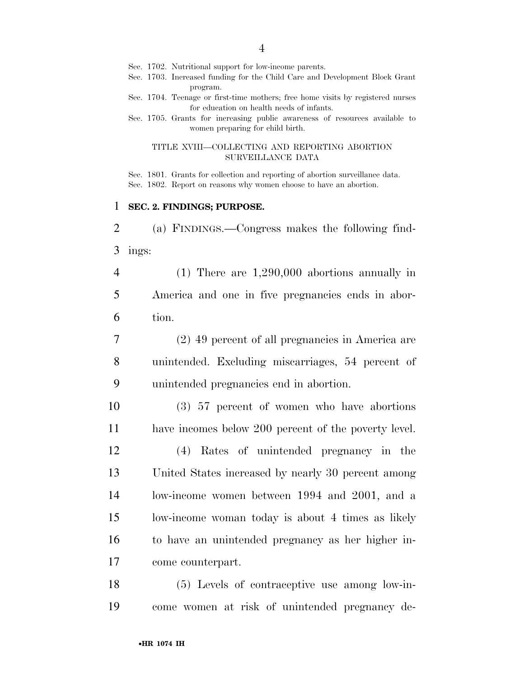- Sec. 1702. Nutritional support for low-income parents.
- Sec. 1703. Increased funding for the Child Care and Development Block Grant program.
- Sec. 1704. Teenage or first-time mothers; free home visits by registered nurses for education on health needs of infants.
- Sec. 1705. Grants for increasing public awareness of resources available to women preparing for child birth.

#### TITLE XVIII—COLLECTING AND REPORTING ABORTION SURVEILLANCE DATA

Sec. 1801. Grants for collection and reporting of abortion surveillance data. Sec. 1802. Report on reasons why women choose to have an abortion.

### **SEC. 2. FINDINGS; PURPOSE.**

 (a) FINDINGS.—Congress makes the following find-ings:

 (1) There are 1,290,000 abortions annually in America and one in five pregnancies ends in abor-tion.

 (2) 49 percent of all pregnancies in America are unintended. Excluding miscarriages, 54 percent of unintended pregnancies end in abortion.

 (3) 57 percent of women who have abortions have incomes below 200 percent of the poverty level.

 (4) Rates of unintended pregnancy in the United States increased by nearly 30 percent among low-income women between 1994 and 2001, and a low-income woman today is about 4 times as likely to have an unintended pregnancy as her higher in-come counterpart.

 (5) Levels of contraceptive use among low-in-come women at risk of unintended pregnancy de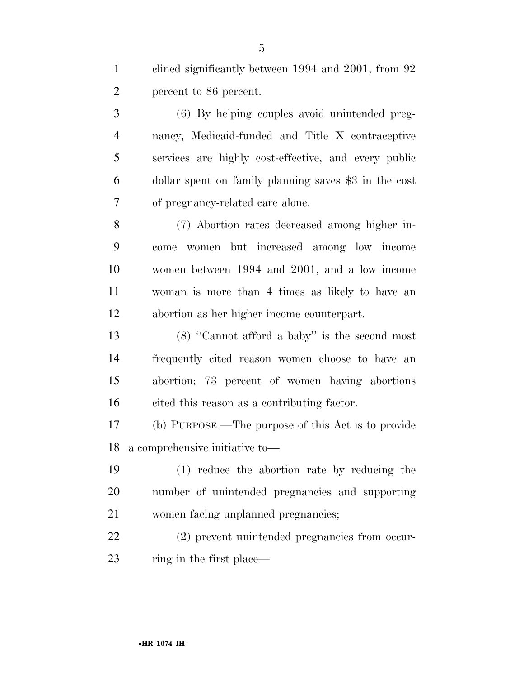clined significantly between 1994 and 2001, from 92 percent to 86 percent.

 (6) By helping couples avoid unintended preg- nancy, Medicaid-funded and Title X contraceptive services are highly cost-effective, and every public dollar spent on family planning saves \$3 in the cost of pregnancy-related care alone.

 (7) Abortion rates decreased among higher in- come women but increased among low income women between 1994 and 2001, and a low income woman is more than 4 times as likely to have an abortion as her higher income counterpart.

 (8) ''Cannot afford a baby'' is the second most frequently cited reason women choose to have an abortion; 73 percent of women having abortions cited this reason as a contributing factor.

 (b) PURPOSE.—The purpose of this Act is to provide a comprehensive initiative to—

 (1) reduce the abortion rate by reducing the number of unintended pregnancies and supporting women facing unplanned pregnancies;

 (2) prevent unintended pregnancies from occur-23 ring in the first place—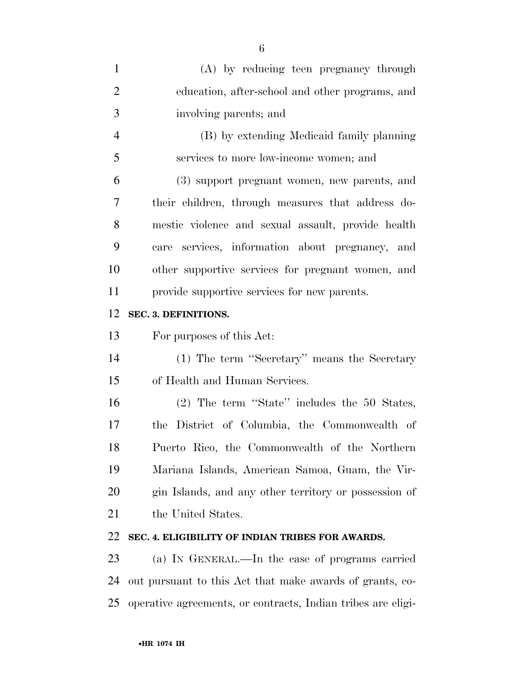| $\mathbf{1}$   | (A) by reducing teen pregnancy through                |
|----------------|-------------------------------------------------------|
| $\overline{2}$ | education, after-school and other programs, and       |
| 3              | involving parents; and                                |
| $\overline{4}$ | (B) by extending Medicaid family planning             |
| 5              | services to more low-income women; and                |
| 6              | (3) support pregnant women, new parents, and          |
| $\overline{7}$ | their children, through measures that address do-     |
| 8              | mestic violence and sexual assault, provide health    |
| 9              | care services, information about pregnancy, and       |
| 10             | other supportive services for pregnant women, and     |
| 11             | provide supportive services for new parents.          |
| 12             | SEC. 3. DEFINITIONS.                                  |
| 13             | For purposes of this Act:                             |
|                |                                                       |
| 14             | (1) The term "Secretary" means the Secretary          |
| 15             | of Health and Human Services.                         |
| 16             | $(2)$ The term "State" includes the 50 States,        |
| 17             | the District of Columbia, the Commonwealth of         |
| 18             | Puerto Rico, the Commonwealth of the Northern         |
| 19             | Mariana Islands, American Samoa, Guam, the Vir-       |
| 20             | gin Islands, and any other territory or possession of |
| 21             | the United States.                                    |
| 22             | SEC. 4. ELIGIBILITY OF INDIAN TRIBES FOR AWARDS.      |
| 23             | (a) IN GENERAL.—In the case of programs carried       |

operative agreements, or contracts, Indian tribes are eligi-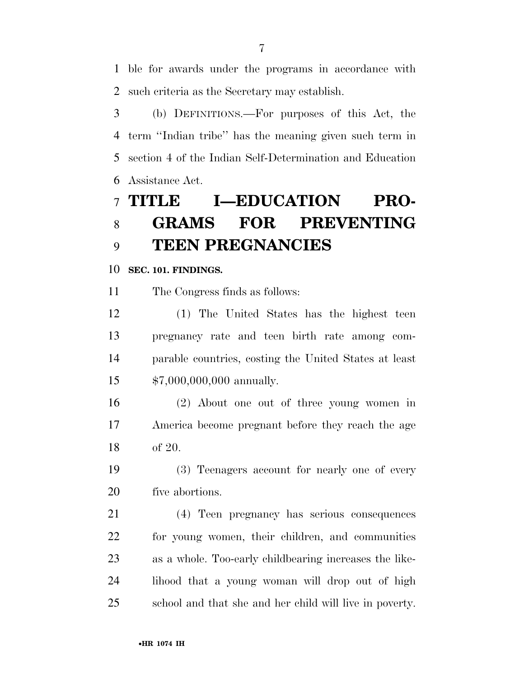ble for awards under the programs in accordance with such criteria as the Secretary may establish.

 (b) DEFINITIONS.—For purposes of this Act, the term ''Indian tribe'' has the meaning given such term in section 4 of the Indian Self-Determination and Education Assistance Act.

# **TITLE I—EDUCATION PRO- GRAMS FOR PREVENTING TEEN PREGNANCIES**

#### **SEC. 101. FINDINGS.**

The Congress finds as follows:

 (1) The United States has the highest teen pregnancy rate and teen birth rate among com- parable countries, costing the United States at least \$7,000,000,000 annually.

 (2) About one out of three young women in America become pregnant before they reach the age of 20.

 (3) Teenagers account for nearly one of every five abortions.

 (4) Teen pregnancy has serious consequences for young women, their children, and communities as a whole. Too-early childbearing increases the like- lihood that a young woman will drop out of high school and that she and her child will live in poverty.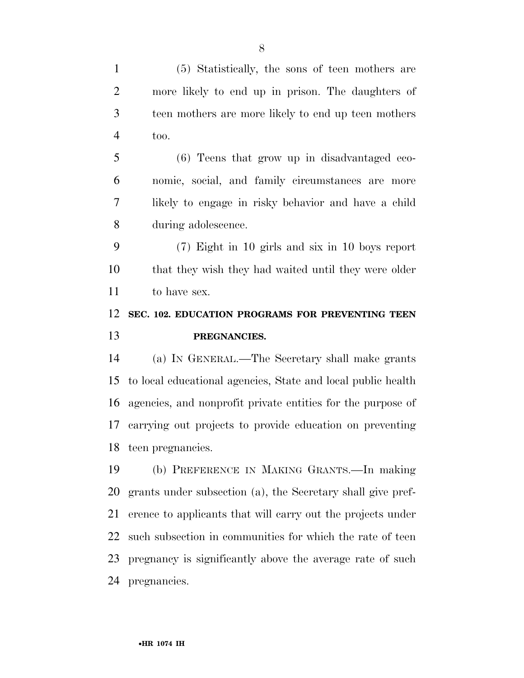(5) Statistically, the sons of teen mothers are more likely to end up in prison. The daughters of teen mothers are more likely to end up teen mothers too.

 (6) Teens that grow up in disadvantaged eco- nomic, social, and family circumstances are more likely to engage in risky behavior and have a child during adolescence.

 (7) Eight in 10 girls and six in 10 boys report that they wish they had waited until they were older to have sex.

# **SEC. 102. EDUCATION PROGRAMS FOR PREVENTING TEEN PREGNANCIES.**

 (a) IN GENERAL.—The Secretary shall make grants to local educational agencies, State and local public health agencies, and nonprofit private entities for the purpose of carrying out projects to provide education on preventing teen pregnancies.

 (b) PREFERENCE IN MAKING GRANTS.—In making grants under subsection (a), the Secretary shall give pref- erence to applicants that will carry out the projects under such subsection in communities for which the rate of teen pregnancy is significantly above the average rate of such pregnancies.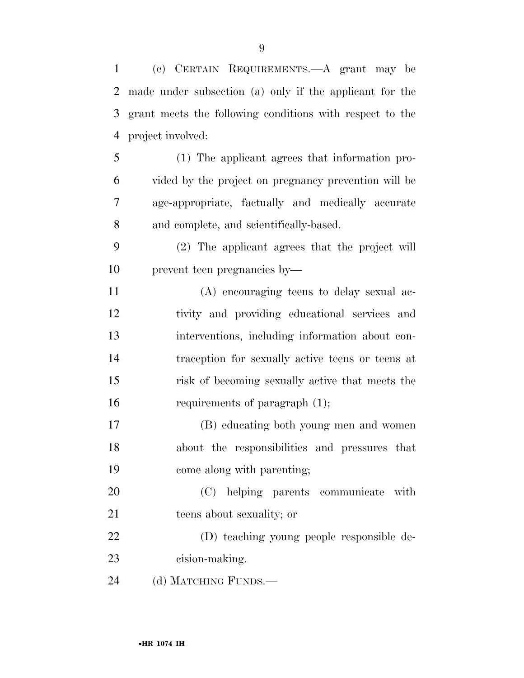(c) CERTAIN REQUIREMENTS.—A grant may be made under subsection (a) only if the applicant for the grant meets the following conditions with respect to the project involved: (1) The applicant agrees that information pro- vided by the project on pregnancy prevention will be age-appropriate, factually and medically accurate and complete, and scientifically-based. (2) The applicant agrees that the project will prevent teen pregnancies by— (A) encouraging teens to delay sexual ac- tivity and providing educational services and interventions, including information about con- traception for sexually active teens or teens at risk of becoming sexually active that meets the requirements of paragraph (1); (B) educating both young men and women about the responsibilities and pressures that come along with parenting; (C) helping parents communicate with teens about sexuality; or (D) teaching young people responsible de- cision-making. 24 (d) MATCHING FUNDS.—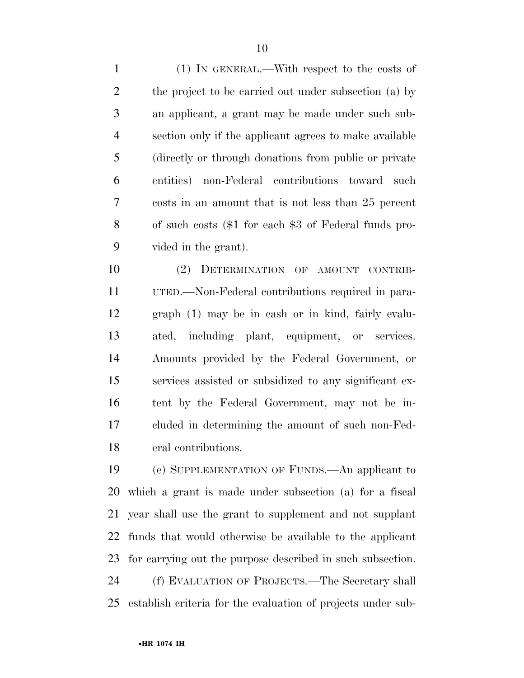(1) IN GENERAL.—With respect to the costs of 2 the project to be carried out under subsection (a) by an applicant, a grant may be made under such sub- section only if the applicant agrees to make available (directly or through donations from public or private entities) non-Federal contributions toward such costs in an amount that is not less than 25 percent of such costs (\$1 for each \$3 of Federal funds pro-vided in the grant).

 (2) DETERMINATION OF AMOUNT CONTRIB- UTED.—Non-Federal contributions required in para- graph (1) may be in cash or in kind, fairly evalu- ated, including plant, equipment, or services. Amounts provided by the Federal Government, or services assisted or subsidized to any significant ex- tent by the Federal Government, may not be in- cluded in determining the amount of such non-Fed-eral contributions.

 (e) SUPPLEMENTATION OF FUNDS.—An applicant to which a grant is made under subsection (a) for a fiscal year shall use the grant to supplement and not supplant funds that would otherwise be available to the applicant for carrying out the purpose described in such subsection. (f) EVALUATION OF PROJECTS.—The Secretary shall establish criteria for the evaluation of projects under sub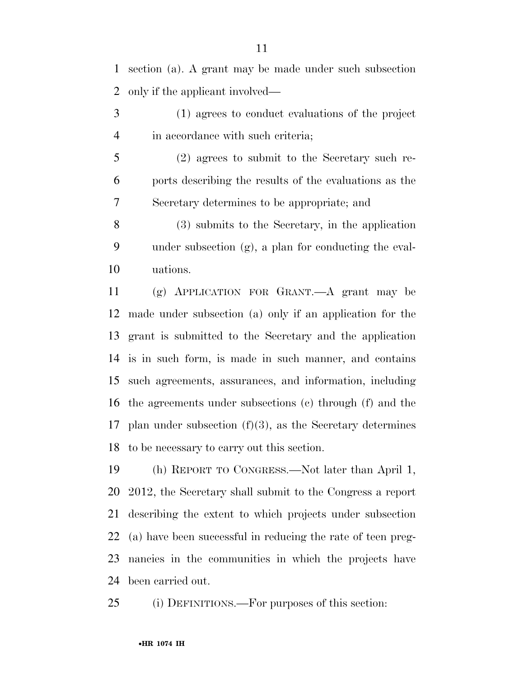section (a). A grant may be made under such subsection only if the applicant involved—

- (1) agrees to conduct evaluations of the project in accordance with such criteria;
- (2) agrees to submit to the Secretary such re- ports describing the results of the evaluations as the Secretary determines to be appropriate; and
- (3) submits to the Secretary, in the application under subsection (g), a plan for conducting the eval-uations.

 (g) APPLICATION FOR GRANT.—A grant may be made under subsection (a) only if an application for the grant is submitted to the Secretary and the application is in such form, is made in such manner, and contains such agreements, assurances, and information, including the agreements under subsections (c) through (f) and the plan under subsection (f)(3), as the Secretary determines to be necessary to carry out this section.

 (h) REPORT TO CONGRESS.—Not later than April 1, 2012, the Secretary shall submit to the Congress a report describing the extent to which projects under subsection (a) have been successful in reducing the rate of teen preg- nancies in the communities in which the projects have been carried out.

(i) DEFINITIONS.—For purposes of this section: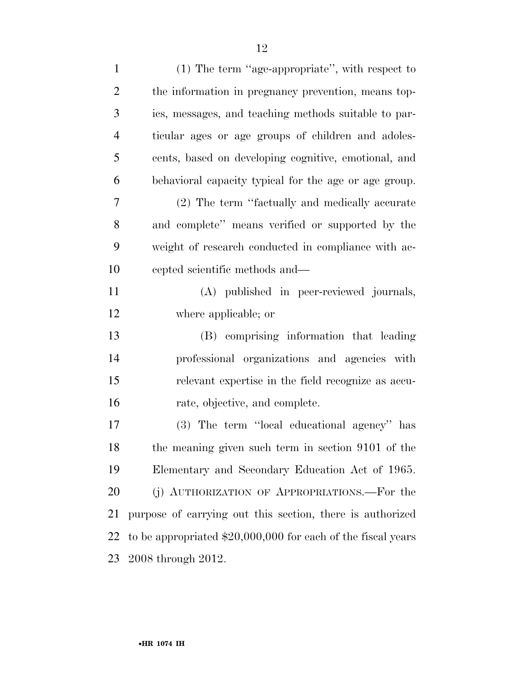| $\mathbf{1}$   | $(1)$ The term "age-appropriate", with respect to             |
|----------------|---------------------------------------------------------------|
| $\overline{2}$ | the information in pregnancy prevention, means top-           |
| 3              | ics, messages, and teaching methods suitable to par-          |
| $\overline{4}$ | ticular ages or age groups of children and adoles-            |
| 5              | cents, based on developing cognitive, emotional, and          |
| 6              | behavioral capacity typical for the age or age group.         |
| 7              | (2) The term "factually and medically accurate                |
| 8              | and complete" means verified or supported by the              |
| 9              | weight of research conducted in compliance with ac-           |
| 10             | cepted scientific methods and—                                |
| 11             | (A) published in peer-reviewed journals,                      |
| 12             | where applicable; or                                          |
| 13             | (B) comprising information that leading                       |
| 14             | professional organizations and agencies with                  |
| 15             | relevant expertise in the field recognize as accu-            |
| 16             | rate, objective, and complete.                                |
| 17             | (3) The term "local educational agency" has                   |
| 18             | the meaning given such term in section 9101 of the            |
| 19             | Elementary and Secondary Education Act of 1965.               |
| 20             | (j) AUTHORIZATION OF APPROPRIATIONS.—For the                  |
| 21             | purpose of carrying out this section, there is authorized     |
| 22             | to be appropriated $$20,000,000$ for each of the fiscal years |
| 23             | 2008 through 2012.                                            |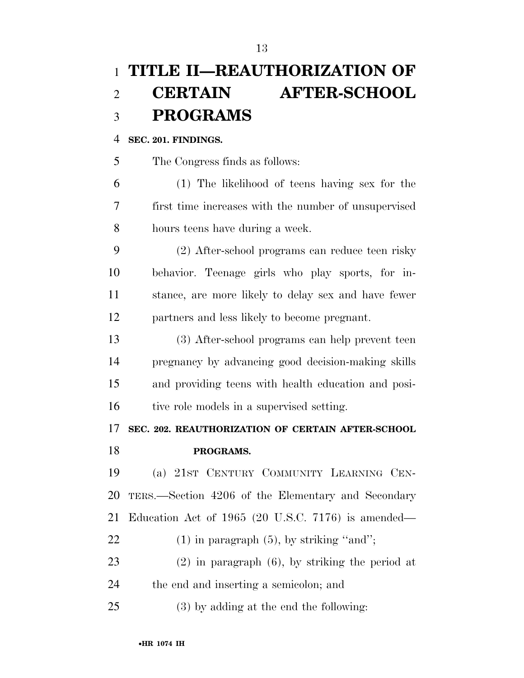# **TITLE II—REAUTHORIZATION OF CERTAIN AFTER-SCHOOL PROGRAMS**

### **SEC. 201. FINDINGS.**

The Congress finds as follows:

 (1) The likelihood of teens having sex for the first time increases with the number of unsupervised hours teens have during a week.

 (2) After-school programs can reduce teen risky behavior. Teenage girls who play sports, for in- stance, are more likely to delay sex and have fewer partners and less likely to become pregnant.

 (3) After-school programs can help prevent teen pregnancy by advancing good decision-making skills and providing teens with health education and posi-16 tive role models in a supervised setting.

## **SEC. 202. REAUTHORIZATION OF CERTAIN AFTER-SCHOOL**

**PROGRAMS.** 

 (a) 21ST CENTURY COMMUNITY LEARNING CEN- TERS.—Section 4206 of the Elementary and Secondary Education Act of 1965 (20 U.S.C. 7176) is amended—  $(1)$  in paragraph  $(5)$ , by striking "and"; (2) in paragraph (6), by striking the period at

the end and inserting a semicolon; and

(3) by adding at the end the following: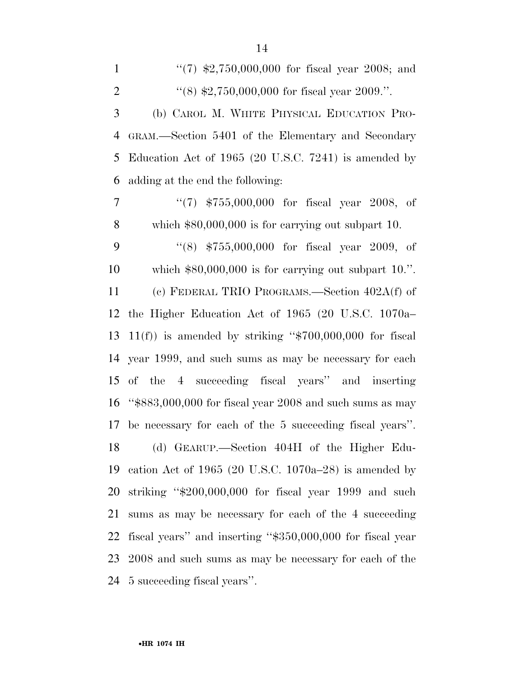1 ''(7) \$2,750,000,000 for fiscal year 2008; and  $\frac{4}{8}$  (8) \$2,750,000,000 for fiscal year 2009.". (b) CAROL M. WHITE PHYSICAL EDUCATION PRO- GRAM.—Section 5401 of the Elementary and Secondary Education Act of 1965 (20 U.S.C. 7241) is amended by adding at the end the following: ''(7) \$755,000,000 for fiscal year 2008, of which \$80,000,000 is for carrying out subpart 10. ''(8) \$755,000,000 for fiscal year 2009, of which \$80,000,000 is for carrying out subpart 10.''. (c) FEDERAL TRIO PROGRAMS.—Section 402A(f) of the Higher Education Act of 1965 (20 U.S.C. 1070a– 13 11(f)) is amended by striking " $$700,000,000$  for fiscal year 1999, and such sums as may be necessary for each of the 4 succeeding fiscal years'' and inserting ''\$883,000,000 for fiscal year 2008 and such sums as may be necessary for each of the 5 succeeding fiscal years''. (d) GEARUP.—Section 404H of the Higher Edu- cation Act of 1965 (20 U.S.C. 1070a–28) is amended by striking ''\$200,000,000 for fiscal year 1999 and such sums as may be necessary for each of the 4 succeeding fiscal years'' and inserting ''\$350,000,000 for fiscal year 2008 and such sums as may be necessary for each of the

5 succeeding fiscal years''.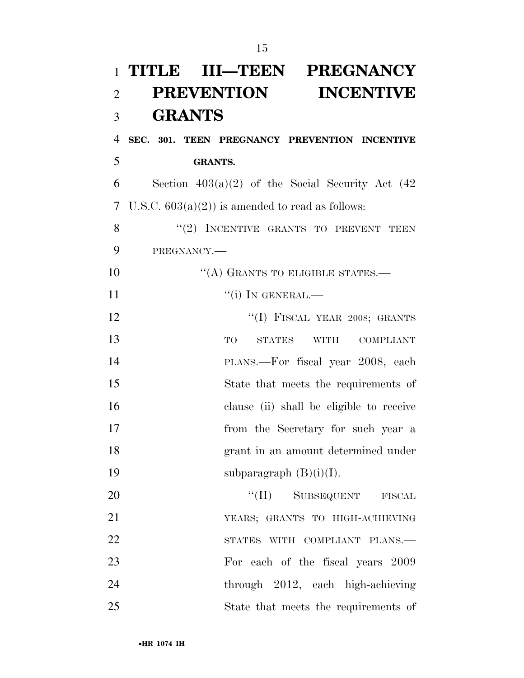| $\mathbf{1}$   | TITLE III—TEEN PREGNANCY                               |
|----------------|--------------------------------------------------------|
| $\overline{2}$ | <b>PREVENTION</b><br><b>INCENTIVE</b>                  |
| 3              | <b>GRANTS</b>                                          |
| $\overline{4}$ | SEC. 301. TEEN PREGNANCY PREVENTION INCENTIVE          |
| 5              | <b>GRANTS.</b>                                         |
| 6              | Section $403(a)(2)$ of the Social Security Act (42)    |
| 7              | U.S.C. $603(a)(2)$ is amended to read as follows:      |
| 8              | "(2) INCENTIVE GRANTS TO PREVENT TEEN                  |
| 9              | PREGNANCY.                                             |
| 10             | "(A) GRANTS TO ELIGIBLE STATES.—                       |
| 11             | $``(i)$ IN GENERAL.—                                   |
| 12             | "(I) FISCAL YEAR 2008; GRANTS                          |
| 13             | TO<br><b>STATES</b><br><b>WITH</b><br><b>COMPLIANT</b> |
| 14             | PLANS.-For fiscal year 2008, each                      |
| 15             | State that meets the requirements of                   |
| 16             | clause (ii) shall be eligible to receive               |
| 17             | from the Secretary for such year a                     |
| 18             | grant in an amount determined under                    |
| 19             | subparagraph $(B)(i)(I)$ .                             |
| 20             | "(II) SUBSEQUENT FISCAL                                |
| 21             | YEARS; GRANTS TO HIGH-ACHIEVING                        |
| 22             | STATES WITH COMPLIANT PLANS.-                          |
| 23             | For each of the fiscal years 2009                      |
| 24             | through 2012, each high-achieving                      |
| 25             | State that meets the requirements of                   |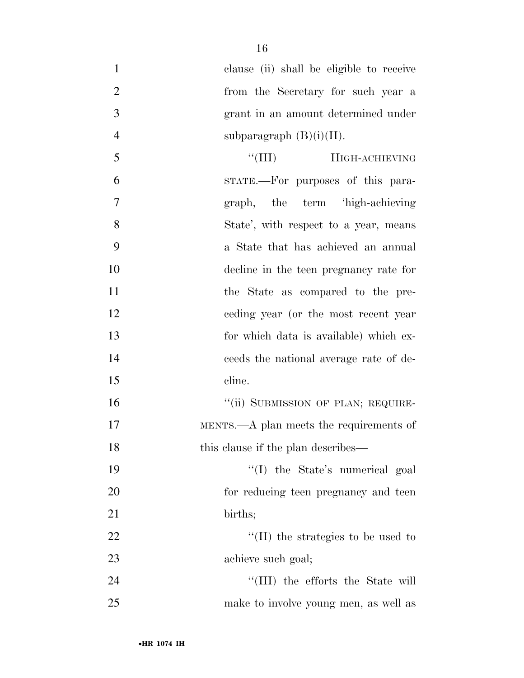| $\mathbf{1}$   | clause (ii) shall be eligible to receive |
|----------------|------------------------------------------|
| $\overline{2}$ | from the Secretary for such year a       |
| 3              | grant in an amount determined under      |
| $\overline{4}$ | subparagraph $(B)(i)(II)$ .              |
| 5              | ``(III)<br>HIGH-ACHIEVING                |
| 6              | STATE.—For purposes of this para-        |
| 7              | graph, the term 'high-achieving          |
| 8              | State', with respect to a year, means    |
| 9              | a State that has achieved an annual      |
| 10             | decline in the teen pregnancy rate for   |
| 11             | the State as compared to the pre-        |
| 12             | eeding year (or the most recent year)    |
| 13             | for which data is available) which ex-   |
| 14             | ceeds the national average rate of de-   |
| 15             | cline.                                   |
| 16             | "(ii) SUBMISSION OF PLAN; REQUIRE-       |
| 17             | MENTS.—A plan meets the requirements of  |
| 18             | this clause if the plan describes—       |
| 19             | "(I) the State's numerical goal          |
| 20             | for reducing teen pregnancy and teen     |
| 21             | births;                                  |
| 22             | $\lq$ (II) the strategies to be used to  |
| 23             | achieve such goal;                       |
| 24             | "(III) the efforts the State will        |
| 25             | make to involve young men, as well as    |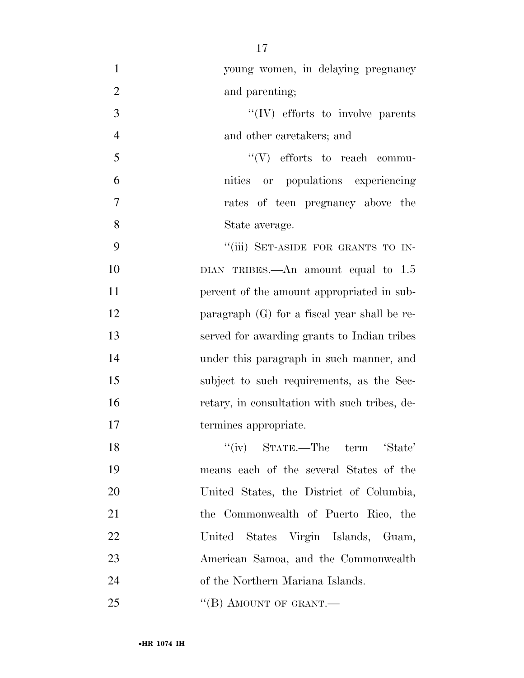| $\mathbf{1}$   | young women, in delaying pregnancy             |
|----------------|------------------------------------------------|
| $\overline{2}$ | and parenting;                                 |
| 3              | $\lq\lq (IV)$ efforts to involve parents       |
| $\overline{4}$ | and other caretakers; and                      |
| 5              | $\lq\lq(V)$ efforts to reach commu-            |
| 6              | nities or populations experiencing             |
| 7              | rates of teen pregnancy above the              |
| 8              | State average.                                 |
| 9              | "(iii) SET-ASIDE FOR GRANTS TO IN-             |
| 10             | DIAN TRIBES.—An amount equal to $1.5$          |
| 11             | percent of the amount appropriated in sub-     |
| 12             | paragraph $(G)$ for a fiscal year shall be re- |
| 13             | served for awarding grants to Indian tribes    |
| 14             | under this paragraph in such manner, and       |
| 15             | subject to such requirements, as the Sec-      |
| 16             | retary, in consultation with such tribes, de-  |
| 17             | termines appropriate.                          |
| 18             | "(iv) STATE.—The term 'State'                  |
| 19             | means each of the several States of the        |
| 20             | United States, the District of Columbia,       |
| 21             | the Commonwealth of Puerto Rico, the           |
| 22             | United States Virgin Islands, Guam,            |
| 23             | American Samoa, and the Commonwealth           |
| 24             | of the Northern Mariana Islands.               |
| 25             | "(B) AMOUNT OF GRANT.—                         |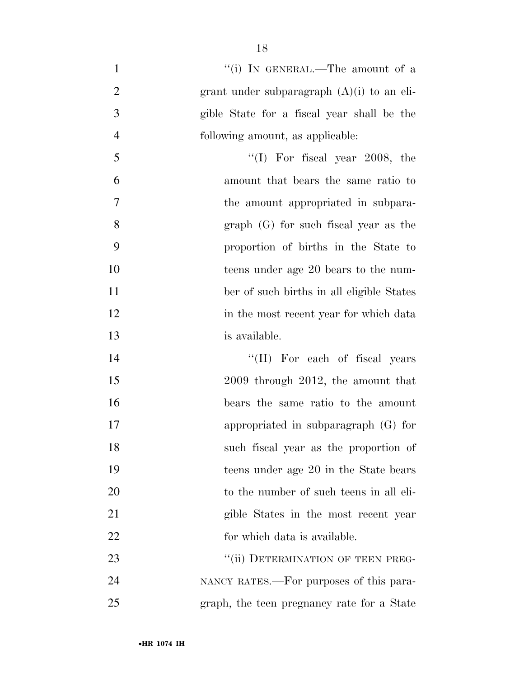| $\mathbf{1}$   | "(i) IN GENERAL.—The amount of a             |
|----------------|----------------------------------------------|
| $\overline{2}$ | grant under subparagraph $(A)(i)$ to an eli- |
| 3              | gible State for a fiscal year shall be the   |
| $\overline{4}$ | following amount, as applicable:             |
| 5              | $\lq(1)$ For fiscal year 2008, the           |
| 6              | amount that bears the same ratio to          |
| $\overline{7}$ | the amount appropriated in subpara-          |
| 8              | $graph(G)$ for such fiscal year as the       |
| 9              | proportion of births in the State to         |
| 10             | teens under age 20 bears to the num-         |
| 11             | ber of such births in all eligible States    |
| 12             | in the most recent year for which data       |
| 13             | is available.                                |
| 14             | "(II) For each of fiscal years               |
| 15             | $2009$ through $2012$ , the amount that      |
| 16             | bears the same ratio to the amount           |
| 17             | appropriated in subparagraph $(G)$ for       |
| 18             | such fiscal year as the proportion of        |
| 19             | teens under age 20 in the State bears        |
| 20             | to the number of such teens in all eli-      |
| 21             | gible States in the most recent year         |
| 22             | for which data is available.                 |
| 23             | "(ii) DETERMINATION OF TEEN PREG-            |
| 24             | NANCY RATES.—For purposes of this para-      |
| 25             | graph, the teen pregnancy rate for a State   |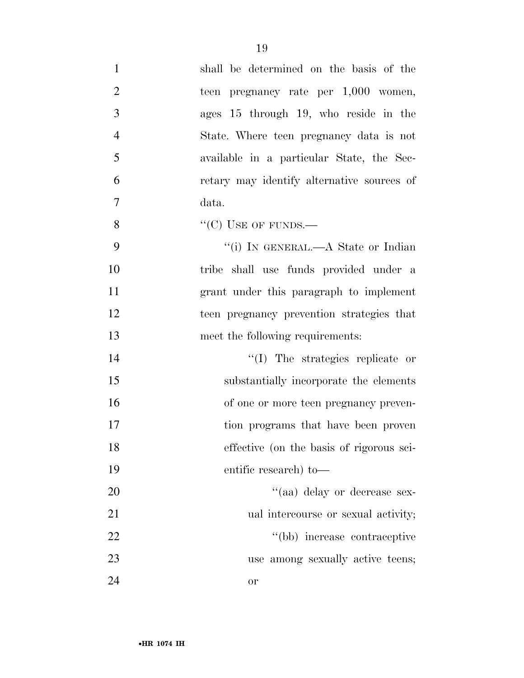| $\mathbf{1}$   | shall be determined on the basis of the    |
|----------------|--------------------------------------------|
| $\overline{2}$ | teen pregnancy rate per 1,000 women,       |
| 3              | ages 15 through 19, who reside in the      |
| $\overline{4}$ | State. Where teen pregnancy data is not    |
| 5              | available in a particular State, the Sec-  |
| 6              | retary may identify alternative sources of |
| 7              | data.                                      |
| 8              | "(C) USE OF FUNDS.—                        |
| 9              | "(i) IN GENERAL.—A State or Indian         |
| 10             | tribe shall use funds provided under a     |
| 11             | grant under this paragraph to implement    |
| 12             | teen pregnancy prevention strategies that  |
| 13             | meet the following requirements:           |
| 14             | "(I) The strategies replicate or           |
| 15             | substantially incorporate the elements     |
| 16             | of one or more teen pregnancy preven-      |
| 17             | tion programs that have been proven        |
| 18             | effective (on the basis of rigorous sci-   |
| 19             | entific research) to-                      |
| 20             | "(aa) delay or decrease sex-               |
| 21             | ual intercourse or sexual activity;        |
| 22             | "(bb) increase contraceptive               |
| 23             | use among sexually active teens;           |
| 24             | <b>or</b>                                  |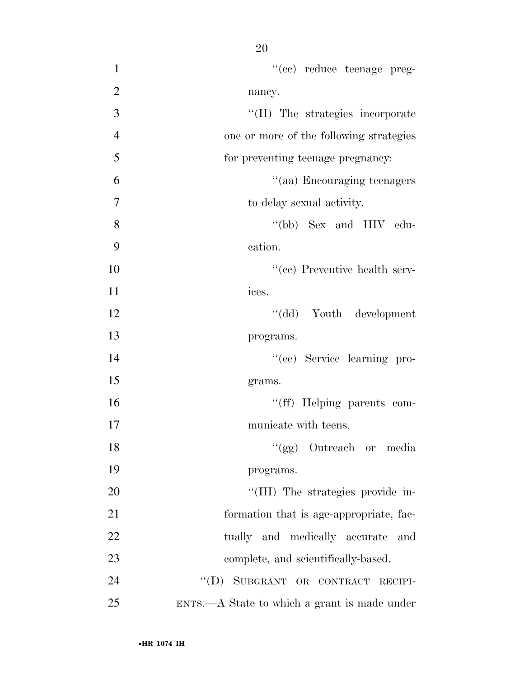| $\mathbf{1}$   | "(cc) reduce teenage preg-                       |
|----------------|--------------------------------------------------|
| $\overline{2}$ | nancy.                                           |
| 3              | "(II) The strategies incorporate                 |
| $\overline{4}$ | one or more of the following strategies          |
| 5              | for preventing teenage pregnancy:                |
| 6              | "(aa) Encouraging teenagers                      |
| 7              | to delay sexual activity.                        |
| 8              | "(bb) Sex and HIV edu-                           |
| 9              | cation.                                          |
| 10             | $``(ce)$ Preventive health serv-                 |
| 11             | ices.                                            |
| 12             | "(dd) Youth development                          |
| 13             | programs.                                        |
| 14             | "(ee) Service learning pro-                      |
| 15             | grams.                                           |
| 16             | "(ff) Helping parents com-                       |
| 17             | municate with teens.                             |
| 18             | "(gg) Outreach or media                          |
| 19             | programs.                                        |
| 20             | "(III) The strategies provide in-                |
| 21             | formation that is age-appropriate, fac-          |
| 22             | tually and medically accurate<br>and             |
| 23             | complete, and scientifically-based.              |
| 24             | "(D) SUBGRANT OR CONTRACT RECIPI-                |
| 25             | $ENTS. — A State to which a grant is made under$ |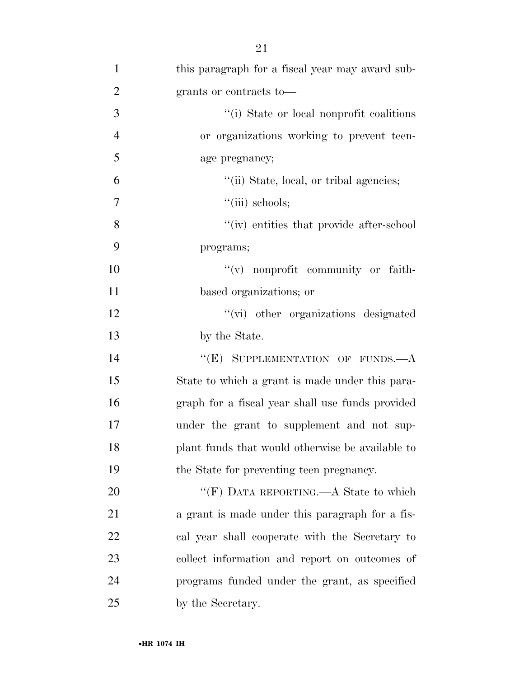| $\mathbf{1}$   | this paragraph for a fiscal year may award sub-  |
|----------------|--------------------------------------------------|
| $\overline{2}$ | grants or contracts to-                          |
| 3              | "(i) State or local nonprofit coalitions         |
| $\overline{4}$ | or organizations working to prevent teen-        |
| 5              | age pregnancy;                                   |
| 6              | "(ii) State, local, or tribal agencies;          |
| $\tau$         | $``(iii)$ schools;                               |
| 8              | "(iv) entities that provide after-school         |
| 9              | programs;                                        |
| 10             | $f'(v)$ nonprofit community or faith-            |
| 11             | based organizations; or                          |
| 12             | "(vi) other organizations designated             |
| 13             | by the State.                                    |
| 14             | "(E) SUPPLEMENTATION OF FUNDS.—A                 |
| 15             | State to which a grant is made under this para-  |
| 16             | graph for a fiscal year shall use funds provided |
| 17             | under the grant to supplement and not sup-       |
| 18             | plant funds that would otherwise be available to |
| 19             | the State for preventing teen pregnancy.         |
| 20             | "(F) DATA REPORTING.—A State to which            |
| 21             | a grant is made under this paragraph for a fis-  |
| 22             | cal year shall cooperate with the Secretary to   |
| 23             | collect information and report on outcomes of    |
| 24             | programs funded under the grant, as specified    |
| 25             | by the Secretary.                                |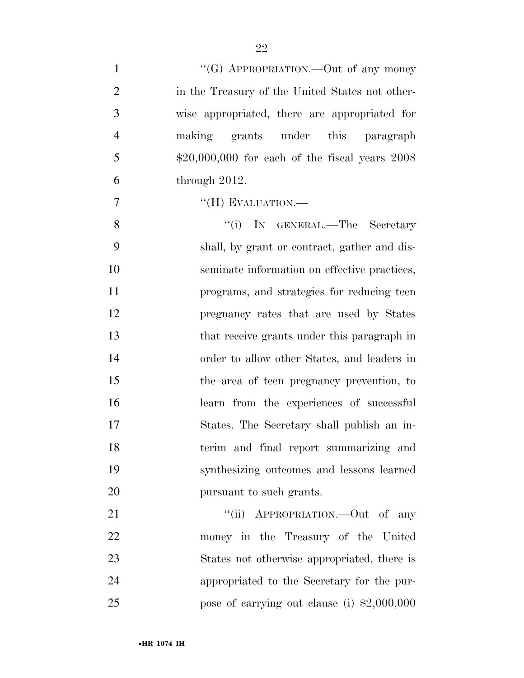| $\mathbf{1}$   | "(G) APPROPRIATION.—Out of any money              |
|----------------|---------------------------------------------------|
| $\overline{2}$ | in the Treasury of the United States not other-   |
| 3              | wise appropriated, there are appropriated for     |
| $\overline{4}$ | making grants under this paragraph                |
| 5              | $$20,000,000$ for each of the fiscal years $2008$ |
| 6              | through $2012$ .                                  |
| 7              | "(H) EVALUATION.-                                 |
| 8              | "(i) IN GENERAL.—The Secretary                    |
| 9              | shall, by grant or contract, gather and dis-      |
| 10             | seminate information on effective practices,      |
| 11             | programs, and strategies for reducing teen        |
| 12             | pregnancy rates that are used by States           |
| 13             | that receive grants under this paragraph in       |
| 14             | order to allow other States, and leaders in       |
| 15             | the area of teen pregnancy prevention, to         |
| 16             | learn from the experiences of successful          |
| 17             | States. The Secretary shall publish an in-        |
| 18             | terim and final report summarizing and            |
| 19             | synthesizing outcomes and lessons learned         |
| 20             | pursuant to such grants.                          |
| 21             | "(ii) APPROPRIATION.—Out of any                   |
| 22             | money in the Treasury of the United               |
| 23             | States not otherwise appropriated, there is       |
| 24             | appropriated to the Secretary for the pur-        |
| 25             | pose of carrying out clause (i) $$2,000,000$      |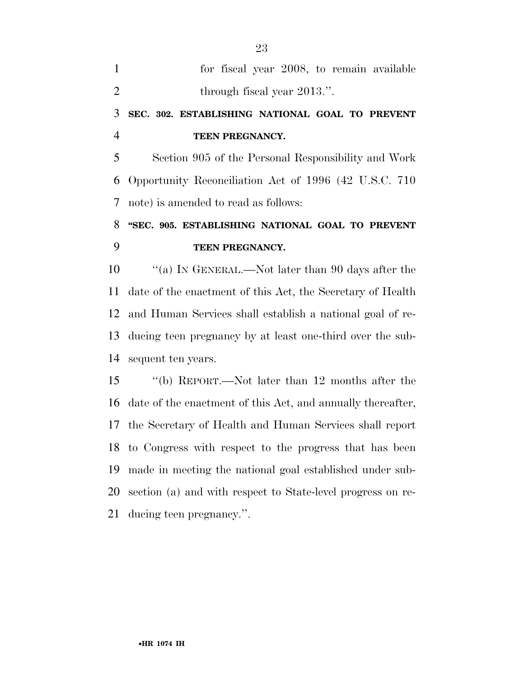| $\mathbf{1}$   | for fiscal year 2008, to remain available                   |
|----------------|-------------------------------------------------------------|
| $\overline{2}$ | through fiscal year 2013.".                                 |
| 3              | SEC. 302. ESTABLISHING NATIONAL GOAL TO PREVENT             |
| $\overline{4}$ | TEEN PREGNANCY.                                             |
| 5              | Section 905 of the Personal Responsibility and Work         |
| 6              | Opportunity Reconciliation Act of 1996 (42 U.S.C. 710)      |
| $\tau$         | note) is amended to read as follows:                        |
| 8              | "SEC. 905. ESTABLISHING NATIONAL GOAL TO PREVENT            |
| 9              | TEEN PREGNANCY.                                             |
|                |                                                             |
| 10             | "(a) IN GENERAL.—Not later than 90 days after the           |
| 11             | date of the enactment of this Act, the Secretary of Health  |
| 12             | and Human Services shall establish a national goal of re-   |
| 13             | ducing teen pregnancy by at least one-third over the sub-   |
| 14             | sequent ten years.                                          |
|                | "(b) REPORT.—Not later than 12 months after the             |
| 15<br>16       | date of the enactment of this Act, and annually thereafter, |
| 17             | the Secretary of Health and Human Services shall report     |

 made in meeting the national goal established under sub-section (a) and with respect to State-level progress on re-

ducing teen pregnancy.''.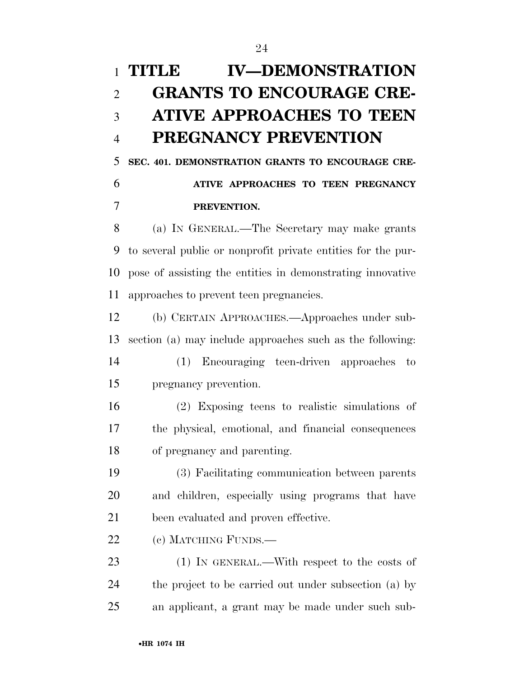# **TITLE IV—DEMONSTRATION GRANTS TO ENCOURAGE CRE- ATIVE APPROACHES TO TEEN PREGNANCY PREVENTION**

 **SEC. 401. DEMONSTRATION GRANTS TO ENCOURAGE CRE- ATIVE APPROACHES TO TEEN PREGNANCY PREVENTION.** 

 (a) IN GENERAL.—The Secretary may make grants to several public or nonprofit private entities for the pur- pose of assisting the entities in demonstrating innovative approaches to prevent teen pregnancies.

 (b) CERTAIN APPROACHES.—Approaches under sub-section (a) may include approaches such as the following:

 (1) Encouraging teen-driven approaches to pregnancy prevention.

 (2) Exposing teens to realistic simulations of the physical, emotional, and financial consequences of pregnancy and parenting.

 (3) Facilitating communication between parents and children, especially using programs that have been evaluated and proven effective.

22 (c) MATCHING FUNDS.—

23 (1) IN GENERAL.—With respect to the costs of the project to be carried out under subsection (a) by an applicant, a grant may be made under such sub-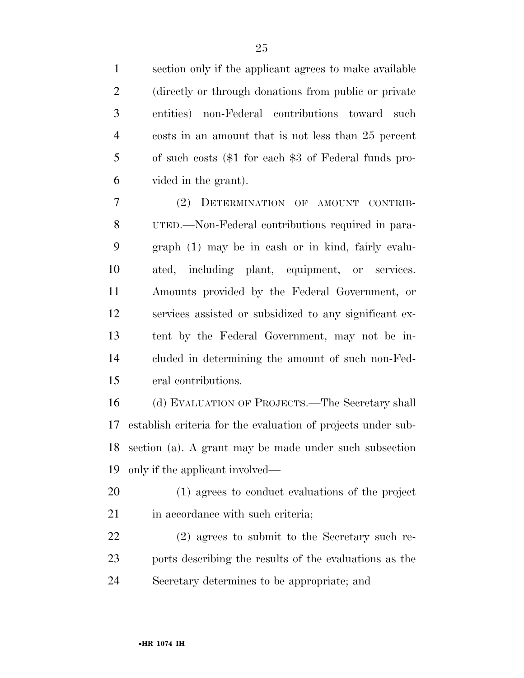section only if the applicant agrees to make available (directly or through donations from public or private entities) non-Federal contributions toward such costs in an amount that is not less than 25 percent of such costs (\$1 for each \$3 of Federal funds pro-vided in the grant).

 (2) DETERMINATION OF AMOUNT CONTRIB- UTED.—Non-Federal contributions required in para- graph (1) may be in cash or in kind, fairly evalu- ated, including plant, equipment, or services. Amounts provided by the Federal Government, or services assisted or subsidized to any significant ex- tent by the Federal Government, may not be in- cluded in determining the amount of such non-Fed-eral contributions.

 (d) EVALUATION OF PROJECTS.—The Secretary shall establish criteria for the evaluation of projects under sub- section (a). A grant may be made under such subsection only if the applicant involved—

 (1) agrees to conduct evaluations of the project 21 in accordance with such criteria;

 (2) agrees to submit to the Secretary such re- ports describing the results of the evaluations as the Secretary determines to be appropriate; and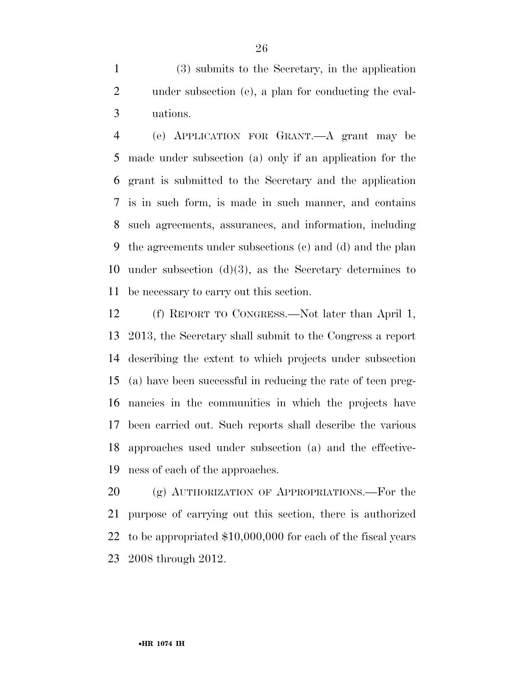(3) submits to the Secretary, in the application under subsection (e), a plan for conducting the eval-uations.

 (e) APPLICATION FOR GRANT.—A grant may be made under subsection (a) only if an application for the grant is submitted to the Secretary and the application is in such form, is made in such manner, and contains such agreements, assurances, and information, including the agreements under subsections (c) and (d) and the plan under subsection (d)(3), as the Secretary determines to be necessary to carry out this section.

 (f) REPORT TO CONGRESS.—Not later than April 1, 2013, the Secretary shall submit to the Congress a report describing the extent to which projects under subsection (a) have been successful in reducing the rate of teen preg- nancies in the communities in which the projects have been carried out. Such reports shall describe the various approaches used under subsection (a) and the effective-ness of each of the approaches.

20 (g) AUTHORIZATION OF APPROPRIATIONS.—For the purpose of carrying out this section, there is authorized to be appropriated \$10,000,000 for each of the fiscal years 2008 through 2012.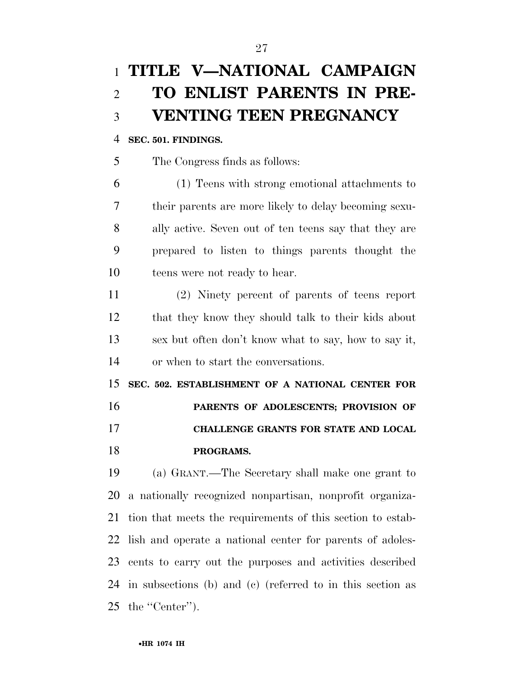# **TITLE V—NATIONAL CAMPAIGN TO ENLIST PARENTS IN PRE-VENTING TEEN PREGNANCY**

### **SEC. 501. FINDINGS.**

The Congress finds as follows:

 (1) Teens with strong emotional attachments to their parents are more likely to delay becoming sexu- ally active. Seven out of ten teens say that they are prepared to listen to things parents thought the teens were not ready to hear.

 (2) Ninety percent of parents of teens report that they know they should talk to their kids about sex but often don't know what to say, how to say it, or when to start the conversations.

 **SEC. 502. ESTABLISHMENT OF A NATIONAL CENTER FOR PARENTS OF ADOLESCENTS; PROVISION OF CHALLENGE GRANTS FOR STATE AND LOCAL PROGRAMS.** 

 (a) GRANT.—The Secretary shall make one grant to a nationally recognized nonpartisan, nonprofit organiza- tion that meets the requirements of this section to estab- lish and operate a national center for parents of adoles- cents to carry out the purposes and activities described in subsections (b) and (c) (referred to in this section as the ''Center'').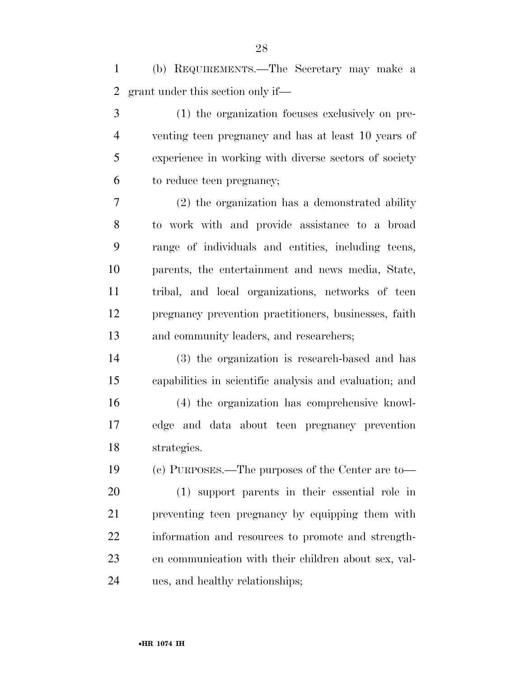(b) REQUIREMENTS.—The Secretary may make a grant under this section only if—

 (1) the organization focuses exclusively on pre- venting teen pregnancy and has at least 10 years of experience in working with diverse sectors of society to reduce teen pregnancy;

 (2) the organization has a demonstrated ability to work with and provide assistance to a broad range of individuals and entities, including teens, parents, the entertainment and news media, State, tribal, and local organizations, networks of teen pregnancy prevention practitioners, businesses, faith and community leaders, and researchers;

 (3) the organization is research-based and has capabilities in scientific analysis and evaluation; and (4) the organization has comprehensive knowl-

 edge and data about teen pregnancy prevention strategies.

 (c) PURPOSES.—The purposes of the Center are to— (1) support parents in their essential role in preventing teen pregnancy by equipping them with information and resources to promote and strength- en communication with their children about sex, val-ues, and healthy relationships;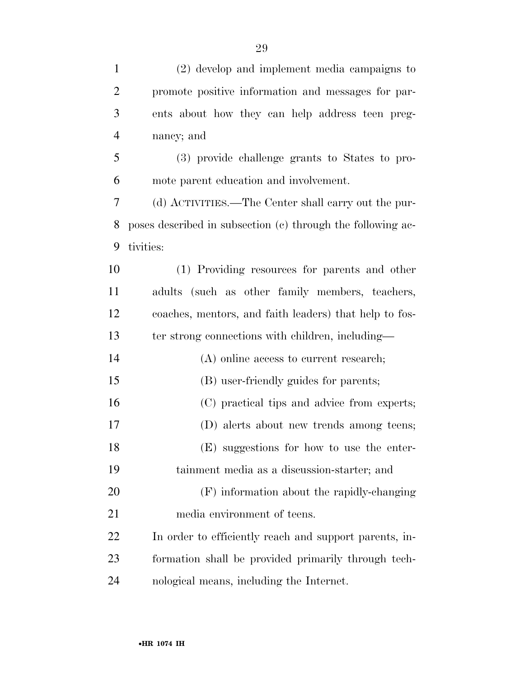| $\mathbf{1}$   | (2) develop and implement media campaigns to                |
|----------------|-------------------------------------------------------------|
| $\overline{2}$ | promote positive information and messages for par-          |
| 3              | ents about how they can help address teen preg-             |
| $\overline{4}$ | nancy; and                                                  |
| 5              | (3) provide challenge grants to States to pro-              |
| 6              | mote parent education and involvement.                      |
| 7              | (d) ACTIVITIES.—The Center shall carry out the pur-         |
| 8              | poses described in subsection (c) through the following ac- |
| 9              | tivities:                                                   |
| 10             | (1) Providing resources for parents and other               |
| <sup>11</sup>  | adults (such as other family members, teachers,             |
| 12             | coaches, mentors, and faith leaders) that help to fos-      |
| 13             | ter strong connections with children, including—            |
| 14             | (A) online access to current research;                      |
| 15             | (B) user-friendly guides for parents;                       |
| 16             | (C) practical tips and advice from experts;                 |
| 17             | (D) alerts about new trends among teens;                    |
| 18             | (E) suggestions for how to use the enter-                   |
| 19             | tainment media as a discussion-starter; and                 |
| 20             | (F) information about the rapidly-changing                  |
| 21             | media environment of teens.                                 |
| 22             | In order to efficiently reach and support parents, in-      |
| 23             | formation shall be provided primarily through tech-         |
| 24             | nological means, including the Internet.                    |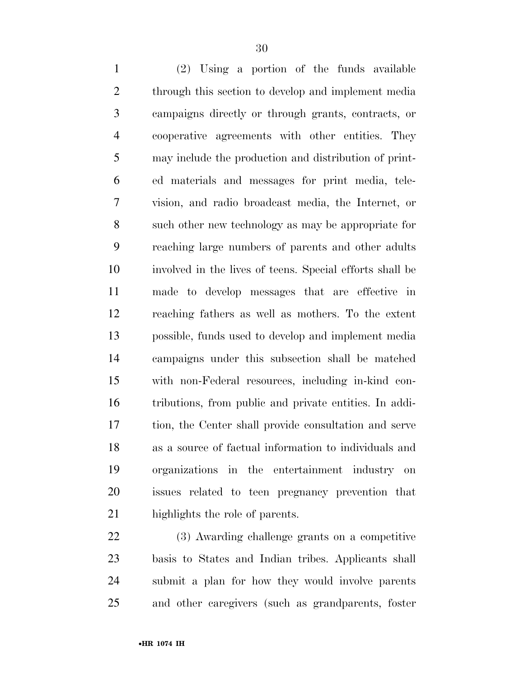(2) Using a portion of the funds available through this section to develop and implement media campaigns directly or through grants, contracts, or cooperative agreements with other entities. They may include the production and distribution of print- ed materials and messages for print media, tele- vision, and radio broadcast media, the Internet, or such other new technology as may be appropriate for reaching large numbers of parents and other adults involved in the lives of teens. Special efforts shall be made to develop messages that are effective in reaching fathers as well as mothers. To the extent possible, funds used to develop and implement media campaigns under this subsection shall be matched with non-Federal resources, including in-kind con- tributions, from public and private entities. In addi- tion, the Center shall provide consultation and serve as a source of factual information to individuals and organizations in the entertainment industry on issues related to teen pregnancy prevention that highlights the role of parents.

 (3) Awarding challenge grants on a competitive basis to States and Indian tribes. Applicants shall submit a plan for how they would involve parents and other caregivers (such as grandparents, foster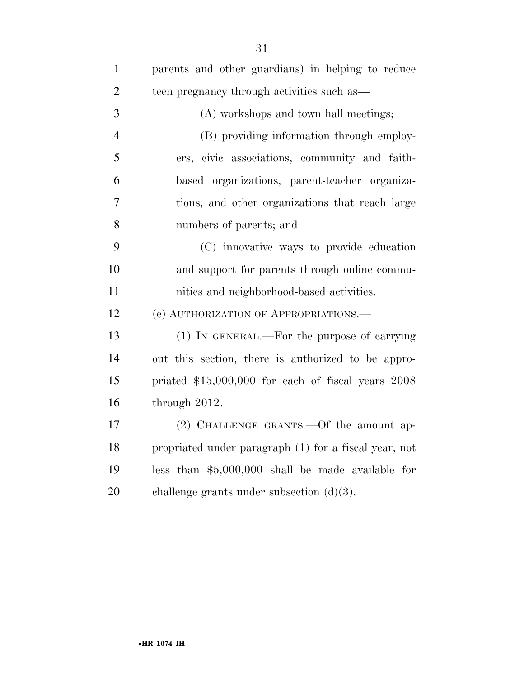| $\mathbf{1}$   | parents and other guardians) in helping to reduce     |
|----------------|-------------------------------------------------------|
| $\overline{2}$ | teen pregnancy through activities such as-            |
| 3              | (A) workshops and town hall meetings;                 |
| $\overline{4}$ | (B) providing information through employ-             |
| 5              | ers, civic associations, community and faith-         |
| 6              | based organizations, parent-teacher organiza-         |
| 7              | tions, and other organizations that reach large       |
| 8              | numbers of parents; and                               |
| 9              | (C) innovative ways to provide education              |
| 10             | and support for parents through online commu-         |
| 11             | nities and neighborhood-based activities.             |
| 12             | (e) AUTHORIZATION OF APPROPRIATIONS.                  |
| 13             | $(1)$ In GENERAL.—For the purpose of carrying         |
| 14             | out this section, there is authorized to be appro-    |
| 15             | priated \$15,000,000 for each of fiscal years 2008    |
| 16             | through 2012.                                         |
| 17             | $(2)$ CHALLENGE GRANTS.—Of the amount ap-             |
| 18             | propriated under paragraph (1) for a fiscal year, not |
| 19             | less than $$5,000,000$ shall be made available for    |
| 20             | challenge grants under subsection $(d)(3)$ .          |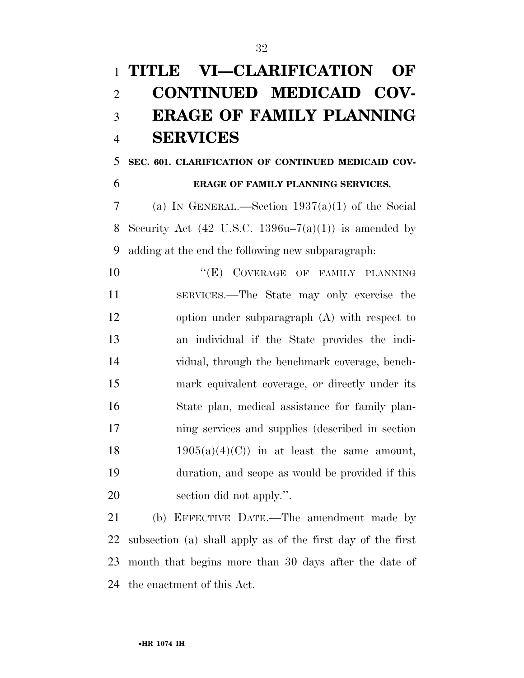# **TITLE VI—CLARIFICATION OF CONTINUED MEDICAID COV- ERAGE OF FAMILY PLANNING SERVICES**

**SEC. 601. CLARIFICATION OF CONTINUED MEDICAID COV-**

## **ERAGE OF FAMILY PLANNING SERVICES.**

 (a) IN GENERAL.—Section 1937(a)(1) of the Social 8 Security Act  $(42 \text{ U.S.C. } 1396u-7(a)(1))$  is amended by adding at the end the following new subparagraph:

**''(E)** COVERAGE OF FAMILY PLANNING SERVICES.—The State may only exercise the option under subparagraph (A) with respect to an individual if the State provides the indi- vidual, through the benchmark coverage, bench- mark equivalent coverage, or directly under its State plan, medical assistance for family plan- ning services and supplies (described in section 18 1905(a)(4)(C)) in at least the same amount, duration, and scope as would be provided if this section did not apply.''.

 (b) EFFECTIVE DATE.—The amendment made by subsection (a) shall apply as of the first day of the first month that begins more than 30 days after the date of the enactment of this Act.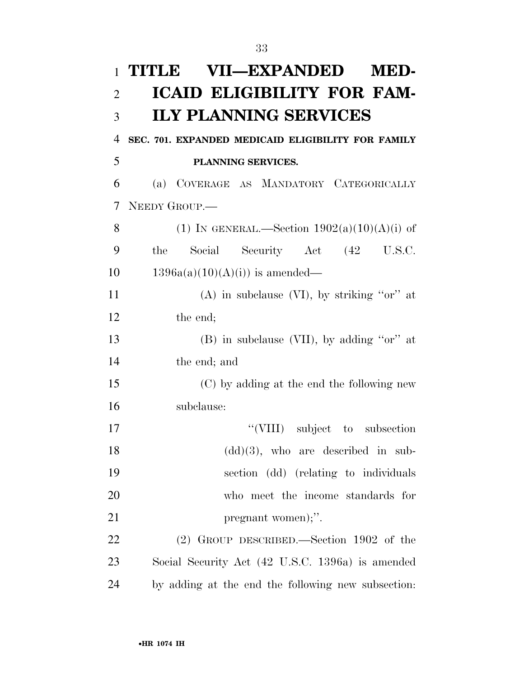| $\mathbf{1}$   | <b>VII—EXPANDED</b><br>TITLE<br>MED-               |
|----------------|----------------------------------------------------|
| $\overline{2}$ | <b>ICAID ELIGIBILITY FOR FAM-</b>                  |
| 3              | <b>ILY PLANNING SERVICES</b>                       |
| 4              | SEC. 701. EXPANDED MEDICAID ELIGIBILITY FOR FAMILY |
| 5              | PLANNING SERVICES.                                 |
| 6              | (a) COVERAGE AS MANDATORY CATEGORICALLY            |
| 7              | NEEDY GROUP.                                       |
| 8              | (1) IN GENERAL.—Section $1902(a)(10)(A)(i)$ of     |
| 9              | Social Security Act (42 U.S.C.<br>the              |
| 10             | $1396a(a)(10)(A)(i)$ is amended—                   |
| 11             | (A) in subclause (VI), by striking " $or$ " at     |
| 12             | the end;                                           |
| 13             | $(B)$ in subclause (VII), by adding "or" at        |
| 14             | the end; and                                       |
| 15             | (C) by adding at the end the following new         |
| 16             | subclause:                                         |
| 17             | "(VIII) subject to subsection                      |
| 18             | $(dd)(3)$ , who are described in sub-              |
| 19             | section (dd) (relating to individuals              |
| 20             | who meet the income standards for                  |
| 21             | pregnant women);".                                 |
| 22             | (2) GROUP DESCRIBED.—Section 1902 of the           |
| 23             | Social Security Act (42 U.S.C. 1396a) is amended   |
| 24             | by adding at the end the following new subsection: |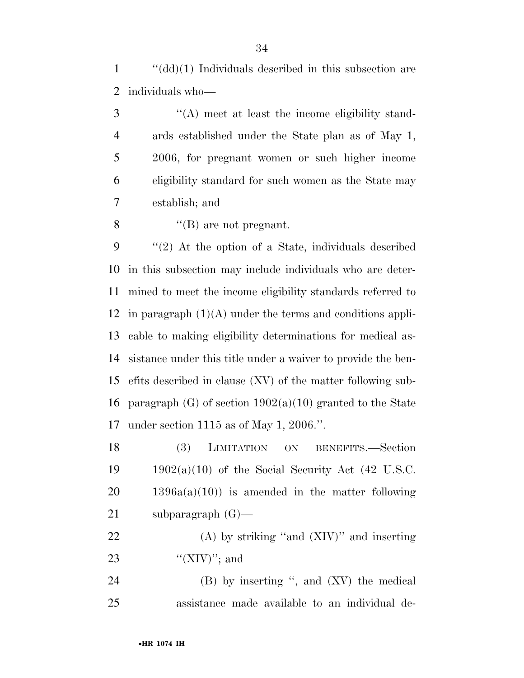''(dd)(1) Individuals described in this subsection are individuals who—

 ''(A) meet at least the income eligibility stand- ards established under the State plan as of May 1, 2006, for pregnant women or such higher income eligibility standard for such women as the State may establish; and

''(B) are not pregnant.

 ''(2) At the option of a State, individuals described in this subsection may include individuals who are deter- mined to meet the income eligibility standards referred to 12 in paragraph  $(1)(A)$  under the terms and conditions appli- cable to making eligibility determinations for medical as- sistance under this title under a waiver to provide the ben- efits described in clause (XV) of the matter following sub-16 paragraph  $(G)$  of section 1902(a)(10) granted to the State under section 1115 as of May 1, 2006.''.

 (3) LIMITATION ON BENEFITS.—Section  $1902(a)(10)$  of the Social Security Act (42 U.S.C.  $20 \qquad 1396a(a)(10)$  is amended in the matter following subparagraph (G)—

 (A) by striking ''and (XIV)'' and inserting 23  $\text{``(XIV)}$ "; and

24 (B) by inserting ", and (XV) the medical assistance made available to an individual de-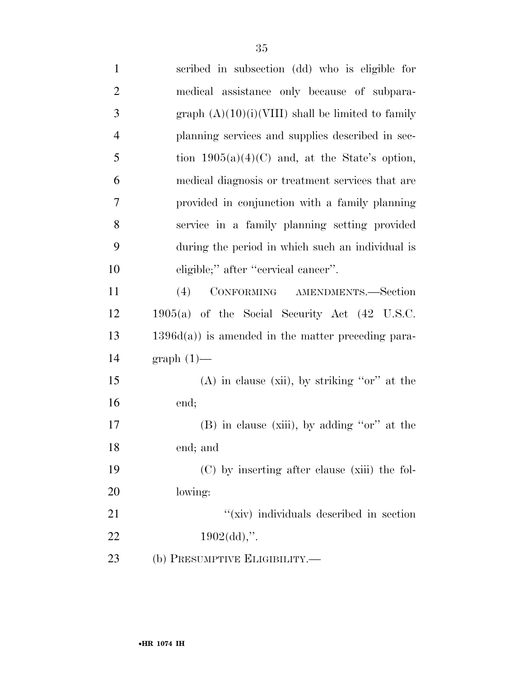| $\mathbf{1}$   | scribed in subsection (dd) who is eligible for             |
|----------------|------------------------------------------------------------|
| $\overline{2}$ | medical assistance only because of subpara-                |
| 3              | graph $(A)(10)(i)(VIII)$ shall be limited to family        |
| $\overline{4}$ | planning services and supplies described in sec-           |
| 5              | tion $1905(a)(4)(C)$ and, at the State's option,           |
| 6              | medical diagnosis or treatment services that are           |
| 7              | provided in conjunction with a family planning             |
| 8              | service in a family planning setting provided              |
| 9              | during the period in which such an individual is           |
| 10             | eligible;" after "cervical cancer".                        |
| 11             | CONFORMING AMENDMENTS.-Section<br>(4)                      |
| 12             | $1905(a)$ of the Social Security Act $(42 \text{ U.S.C.})$ |
| 13             | $1396d(a)$ ) is amended in the matter preceding para-      |
| 14             | $graph(1)$ —                                               |
| 15             | $(A)$ in clause (xii), by striking "or" at the             |
| 16             | end;                                                       |
| 17             | $(B)$ in clause (xiii), by adding "or" at the              |
| 18             | end; and                                                   |
| 19             | (C) by inserting after clause (xiii) the fol-              |
| 20             | lowing:                                                    |
| 21             | "(xiv) individuals described in section                    |
| 22             | $1902(\text{dd})$ ,".                                      |
| 23             | (b) PRESUMPTIVE ELIGIBILITY.—                              |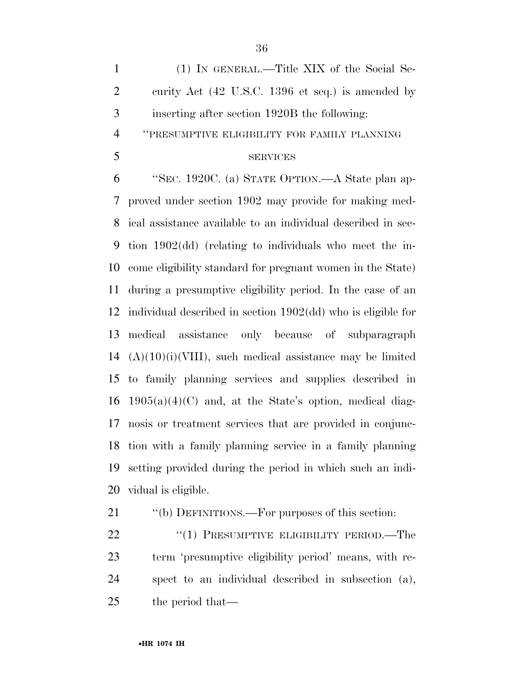(1) IN GENERAL.—Title XIX of the Social Se- curity Act (42 U.S.C. 1396 et seq.) is amended by inserting after section 1920B the following:

''PRESUMPTIVE ELIGIBILITY FOR FAMILY PLANNING

### SERVICES

 ''SEC. 1920C. (a) STATE OPTION.—A State plan ap- proved under section 1902 may provide for making med- ical assistance available to an individual described in sec- tion 1902(dd) (relating to individuals who meet the in- come eligibility standard for pregnant women in the State) during a presumptive eligibility period. In the case of an individual described in section 1902(dd) who is eligible for medical assistance only because of subparagraph  $(A)(10)(i)(VIII)$ , such medical assistance may be limited to family planning services and supplies described in 16 1905(a)(4)(C) and, at the State's option, medical diag- nosis or treatment services that are provided in conjunc- tion with a family planning service in a family planning setting provided during the period in which such an indi-vidual is eligible.

21 "(b) DEFINITIONS.—For purposes of this section:

22 "(1) PRESUMPTIVE ELIGIBILITY PERIOD.—The term 'presumptive eligibility period' means, with re- spect to an individual described in subsection (a), the period that—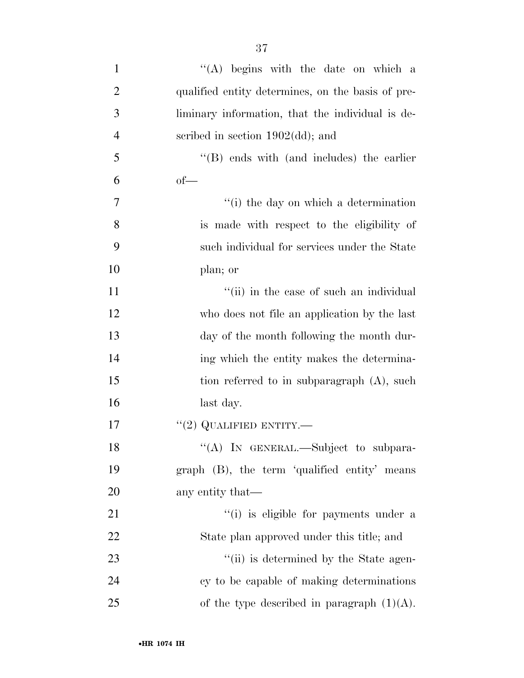| $\mathbf{1}$   | "(A) begins with the date on which a              |
|----------------|---------------------------------------------------|
| $\overline{2}$ | qualified entity determines, on the basis of pre- |
| 3              | liminary information, that the individual is de-  |
| $\overline{4}$ | scribed in section $1902(\text{dd})$ ; and        |
| 5              | $\lq\lq$ (B) ends with (and includes) the earlier |
| 6              | $of$ —                                            |
| 7              | $\cdot$ (i) the day on which a determination      |
| 8              | is made with respect to the eligibility of        |
| 9              | such individual for services under the State      |
| 10             | plan; or                                          |
| 11             | "(ii) in the case of such an individual           |
| 12             | who does not file an application by the last      |
| 13             | day of the month following the month dur-         |
| 14             | ing which the entity makes the determina-         |
| 15             | tion referred to in subparagraph (A), such        |
| 16             | last day.                                         |
| 17             | $``(2)$ QUALIFIED ENTITY.—                        |
| 18             | "(A) IN GENERAL.—Subject to subpara-              |
| 19             | graph (B), the term 'qualified entity' means      |
| 20             | any entity that—                                  |
| 21             | "(i) is eligible for payments under a             |
| 22             | State plan approved under this title; and         |
| 23             | "(ii) is determined by the State agen-            |
| 24             | cy to be capable of making determinations         |
| 25             | of the type described in paragraph $(1)(A)$ .     |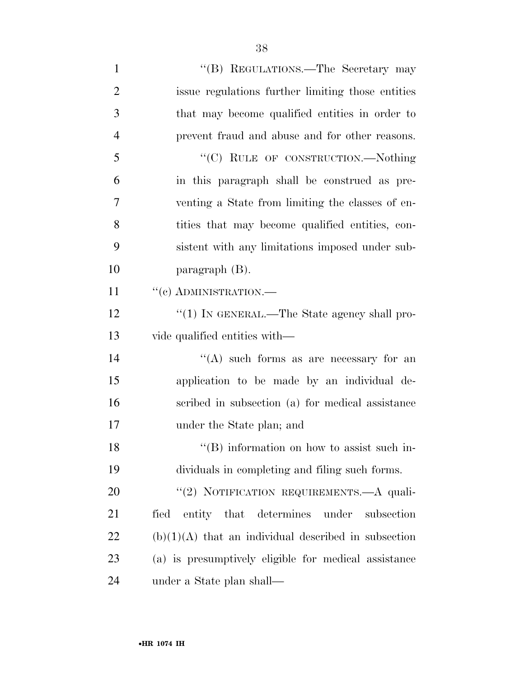| $\mathbf{1}$   | "(B) REGULATIONS.—The Secretary may                    |
|----------------|--------------------------------------------------------|
| $\overline{2}$ | issue regulations further limiting those entities      |
| 3              | that may become qualified entities in order to         |
| $\overline{4}$ | prevent fraud and abuse and for other reasons.         |
| 5              | "(C) RULE OF CONSTRUCTION.—Nothing                     |
| 6              | in this paragraph shall be construed as pre-           |
| 7              | venting a State from limiting the classes of en-       |
| 8              | tities that may become qualified entities, con-        |
| 9              | sistent with any limitations imposed under sub-        |
| 10             | paragraph $(B)$ .                                      |
| 11             | $``$ (c) ADMINISTRATION.—                              |
| 12             | "(1) IN GENERAL.—The State agency shall pro-           |
| 13             | vide qualified entities with—                          |
| 14             | "(A) such forms as are necessary for an                |
| 15             | application to be made by an individual de-            |
| 16             | scribed in subsection (a) for medical assistance       |
| 17             | under the State plan; and                              |
| 18             | $\lq\lq$ information on how to assist such in-         |
| 19             | dividuals in completing and filing such forms.         |
| 20             | "(2) NOTIFICATION REQUIREMENTS.—A quali-               |
| 21             | entity that determines under<br>fied<br>subsection     |
| 22             | $(b)(1)(A)$ that an individual described in subsection |
| 23             | (a) is presumptively eligible for medical assistance   |
| 24             | under a State plan shall—                              |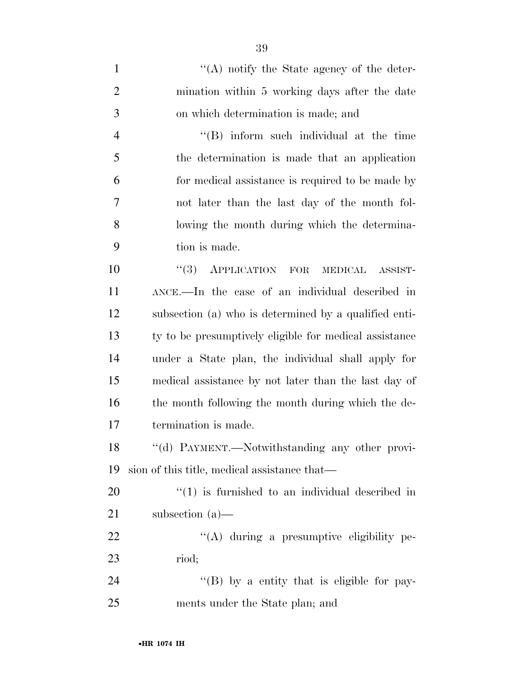1 ''(A) notify the State agency of the deter- mination within 5 working days after the date on which determination is made; and ''(B) inform such individual at the time the determination is made that an application for medical assistance is required to be made by not later than the last day of the month fol- lowing the month during which the determina- tion is made.  $(3)$  APPLICATION FOR MEDICAL ASSIST- ANCE.—In the case of an individual described in subsection (a) who is determined by a qualified enti- ty to be presumptively eligible for medical assistance under a State plan, the individual shall apply for medical assistance by not later than the last day of 16 the month following the month during which the de-

termination is made.

 ''(d) PAYMENT.—Notwithstanding any other provi-sion of this title, medical assistance that—

  $\frac{1}{20}$  is furnished to an individual described in subsection (a)—

22  $\langle (A)$  during a presumptive eligibility pe-riod;

24 "(B) by a entity that is eligible for pay-ments under the State plan; and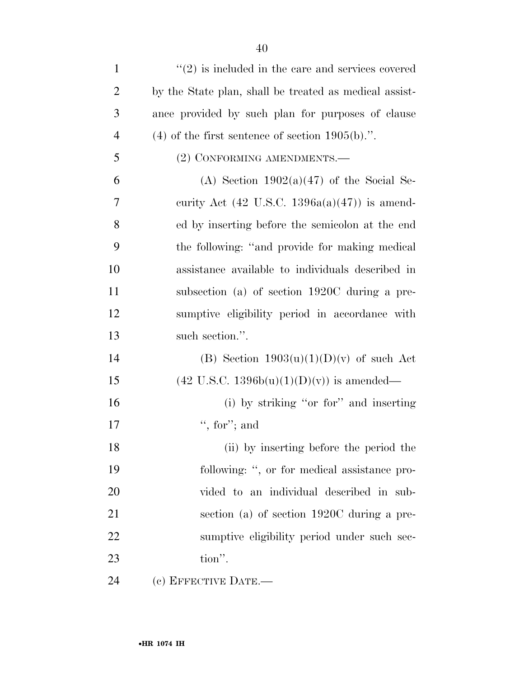| $\mathbf{1}$   | $\cdot\cdot(2)$ is included in the care and services covered |
|----------------|--------------------------------------------------------------|
| $\overline{2}$ | by the State plan, shall be treated as medical assist-       |
| 3              | ance provided by such plan for purposes of clause            |
| $\overline{4}$ | $(4)$ of the first sentence of section 1905(b).".            |
| 5              | (2) CONFORMING AMENDMENTS.—                                  |
| 6              | (A) Section $1902(a)(47)$ of the Social Se-                  |
| 7              | curity Act $(42 \text{ U.S.C. } 1396a(a)(47))$ is amend-     |
| 8              | ed by inserting before the semicolon at the end              |
| 9              | the following: "and provide for making medical               |
| 10             | assistance available to individuals described in             |
| 11             | subsection (a) of section 1920C during a pre-                |
| 12             | sumptive eligibility period in accordance with               |
| 13             | such section.".                                              |
| 14             | (B) Section $1903(u)(1)(D)(v)$ of such Act                   |
| 15             | $(42 \text{ U.S.C. } 1396b(u)(1)(D)(v))$ is amended—         |
| 16             | (i) by striking "or for" and inserting                       |
| 17             | ", for"; and                                                 |
| 18             | (ii) by inserting before the period the                      |
| 19             | following: ", or for medical assistance pro-                 |
| 20             | vided to an individual described in sub-                     |
| 21             | section (a) of section 1920C during a pre-                   |
| 22             | sumptive eligibility period under such sec-                  |
| 23             | tion".                                                       |
| 24             | $(e)$ EFFECTIVE DATE.—                                       |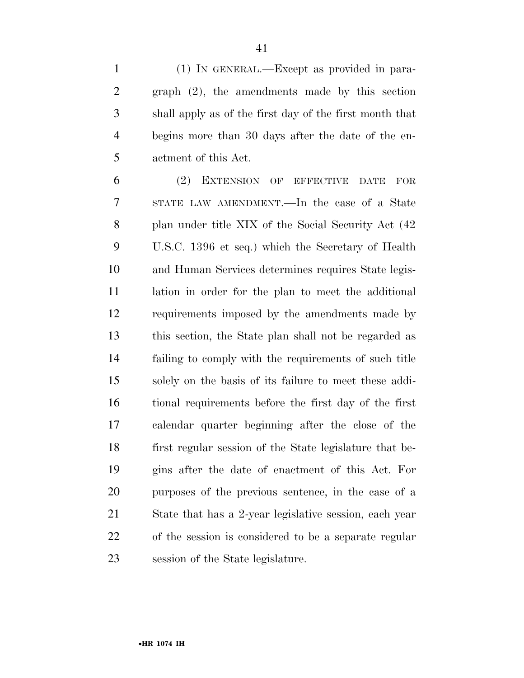(1) IN GENERAL.—Except as provided in para- graph (2), the amendments made by this section shall apply as of the first day of the first month that begins more than 30 days after the date of the en-actment of this Act.

 (2) EXTENSION OF EFFECTIVE DATE FOR STATE LAW AMENDMENT.—In the case of a State plan under title XIX of the Social Security Act (42 U.S.C. 1396 et seq.) which the Secretary of Health and Human Services determines requires State legis- lation in order for the plan to meet the additional requirements imposed by the amendments made by this section, the State plan shall not be regarded as failing to comply with the requirements of such title solely on the basis of its failure to meet these addi- tional requirements before the first day of the first calendar quarter beginning after the close of the first regular session of the State legislature that be- gins after the date of enactment of this Act. For purposes of the previous sentence, in the case of a State that has a 2-year legislative session, each year of the session is considered to be a separate regular session of the State legislature.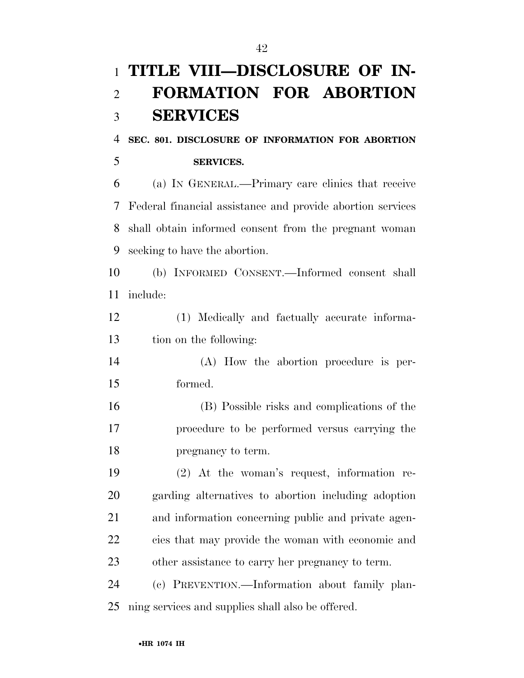# **TITLE VIII—DISCLOSURE OF IN- FORMATION FOR ABORTION SERVICES**

### **SEC. 801. DISCLOSURE OF INFORMATION FOR ABORTION SERVICES.**

 (a) IN GENERAL.—Primary care clinics that receive Federal financial assistance and provide abortion services shall obtain informed consent from the pregnant woman seeking to have the abortion.

 (b) INFORMED CONSENT.—Informed consent shall include:

- (1) Medically and factually accurate informa-tion on the following:
- (A) How the abortion procedure is per-formed.
- (B) Possible risks and complications of the procedure to be performed versus carrying the pregnancy to term.

 (2) At the woman's request, information re- garding alternatives to abortion including adoption and information concerning public and private agen- cies that may provide the woman with economic and other assistance to carry her pregnancy to term.

 (c) PREVENTION.—Information about family plan-ning services and supplies shall also be offered.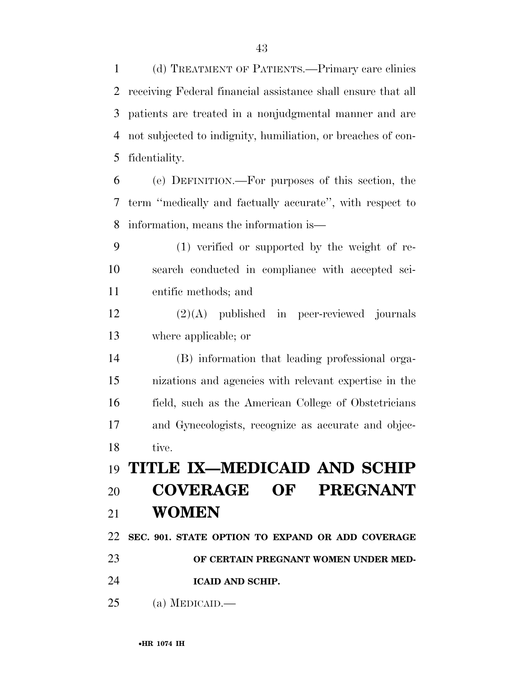(d) TREATMENT OF PATIENTS.—Primary care clinics receiving Federal financial assistance shall ensure that all patients are treated in a nonjudgmental manner and are not subjected to indignity, humiliation, or breaches of con-fidentiality.

 (e) DEFINITION.—For purposes of this section, the term ''medically and factually accurate'', with respect to information, means the information is—

 (1) verified or supported by the weight of re- search conducted in compliance with accepted sci-entific methods; and

 (2)(A) published in peer-reviewed journals where applicable; or

 (B) information that leading professional orga- nizations and agencies with relevant expertise in the field, such as the American College of Obstetricians and Gynecologists, recognize as accurate and objec-tive.

 **TITLE IX—MEDICAID AND SCHIP COVERAGE OF PREGNANT WOMEN** 

**SEC. 901. STATE OPTION TO EXPAND OR ADD COVERAGE** 

**OF CERTAIN PREGNANT WOMEN UNDER MED-**

**ICAID AND SCHIP.** 

(a) MEDICAID.—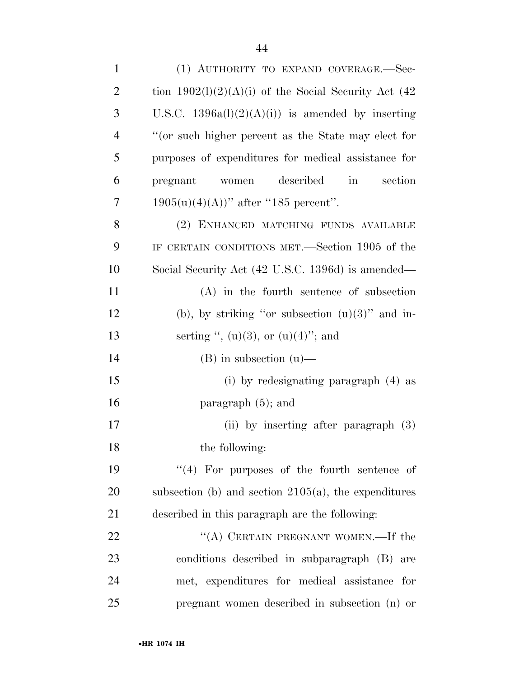| $\mathbf{1}$   | (1) AUTHORITY TO EXPAND COVERAGE.-Sec-                           |
|----------------|------------------------------------------------------------------|
| $\overline{2}$ | tion $1902(1)(2)(A)(i)$ of the Social Security Act (42)          |
| 3              | U.S.C. $1396a(l)(2)(A)(i)$ is amended by inserting               |
| $\overline{4}$ | "(or such higher percent as the State may elect for              |
| 5              | purposes of expenditures for medical assistance for              |
| 6              | described<br>section<br>pregnant<br>$\operatorname{in}$<br>women |
| 7              | $1905(u)(4)(A))$ " after "185 percent".                          |
| 8              | (2) ENHANCED MATCHING FUNDS AVAILABLE                            |
| 9              | IF CERTAIN CONDITIONS MET.—Section 1905 of the                   |
| 10             | Social Security Act (42 U.S.C. 1396d) is amended—                |
| 11             | $(A)$ in the fourth sentence of subsection                       |
| 12             | (b), by striking "or subsection $(u)(3)$ " and in-               |
| 13             | serting ", $(u)(3)$ , or $(u)(4)$ "; and                         |
| 14             | $(B)$ in subsection $(u)$ —                                      |
| 15             | (i) by redesignating paragraph $(4)$ as                          |
| 16             | paragraph $(5)$ ; and                                            |
| 17             | (ii) by inserting after paragraph $(3)$                          |
| 18             | the following:                                                   |
| 19             | $\lq(4)$ For purposes of the fourth sentence of                  |
| 20             | subsection (b) and section $2105(a)$ , the expenditures          |
| 21             | described in this paragraph are the following:                   |
| 22             | "(A) CERTAIN PREGNANT WOMEN.—If the                              |
| 23             | conditions described in subparagraph (B)<br>are                  |
| 24             | met, expenditures for medical assistance<br>for                  |
| 25             | pregnant women described in subsection (n) or                    |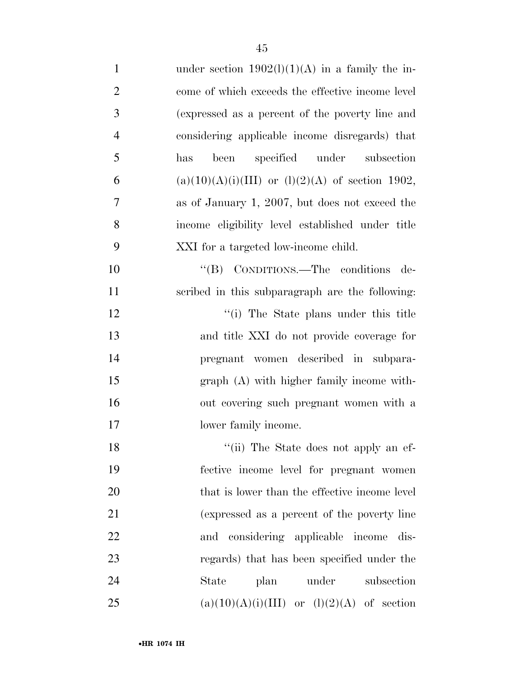| $\mathbf{1}$   | under section $1902(l)(1)(A)$ in a family the in-    |
|----------------|------------------------------------------------------|
| $\overline{2}$ | come of which exceeds the effective income level     |
| 3              | (expressed as a percent of the poverty line and      |
| $\overline{4}$ | considering applicable income disregards) that       |
| 5              | been specified under subsection<br>has               |
| 6              | $(a)(10)(A)(i)(III)$ or $(l)(2)(A)$ of section 1902, |
| 7              | as of January 1, 2007, but does not exceed the       |
| 8              | income eligibility level established under title     |
| 9              | XXI for a targeted low-income child.                 |
| 10             | "(B) CONDITIONS.—The conditions de-                  |
| 11             | scribed in this subparagraph are the following:      |
| 12             | "(i) The State plans under this title                |
| 13             | and title XXI do not provide coverage for            |
| 14             | pregnant women described in subpara-                 |
| 15             | graph (A) with higher family income with-            |
| 16             | out covering such pregnant women with a              |
| 17             | lower family income.                                 |
| 18             | "(ii) The State does not apply an ef-                |
| 19             | fective income level for pregnant women              |
| 20             | that is lower than the effective income level        |
| 21             | (expressed as a percent of the poverty line          |
| 22             | considering applicable income dis-<br>and            |
| 23             | regards) that has been specified under the           |
| 24             | under<br>State<br>plan<br>subsection                 |
| 25             | $(a)(10)(A)(i)(III)$ or $(l)(2)(A)$ of section       |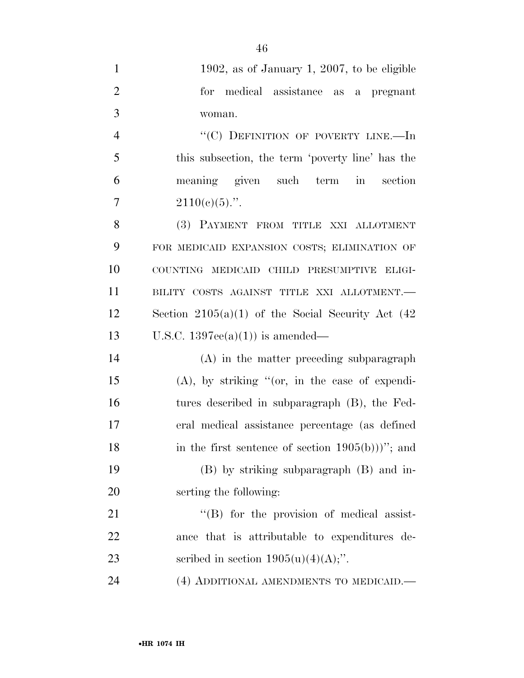| $\mathbf{1}$   | 1902, as of January 1, 2007, to be eligible            |
|----------------|--------------------------------------------------------|
| $\overline{2}$ | for medical assistance as a pregnant                   |
| 3              | woman.                                                 |
| $\overline{4}$ | "(C) DEFINITION OF POVERTY LINE.-In                    |
| 5              | this subsection, the term 'poverty line' has the       |
| 6              | meaning given such term in section                     |
| 7              | $2110(e)(5)$ .".                                       |
| 8              | (3) PAYMENT FROM TITLE XXI ALLOTMENT                   |
| 9              | FOR MEDICAID EXPANSION COSTS; ELIMINATION OF           |
| 10             | COUNTING MEDICAID CHILD PRESUMPTIVE ELIGI-             |
| 11             | BILITY COSTS AGAINST TITLE XXI ALLOTMENT.-             |
| 12             | Section $2105(a)(1)$ of the Social Security Act $(42)$ |
| 13             | U.S.C. $1397ee(a)(1)$ is amended—                      |
| 14             | (A) in the matter preceding subparagraph               |
| 15             | $(A)$ , by striking "(or, in the case of expendi-      |
| 16             | tures described in subparagraph (B), the Fed-          |
| 17             | eral medical assistance percentage (as defined         |
| 18             | in the first sentence of section $1905(b))$ "; and     |
| 19             | (B) by striking subparagraph (B) and in-               |
| 20             | serting the following:                                 |
| 21             | $\lq\lq$ (B) for the provision of medical assist-      |
| 22             | ance that is attributable to expenditures de-          |
| 23             | scribed in section $1905(u)(4)(A);$ ".                 |
| 24             | (4) ADDITIONAL AMENDMENTS TO MEDICAID.                 |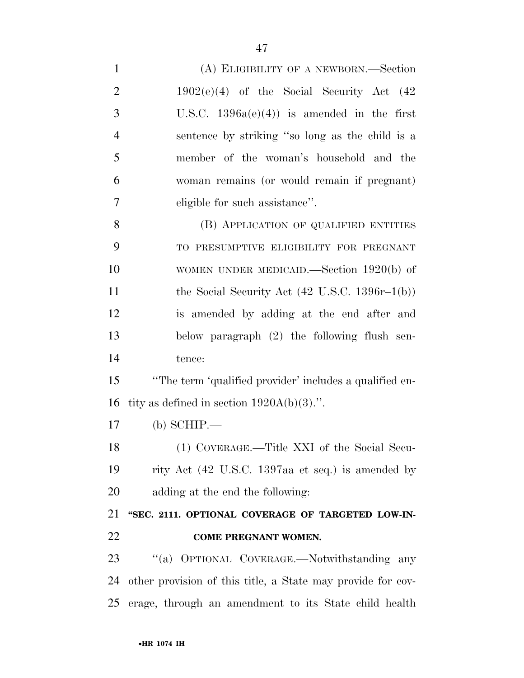| $\mathbf{1}$   | (A) ELIGIBILITY OF A NEWBORN.—Section                       |
|----------------|-------------------------------------------------------------|
| $\overline{2}$ | $1902(e)(4)$ of the Social Security Act $(42)$              |
| 3              | U.S.C. $1396a(e)(4)$ is amended in the first                |
| $\overline{4}$ | sentence by striking "so long as the child is a             |
| 5              | member of the woman's household and the                     |
| 6              | woman remains (or would remain if pregnant)                 |
| $\overline{7}$ | eligible for such assistance".                              |
| 8              | (B) APPLICATION OF QUALIFIED ENTITIES                       |
| 9              | TO PRESUMPTIVE ELIGIBILITY FOR PREGNANT                     |
| 10             | WOMEN UNDER MEDICAID.—Section $1920(b)$ of                  |
| 11             | the Social Security Act $(42 \text{ U.S.C. } 1396r-1(b))$   |
| 12             | is amended by adding at the end after and                   |
| 13             | below paragraph (2) the following flush sen-                |
| 14             | tence:                                                      |
| 15             | "The term 'qualified provider' includes a qualified en-     |
| 16             | tity as defined in section $1920A(b)(3)$ .".                |
| 17             | $(b)$ SCHIP.—                                               |
| 18             | (1) COVERAGE.—Title XXI of the Social Secu-                 |
| 19             | rity Act (42 U.S.C. 1397aa et seq.) is amended by           |
| 20             | adding at the end the following:                            |
| 21             | "SEC. 2111. OPTIONAL COVERAGE OF TARGETED LOW-IN-           |
| 22             | COME PREGNANT WOMEN.                                        |
| 23             | "(a) OPTIONAL COVERAGE.—Notwithstanding any                 |
| 24             | other provision of this title, a State may provide for cov- |
| 25             | erage, through an amendment to its State child health       |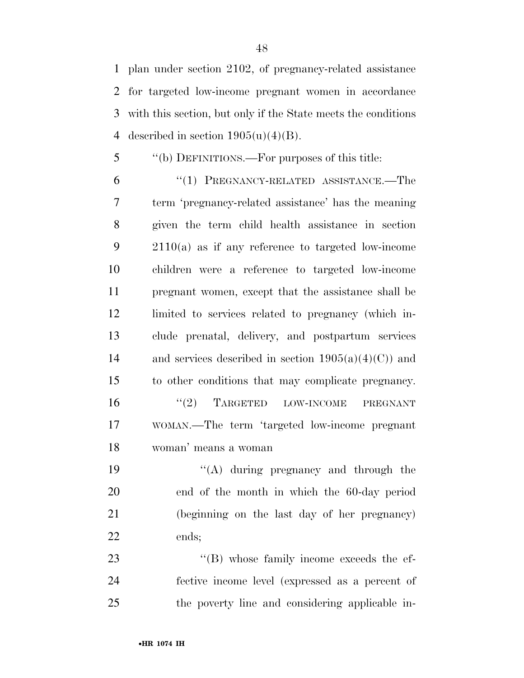plan under section 2102, of pregnancy-related assistance for targeted low-income pregnant women in accordance with this section, but only if the State meets the conditions 4 described in section  $1905(u)(4)(B)$ .

''(b) DEFINITIONS.—For purposes of this title:

 ''(1) PREGNANCY-RELATED ASSISTANCE.—The term 'pregnancy-related assistance' has the meaning given the term child health assistance in section 2110(a) as if any reference to targeted low-income children were a reference to targeted low-income pregnant women, except that the assistance shall be limited to services related to pregnancy (which in- clude prenatal, delivery, and postpartum services 14 and services described in section  $1905(a)(4)(C)$  and to other conditions that may complicate pregnancy.  $\frac{16}{2}$  TARGETED LOW-INCOME PREGNANT WOMAN.—The term 'targeted low-income pregnant woman' means a woman

19 ''(A) during pregnancy and through the end of the month in which the 60-day period (beginning on the last day of her pregnancy) ends;

23  $\langle$  (B) whose family income exceeds the ef- fective income level (expressed as a percent of the poverty line and considering applicable in-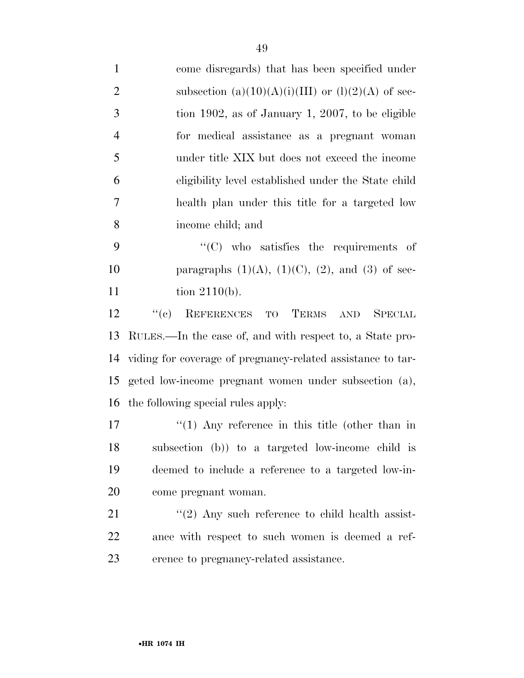| $\mathbf{1}$   | come disregards) that has been specified under              |
|----------------|-------------------------------------------------------------|
| $\overline{2}$ | subsection $(a)(10)(A)(i)(III)$ or $(l)(2)(A)$ of sec-      |
| 3              | tion 1902, as of January 1, 2007, to be eligible            |
| $\overline{4}$ | for medical assistance as a pregnant woman                  |
| 5              | under title XIX but does not exceed the income              |
| 6              | eligibility level established under the State child         |
| 7              | health plan under this title for a targeted low             |
| 8              | income child; and                                           |
| 9              | $\cdot$ (C) who satisfies the requirements of               |
| 10             | paragraphs $(1)(A)$ , $(1)(C)$ , $(2)$ , and $(3)$ of sec-  |
| 11             | tion $2110(b)$ .                                            |
| 12             | ``(e)<br>REFERENCES TO TERMS AND SPECIAL                    |
| 13             | RULES.—In the case of, and with respect to, a State pro-    |
| 14             | viding for coverage of pregnancy-related assistance to tar- |
| 15             | geted low-income pregnant women under subsection (a),       |
| 16             | the following special rules apply:                          |
| 17             | $\lq(1)$ Any reference in this title (other than in         |
| 18             | subsection (b)) to a targeted low-income child is           |
| 19             | deemed to include a reference to a targeted low-in-         |
| 20             | come pregnant woman.                                        |
| 21             | $\lq(2)$ Any such reference to child health assist-         |
| 22             | ance with respect to such women is deemed a ref-            |
| 23             | erence to pregnancy-related assistance.                     |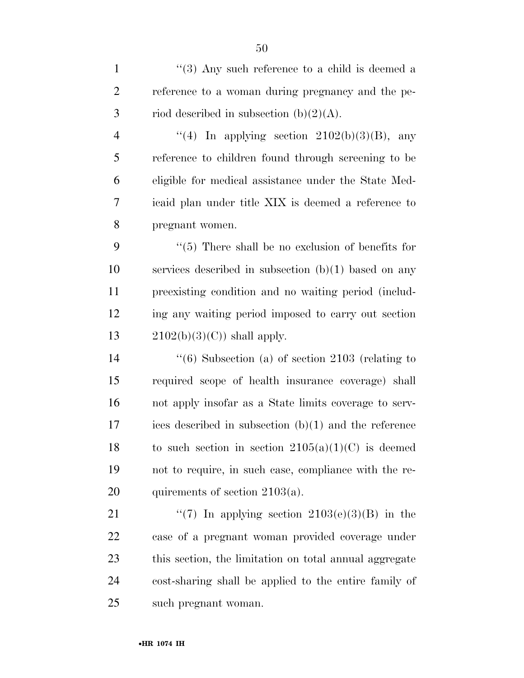1 ''(3) Any such reference to a child is deemed a reference to a woman during pregnancy and the pe-3 riod described in subsection  $(b)(2)(A)$ . 4 "(4) In applying section  $2102(b)(3)(B)$ , any reference to children found through screening to be eligible for medical assistance under the State Med- icaid plan under title XIX is deemed a reference to pregnant women. ''(5) There shall be no exclusion of benefits for services described in subsection (b)(1) based on any preexisting condition and no waiting period (includ- ing any waiting period imposed to carry out section  $2102(b)(3)(C)$  shall apply. ''(6) Subsection (a) of section 2103 (relating to required scope of health insurance coverage) shall not apply insofar as a State limits coverage to serv- ices described in subsection (b)(1) and the reference 18 to such section in section  $2105(a)(1)(C)$  is deemed not to require, in such case, compliance with the re-20 quirements of section  $2103(a)$ .  $\frac{4}{7}$  In applying section 2103(e)(3)(B) in the case of a pregnant woman provided coverage under this section, the limitation on total annual aggregate cost-sharing shall be applied to the entire family of

such pregnant woman.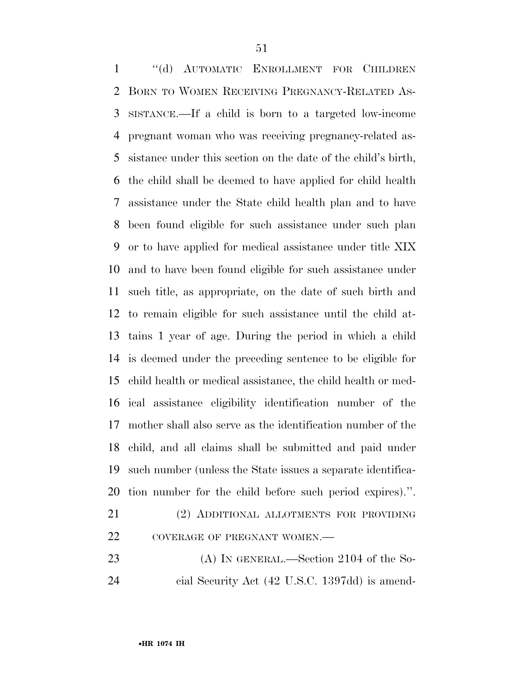''(d) AUTOMATIC ENROLLMENT FOR CHILDREN BORN TO WOMEN RECEIVING PREGNANCY-RELATED AS- SISTANCE.—If a child is born to a targeted low-income pregnant woman who was receiving pregnancy-related as- sistance under this section on the date of the child's birth, the child shall be deemed to have applied for child health assistance under the State child health plan and to have been found eligible for such assistance under such plan or to have applied for medical assistance under title XIX and to have been found eligible for such assistance under such title, as appropriate, on the date of such birth and to remain eligible for such assistance until the child at- tains 1 year of age. During the period in which a child is deemed under the preceding sentence to be eligible for child health or medical assistance, the child health or med- ical assistance eligibility identification number of the mother shall also serve as the identification number of the child, and all claims shall be submitted and paid under such number (unless the State issues a separate identifica- tion number for the child before such period expires).''. (2) ADDITIONAL ALLOTMENTS FOR PROVIDING

| ∠⊥ | (2) ADDITIONAL ALLOTMENTS FOR PROVIDING |
|----|-----------------------------------------|
| 22 | COVERAGE OF PREGNANT WOMEN.—            |

23 (A) IN GENERAL.—Section 2104 of the So-cial Security Act (42 U.S.C. 1397dd) is amend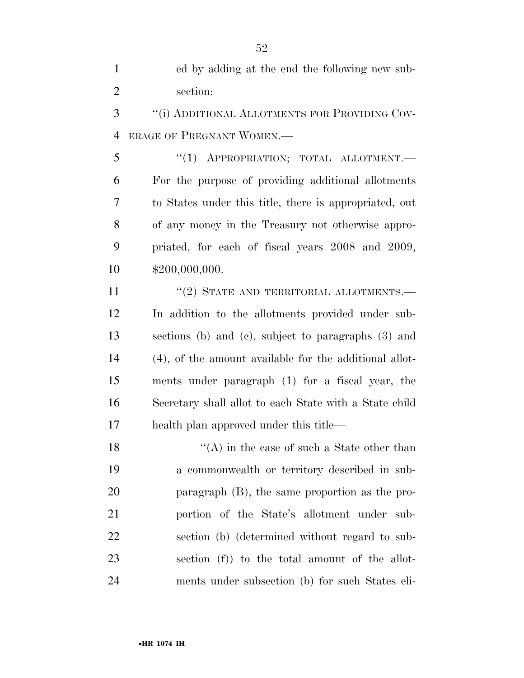ed by adding at the end the following new sub-section:

 ''(i) ADDITIONAL ALLOTMENTS FOR PROVIDING COV-ERAGE OF PREGNANT WOMEN.—

5 "(1) APPROPRIATION; TOTAL ALLOTMENT. For the purpose of providing additional allotments to States under this title, there is appropriated, out of any money in the Treasury not otherwise appro- priated, for each of fiscal years 2008 and 2009, \$200,000,000.

11 "(2) STATE AND TERRITORIAL ALLOTMENTS.— In addition to the allotments provided under sub- sections (b) and (c), subject to paragraphs (3) and (4), of the amount available for the additional allot- ments under paragraph (1) for a fiscal year, the Secretary shall allot to each State with a State child health plan approved under this title—

18 ''(A) in the case of such a State other than a commonwealth or territory described in sub- paragraph (B), the same proportion as the pro- portion of the State's allotment under sub- section (b) (determined without regard to sub- section (f)) to the total amount of the allot-ments under subsection (b) for such States eli-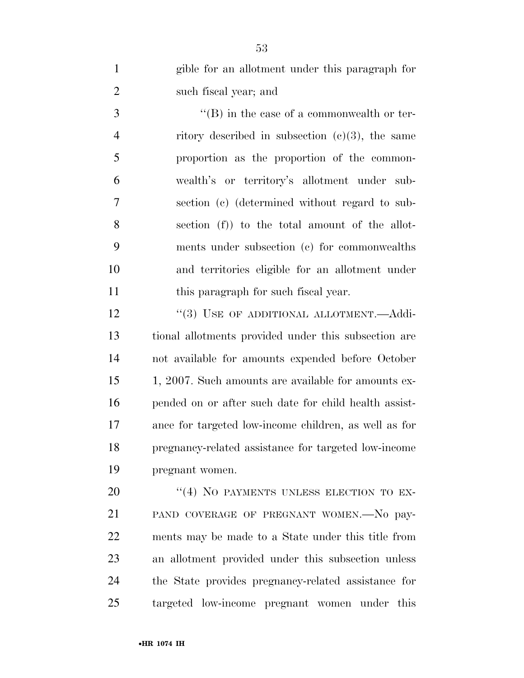| $\mathbf{1}$   | gible for an allotment under this paragraph for       |
|----------------|-------------------------------------------------------|
| $\overline{2}$ | such fiscal year; and                                 |
| 3              | $\lq\lq (B)$ in the case of a commonwealth or ter-    |
| $\overline{4}$ | ritory described in subsection $(c)(3)$ , the same    |
| 5              | proportion as the proportion of the common-           |
| 6              | wealth's or territory's allotment under sub-          |
| 7              | section (c) (determined without regard to sub-        |
| 8              | section (f) to the total amount of the allot-         |
| 9              | ments under subsection (c) for commonwealths          |
| 10             | and territories eligible for an allotment under       |
| 11             | this paragraph for such fiscal year.                  |
| 12             | "(3) USE OF ADDITIONAL ALLOTMENT.—Addi-               |
| 13             | tional allotments provided under this subsection are  |
| 14             | not available for amounts expended before October     |
| 15             | 1, 2007. Such amounts are available for amounts ex-   |
| 16             | pended on or after such date for child health assist- |
| 17             | ance for targeted low-income children, as well as for |
| 18             | pregnancy-related assistance for targeted low-income  |
| 19             | pregnant women.                                       |
| 20             | "(4) NO PAYMENTS UNLESS ELECTION TO EX-               |
| 21             | PAND COVERAGE OF PREGNANT WOMEN. No pay-              |

 ments may be made to a State under this title from an allotment provided under this subsection unless

 the State provides pregnancy-related assistance for targeted low-income pregnant women under this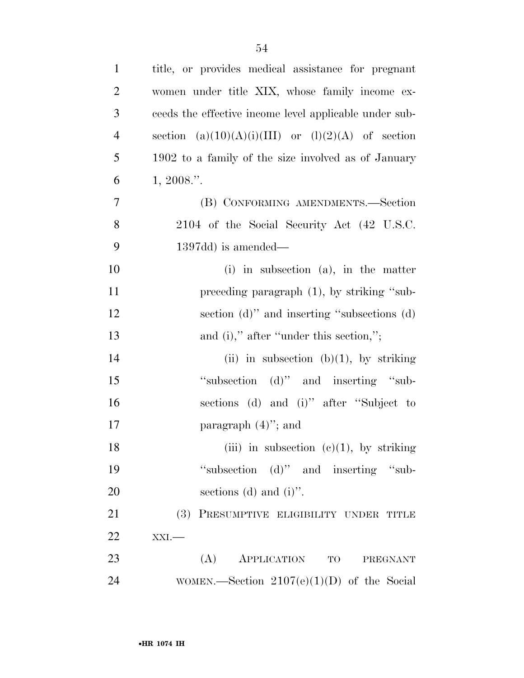| $\mathbf{1}$   | title, or provides medical assistance for pregnant     |
|----------------|--------------------------------------------------------|
| $\overline{2}$ | women under title XIX, whose family income ex-         |
| 3              | ceeds the effective income level applicable under sub- |
| $\overline{4}$ | section $(a)(10)(A)(i)(III)$ or $(l)(2)(A)$ of section |
| 5              | 1902 to a family of the size involved as of January    |
| 6              | 1, 2008."                                              |
| 7              | (B) CONFORMING AMENDMENTS.—Section                     |
| 8              | 2104 of the Social Security Act (42 U.S.C.             |
| 9              | $1397dd$ is amended—                                   |
| 10             | $(i)$ in subsection $(a)$ , in the matter              |
| 11             | preceding paragraph (1), by striking "sub-             |
| 12             | section (d)" and inserting "subsections (d)            |
| 13             | and (i)," after "under this section,";                 |
| 14             | (ii) in subsection (b)(1), by striking                 |
| 15             | "subsection (d)" and inserting "sub-                   |
| 16             | sections (d) and (i)" after "Subject to                |
| 17             | paragraph $(4)$ "; and                                 |
| 18             | (iii) in subsection (c)(1), by striking                |
| 19             | "subsection (d)" and inserting "sub-                   |
| 20             | sections (d) and $(i)$ ".                              |
| 21             | (3) PRESUMPTIVE ELIGIBILITY UNDER TITLE                |
| 22             | $XXI$ .                                                |
| 23             | (A) APPLICATION TO<br>PREGNANT                         |
| 24             | WOMEN.—Section $2107(e)(1)(D)$ of the Social           |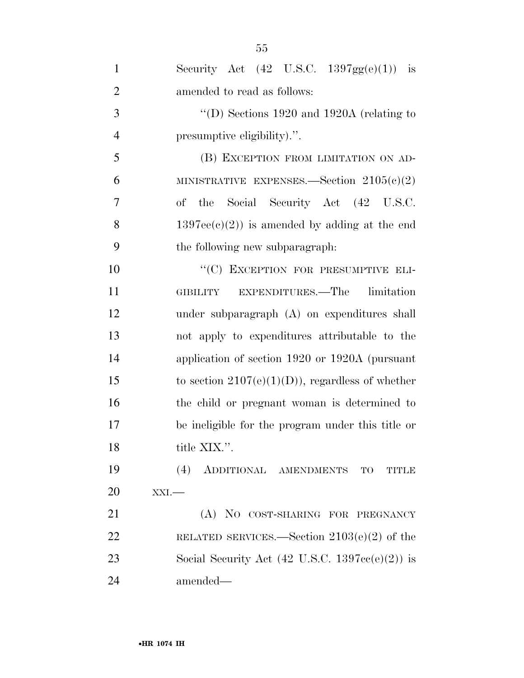| $\mathbf{1}$   | Security Act $(42 \text{ U.S.C. } 1397 \text{gg}(e)(1))$ is       |
|----------------|-------------------------------------------------------------------|
| $\overline{2}$ | amended to read as follows:                                       |
| 3              | "(D) Sections $1920$ and $1920A$ (relating to                     |
| $\overline{4}$ | presumptive eligibility).".                                       |
| 5              | (B) EXCEPTION FROM LIMITATION ON AD-                              |
| 6              | MINISTRATIVE EXPENSES. Section $2105(c)(2)$                       |
| 7              | Social Security Act (42 U.S.C.<br>of<br>the                       |
| 8              | $1397ee(e)(2)$ is amended by adding at the end                    |
| 9              | the following new subparagraph.                                   |
| 10             | "(C) EXCEPTION FOR PRESUMPTIVE ELI-                               |
| 11             | GIBILITY EXPENDITURES.—The limitation                             |
| 12             | under subparagraph (A) on expenditures shall                      |
| 13             | not apply to expenditures attributable to the                     |
| 14             | application of section 1920 or 1920A (pursuant                    |
| 15             | to section $2107(e)(1)(D)$ , regardless of whether                |
| 16             | the child or pregnant woman is determined to                      |
| 17             | be ineligible for the program under this title or                 |
| 18             | title XIX.".                                                      |
| 19             | (4)<br>ADDITIONAL AMENDMENTS TO<br><b>TITLE</b>                   |
| 20             | $XXI$ .                                                           |
| 21             | (A) NO COST-SHARING FOR PREGNANCY                                 |
| 22             | RELATED SERVICES.—Section $2103(e)(2)$ of the                     |
| 23             | Social Security Act $(42 \text{ U.S.C. } 1397\text{cc}(e)(2))$ is |
| 24             | amended—                                                          |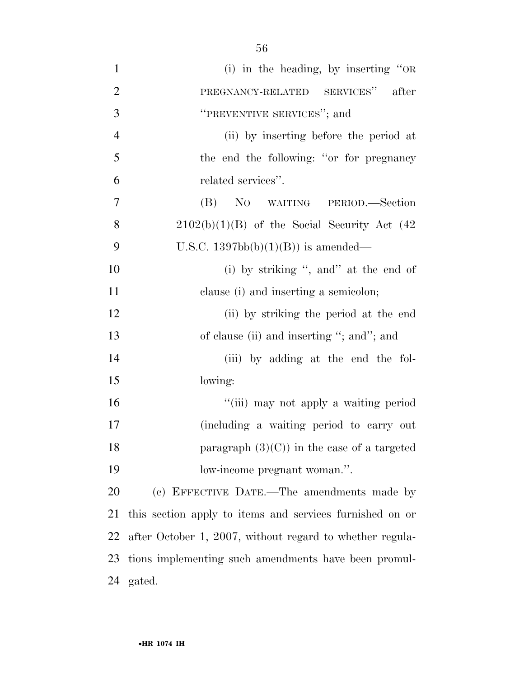(i) in the heading, by inserting ''OR PREGNANCY-RELATED SERVICES'' after **THEYENTIVE SERVICES'**; and (ii) by inserting before the period at the end the following: ''or for pregnancy related services''. (B) NO WAITING PERIOD.—Section 8 2102(b)(1)(B) of the Social Security Act  $(42)$ 9 U.S.C.  $1397bb(b)(1)(B)$  is amended— 10 (i) by striking ", and" at the end of clause (i) and inserting a semicolon; (ii) by striking the period at the end 13 of clause (ii) and inserting "; and"; and (iii) by adding at the end the fol- lowing:  $\frac{1}{10}$  may not apply a waiting period (including a waiting period to carry out **paragraph**  $(3)(C)$  in the case of a targeted low-income pregnant woman.''. (c) EFFECTIVE DATE.—The amendments made by

 this section apply to items and services furnished on or after October 1, 2007, without regard to whether regula- tions implementing such amendments have been promul-gated.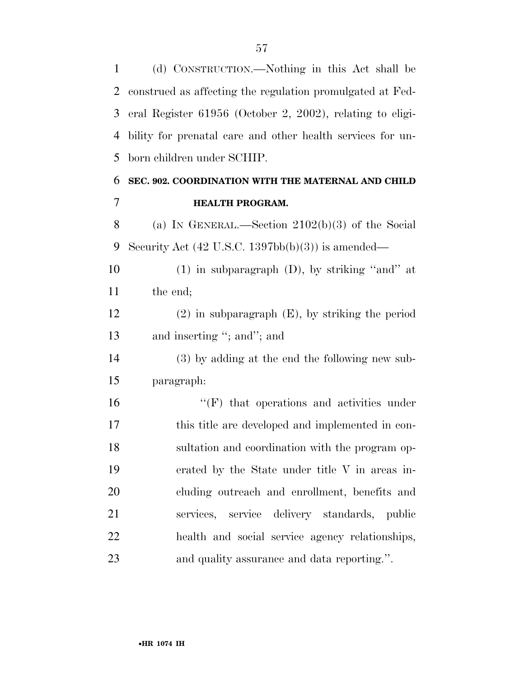(d) CONSTRUCTION.—Nothing in this Act shall be

| 2  | construed as affecting the regulation promulgated at Fed-            |
|----|----------------------------------------------------------------------|
| 3  | eral Register $61956$ (October 2, 2002), relating to eligi-          |
| 4  | bility for prenatal care and other health services for un-           |
| 5  | born children under SCHIP.                                           |
| 6  | SEC. 902. COORDINATION WITH THE MATERNAL AND CHILD                   |
| 7  | <b>HEALTH PROGRAM.</b>                                               |
| 8  | (a) IN GENERAL.—Section $2102(b)(3)$ of the Social                   |
| 9  | Security Act $(42 \text{ U.S.C. } 1397 \text{bb}(b)(3))$ is amended— |
| 10 | $(1)$ in subparagraph $(D)$ , by striking "and" at                   |
| 11 | the end;                                                             |
| 12 | $(2)$ in subparagraph $(E)$ , by striking the period                 |
| 13 | and inserting "; and"; and                                           |
| 14 | (3) by adding at the end the following new sub-                      |
| 15 | paragraph:                                                           |
| 16 | $``(F)$ that operations and activities under                         |
| 17 | this title are developed and implemented in con-                     |
| 18 | sultation and coordination with the program op-                      |
| 19 | erated by the State under title V in areas in-                       |
| 20 | cluding outreach and enrollment, benefits and                        |
| 21 | services, service delivery standards, public                         |
| 22 | health and social service agency relationships,                      |
| 23 | and quality assurance and data reporting.".                          |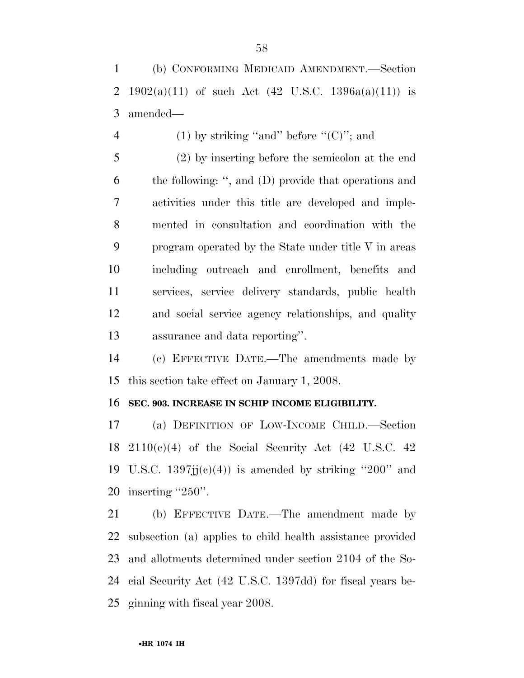(b) CONFORMING MEDICAID AMENDMENT.—Section 2 1902(a)(11) of such Act (42 U.S.C. 1396a(a)(11)) is amended—

4 (1) by striking "and" before " $(C)$ "; and

 (2) by inserting before the semicolon at the end the following: '', and (D) provide that operations and activities under this title are developed and imple- mented in consultation and coordination with the program operated by the State under title V in areas including outreach and enrollment, benefits and services, service delivery standards, public health and social service agency relationships, and quality assurance and data reporting''.

 (c) EFFECTIVE DATE.—The amendments made by this section take effect on January 1, 2008.

#### **SEC. 903. INCREASE IN SCHIP INCOME ELIGIBILITY.**

 (a) DEFINITION OF LOW-INCOME CHILD.—Section  $2110(c)(4)$  of the Social Security Act (42 U.S.C. 42) 19 U.S.C.  $1397jj(c)(4)$  is amended by striking "200" and inserting ''250''.

 (b) EFFECTIVE DATE.—The amendment made by subsection (a) applies to child health assistance provided and allotments determined under section 2104 of the So- cial Security Act (42 U.S.C. 1397dd) for fiscal years be-ginning with fiscal year 2008.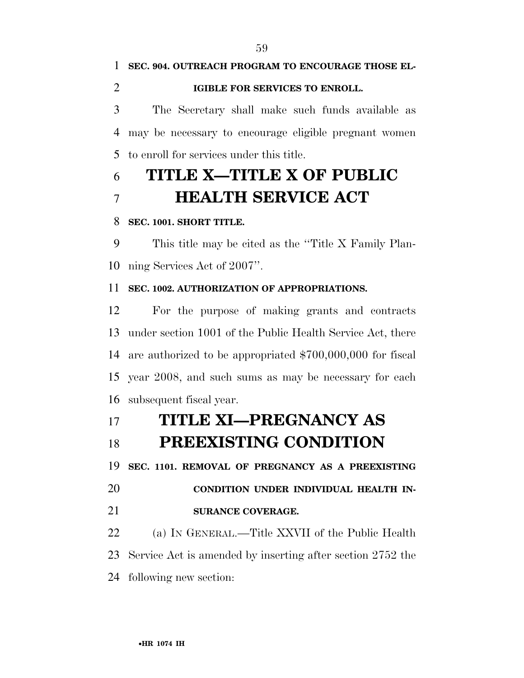**SEC. 904. OUTREACH PROGRAM TO ENCOURAGE THOSE EL- IGIBLE FOR SERVICES TO ENROLL.**  The Secretary shall make such funds available as may be necessary to encourage eligible pregnant women

to enroll for services under this title.

# **TITLE X—TITLE X OF PUBLIC HEALTH SERVICE ACT**

#### **SEC. 1001. SHORT TITLE.**

 This title may be cited as the ''Title X Family Plan-ning Services Act of 2007''.

#### **SEC. 1002. AUTHORIZATION OF APPROPRIATIONS.**

 For the purpose of making grants and contracts under section 1001 of the Public Health Service Act, there are authorized to be appropriated \$700,000,000 for fiscal year 2008, and such sums as may be necessary for each subsequent fiscal year.

### **TITLE XI—PREGNANCY AS**

## **PREEXISTING CONDITION**

**SEC. 1101. REMOVAL OF PREGNANCY AS A PREEXISTING** 

**CONDITION UNDER INDIVIDUAL HEALTH IN-**

#### **SURANCE COVERAGE.**

 (a) IN GENERAL.—Title XXVII of the Public Health Service Act is amended by inserting after section 2752 the following new section: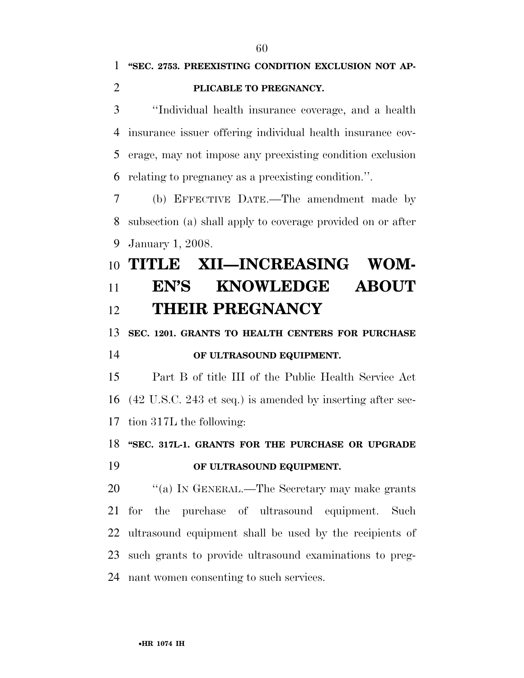''Individual health insurance coverage, and a health insurance issuer offering individual health insurance cov- erage, may not impose any preexisting condition exclusion relating to pregnancy as a preexisting condition.''.

 (b) EFFECTIVE DATE.—The amendment made by subsection (a) shall apply to coverage provided on or after January 1, 2008.

# **TITLE XII—INCREASING WOM- EN'S KNOWLEDGE ABOUT THEIR PREGNANCY**

**SEC. 1201. GRANTS TO HEALTH CENTERS FOR PURCHASE** 

#### **OF ULTRASOUND EQUIPMENT.**

 Part B of title III of the Public Health Service Act (42 U.S.C. 243 et seq.) is amended by inserting after sec-tion 317L the following:

### **''SEC. 317L-1. GRANTS FOR THE PURCHASE OR UPGRADE**

#### **OF ULTRASOUND EQUIPMENT.**

20 "(a) In GENERAL.—The Secretary may make grants for the purchase of ultrasound equipment. Such ultrasound equipment shall be used by the recipients of such grants to provide ultrasound examinations to preg-nant women consenting to such services.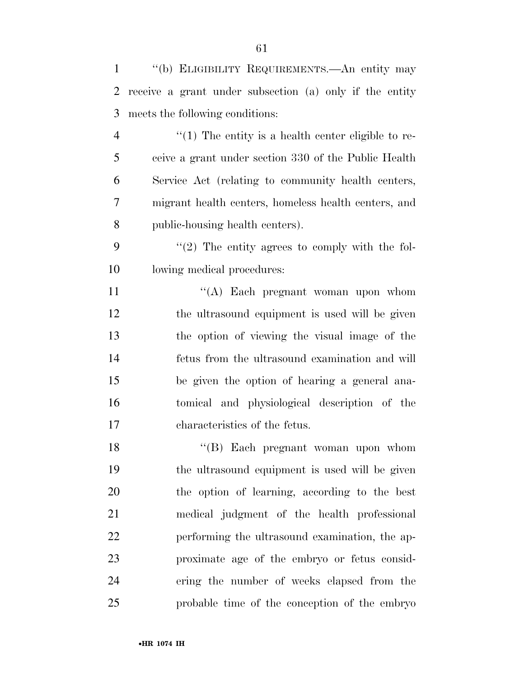| $\mathbf{1}$ | "(b) ELIGIBILITY REQUIREMENTS.—An entity may            |
|--------------|---------------------------------------------------------|
| 2            | receive a grant under subsection (a) only if the entity |
| 3            | meets the following conditions:                         |
| 4            | $\lq(1)$ The entity is a health center eligible to re-  |
| 5            | ceive a grant under section 330 of the Public Health    |
| 6            | Service Act (relating to community health centers,      |
| 7            | migrant health centers, homeless health centers, and    |
| 8            | public-housing health centers).                         |
| 9            | $\lq(2)$ The entity agrees to comply with the fol-      |
| 10           | lowing medical procedures:                              |
| 11           | "(A) Each pregnant woman upon whom                      |
| 12           | the ultrasound equipment is used will be given          |
| 13           | the option of viewing the visual image of the           |
| 14           | fetus from the ultrasound examination and will          |
| 15           | be given the option of hearing a general ana-           |
| 16           | tomical and physiological description of the            |
| 17           | characteristics of the fetus.                           |
| 18           | "(B) Each pregnant woman upon whom                      |
| 19           | the ultrasound equipment is used will be given          |
| 20           | the option of learning, according to the best           |
| 21           | medical judgment of the health professional             |
| 22           | performing the ultrasound examination, the ap-          |
| 23           | proximate age of the embryo or fetus consid-            |
| 24           | ering the number of weeks elapsed from the              |
| 25           | probable time of the conception of the embryo           |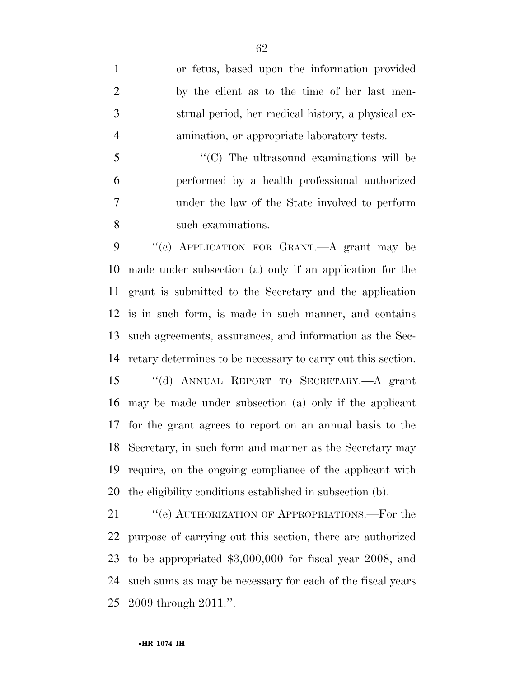or fetus, based upon the information provided by the client as to the time of her last men- strual period, her medical history, a physical ex-amination, or appropriate laboratory tests.

 $\cdot$  (C) The ultrasound examinations will be performed by a health professional authorized under the law of the State involved to perform such examinations.

 ''(c) APPLICATION FOR GRANT.—A grant may be made under subsection (a) only if an application for the grant is submitted to the Secretary and the application is in such form, is made in such manner, and contains such agreements, assurances, and information as the Sec- retary determines to be necessary to carry out this section. ''(d) ANNUAL REPORT TO SECRETARY.—A grant may be made under subsection (a) only if the applicant for the grant agrees to report on an annual basis to the Secretary, in such form and manner as the Secretary may require, on the ongoing compliance of the applicant with the eligibility conditions established in subsection (b).

21 " (e) AUTHORIZATION OF APPROPRIATIONS.—For the purpose of carrying out this section, there are authorized to be appropriated \$3,000,000 for fiscal year 2008, and such sums as may be necessary for each of the fiscal years 2009 through 2011.''.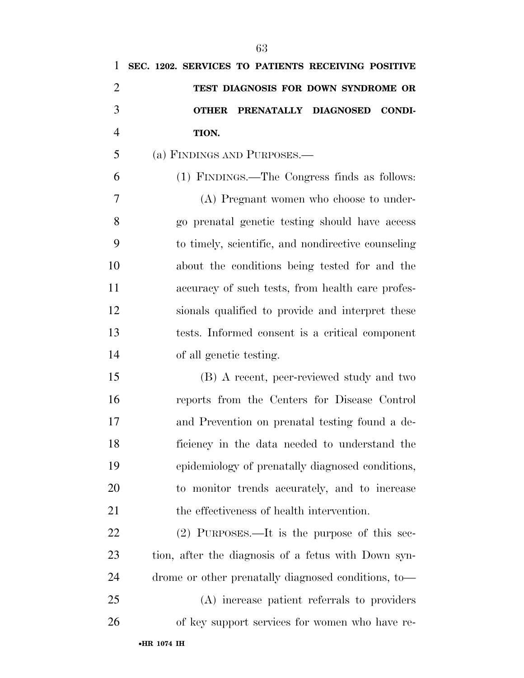| 1              | SEC. 1202. SERVICES TO PATIENTS RECEIVING POSITIVE    |
|----------------|-------------------------------------------------------|
| $\overline{2}$ | TEST DIAGNOSIS FOR DOWN SYNDROME OR                   |
| 3              | PRENATALLY DIAGNOSED<br><b>CONDI-</b><br><b>OTHER</b> |
| $\overline{4}$ | TION.                                                 |
| 5              | (a) FINDINGS AND PURPOSES.—                           |
| 6              | (1) FINDINGS.—The Congress finds as follows:          |
| 7              | (A) Pregnant women who choose to under-               |
| 8              | go prenatal genetic testing should have access        |
| 9              | to timely, scientific, and nondirective counseling    |
| 10             | about the conditions being tested for and the         |
| 11             | accuracy of such tests, from health care profes-      |
| 12             | sionals qualified to provide and interpret these      |
| 13             | tests. Informed consent is a critical component       |
| 14             | of all genetic testing.                               |
| 15             | (B) A recent, peer-reviewed study and two             |
| 16             | reports from the Centers for Disease Control          |
| 17             | and Prevention on prenatal testing found a de-        |
| 18             | ficiency in the data needed to understand the         |
| 19             | epidemiology of prenatally diagnosed conditions,      |
| 20             | to monitor trends accurately, and to increase         |
| 21             | the effectiveness of health intervention.             |
| 22             | $(2)$ PURPOSES.—It is the purpose of this sec-        |
| 23             | tion, after the diagnosis of a fetus with Down syn-   |
| 24             | drome or other prenatally diagnosed conditions, to-   |
| 25             | (A) increase patient referrals to providers           |
| 26             | of key support services for women who have re-        |
|                |                                                       |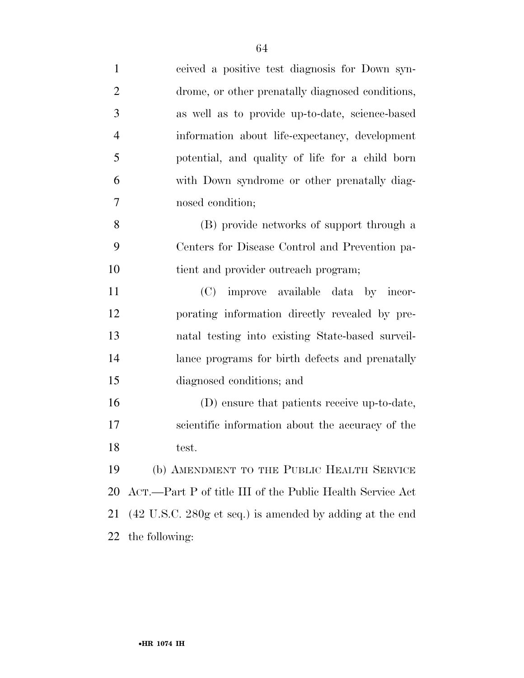| $\mathbf{1}$   | ceived a positive test diagnosis for Down syn-            |
|----------------|-----------------------------------------------------------|
| $\overline{2}$ | drome, or other prenatally diagnosed conditions,          |
| 3              | as well as to provide up-to-date, science-based           |
| $\overline{4}$ | information about life-expectancy, development            |
| 5              | potential, and quality of life for a child born           |
| 6              | with Down syndrome or other prenatally diag-              |
| 7              | nosed condition;                                          |
| 8              | (B) provide networks of support through a                 |
| 9              | Centers for Disease Control and Prevention pa-            |
| 10             | tient and provider outreach program;                      |
| 11             | (C) improve available data by incor-                      |
| 12             | porating information directly revealed by pre-            |
| 13             | natal testing into existing State-based surveil-          |
| 14             | lance programs for birth defects and prenatally           |
| 15             | diagnosed conditions; and                                 |
| 16             | (D) ensure that patients receive up-to-date,              |
| 17             | scientific information about the accuracy of the          |
| 18             | test.                                                     |
| 19             | (b) AMENDMENT TO THE PUBLIC HEALTH SERVICE                |
| 20             | ACT.—Part P of title III of the Public Health Service Act |
| 21             | (42 U.S.C. 280g et seq.) is amended by adding at the end  |
| 22             | the following:                                            |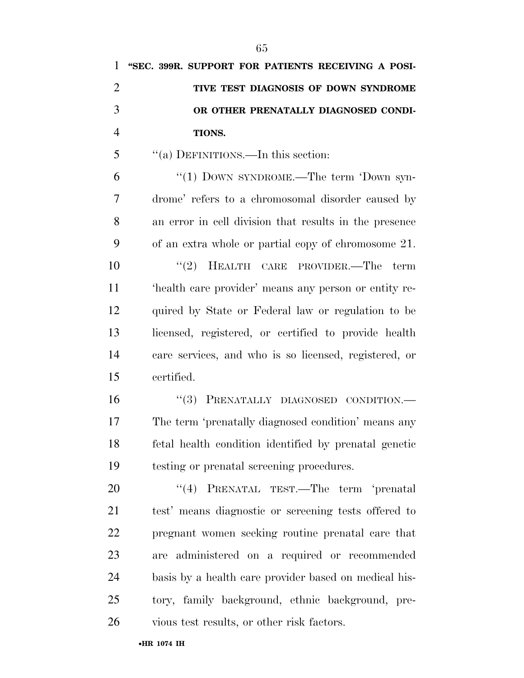| 1              | "SEC. 399R. SUPPORT FOR PATIENTS RECEIVING A POSI-     |
|----------------|--------------------------------------------------------|
| $\overline{2}$ | TIVE TEST DIAGNOSIS OF DOWN SYNDROME                   |
| 3              | OR OTHER PRENATALLY DIAGNOSED CONDI-                   |
| $\overline{4}$ | TIONS.                                                 |
| 5              | "(a) DEFINITIONS.—In this section:                     |
| 6              | "(1) DOWN SYNDROME.—The term 'Down syn-                |
| 7              | drome' refers to a chromosomal disorder caused by      |
| 8              | an error in cell division that results in the presence |
| 9              | of an extra whole or partial copy of chromosome 21.    |
| 10             | $(2)$ HEALTH CARE PROVIDER.—The<br>term                |
| 11             | 'health care provider' means any person or entity re-  |
| 12             | quired by State or Federal law or regulation to be     |
| 13             | licensed, registered, or certified to provide health   |
| 14             | care services, and who is so licensed, registered, or  |
| 15             | certified.                                             |
| 16             | "(3) PRENATALLY DIAGNOSED CONDITION.-                  |
| 17             | The term 'prenatally diagnosed condition' means any    |
| 18             | fetal health condition identified by prenatal genetic  |
| 19             | testing or prenatal screening procedures.              |
| 20             | "(4) PRENATAL TEST.—The term 'prenatal                 |
| 21             | test' means diagnostic or screening tests offered to   |
| 22             | pregnant women seeking routine prenatal care that      |
| 23             | are administered on a required or recommended          |
| 24             | basis by a health care provider based on medical his-  |
| 25             | tory, family background, ethnic background, pre-       |
| 26             | vious test results, or other risk factors.             |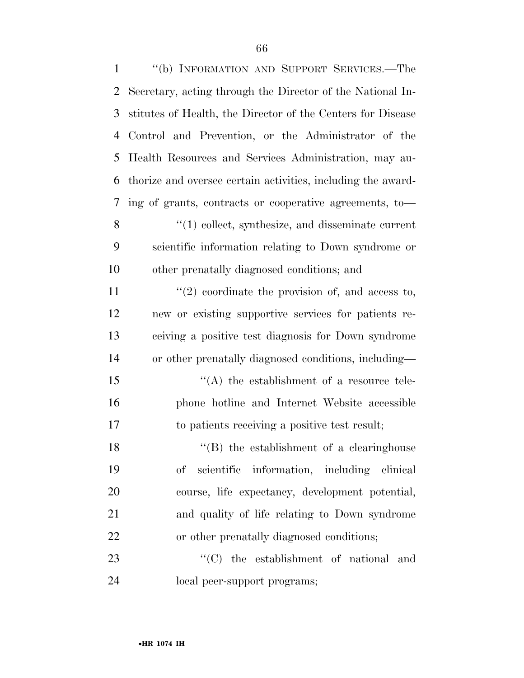| $\mathbf{1}$ | "(b) INFORMATION AND SUPPORT SERVICES.—The                   |
|--------------|--------------------------------------------------------------|
| 2            | Secretary, acting through the Director of the National In-   |
| 3            | stitutes of Health, the Director of the Centers for Disease  |
| 4            | Control and Prevention, or the Administrator of the          |
| 5            | Health Resources and Services Administration, may au-        |
| 6            | thorize and oversee certain activities, including the award- |
| 7            | ing of grants, contracts or cooperative agreements, to-      |
| 8            | $\lq(1)$ collect, synthesize, and disseminate current        |
| 9            | scientific information relating to Down syndrome or          |
| 10           | other prenatally diagnosed conditions; and                   |
| 11           | $\lq(2)$ coordinate the provision of, and access to,         |
| 12           | new or existing supportive services for patients re-         |
| 13           | ceiving a positive test diagnosis for Down syndrome          |
| 14           | or other prenatally diagnosed conditions, including—         |
| 15           | $\lq\lq$ the establishment of a resource tele-               |
| 16           | phone hotline and Internet Website accessible                |
| 17           | to patients receiving a positive test result;                |
| 18           | "(B) the establishment of a clearinghouse                    |
| 19           | scientific information, including clinical<br>$\mathrm{of}$  |
| 20           | course, life expectancy, development potential,              |
| 21           | and quality of life relating to Down syndrome                |
| 22           | or other prenatally diagnosed conditions;                    |
| 23           | "(C) the establishment of national and                       |
| 24           | local peer-support programs;                                 |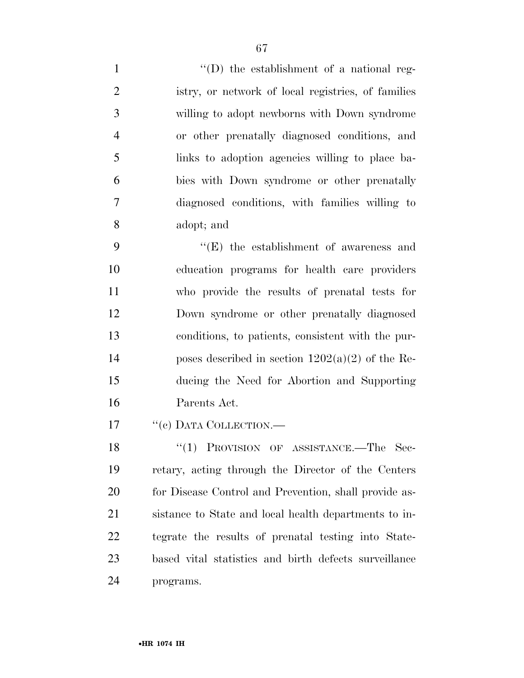$''(D)$  the establishment of a national reg- istry, or network of local registries, of families willing to adopt newborns with Down syndrome or other prenatally diagnosed conditions, and links to adoption agencies willing to place ba- bies with Down syndrome or other prenatally diagnosed conditions, with families willing to adopt; and ''(E) the establishment of awareness and

 education programs for health care providers who provide the results of prenatal tests for Down syndrome or other prenatally diagnosed conditions, to patients, consistent with the pur-14 poses described in section  $1202(a)(2)$  of the Re- ducing the Need for Abortion and Supporting Parents Act.

17 "(c) DATA COLLECTION.—

18 "(1) PROVISION OF ASSISTANCE.—The Sec- retary, acting through the Director of the Centers 20 for Disease Control and Prevention, shall provide as- sistance to State and local health departments to in- tegrate the results of prenatal testing into State- based vital statistics and birth defects surveillance programs.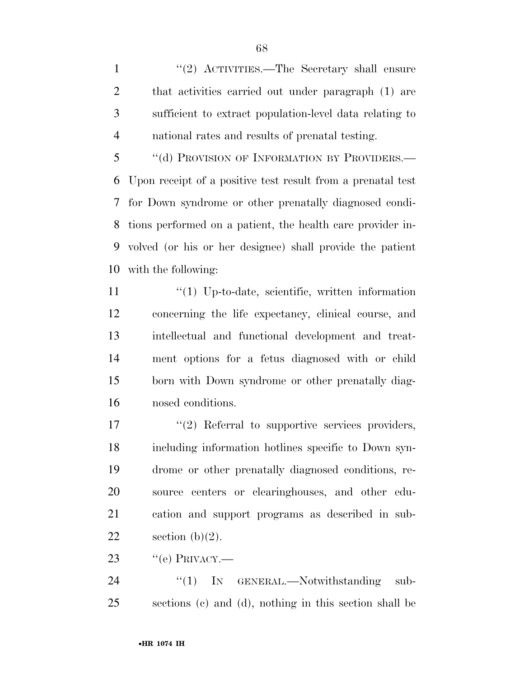1 ''(2) ACTIVITIES.—The Secretary shall ensure that activities carried out under paragraph (1) are sufficient to extract population-level data relating to national rates and results of prenatal testing.

5 "(d) PROVISION OF INFORMATION BY PROVIDERS.— Upon receipt of a positive test result from a prenatal test for Down syndrome or other prenatally diagnosed condi- tions performed on a patient, the health care provider in- volved (or his or her designee) shall provide the patient with the following:

11 ''(1) Up-to-date, scientific, written information concerning the life expectancy, clinical course, and intellectual and functional development and treat- ment options for a fetus diagnosed with or child born with Down syndrome or other prenatally diag-nosed conditions.

 $\frac{17}{2}$  Referral to supportive services providers, including information hotlines specific to Down syn- drome or other prenatally diagnosed conditions, re- source centers or clearinghouses, and other edu- cation and support programs as described in sub-22 section  $(b)(2)$ .

23  $\text{``(e) PRIVACY.}$ 

24 "(1) IN GENERAL.—Notwithstanding sub-sections (c) and (d), nothing in this section shall be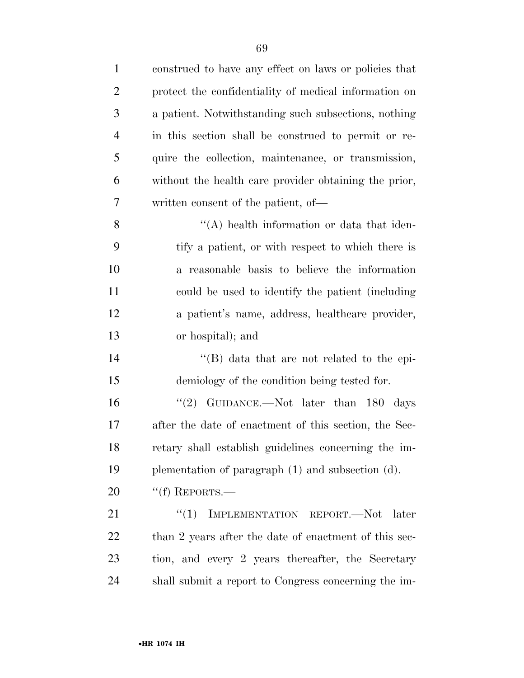| $\mathbf{1}$   | construed to have any effect on laws or policies that |
|----------------|-------------------------------------------------------|
| $\overline{2}$ | protect the confidentiality of medical information on |
| 3              | a patient. Notwithstanding such subsections, nothing  |
| $\overline{4}$ | in this section shall be construed to permit or re-   |
| 5              | quire the collection, maintenance, or transmission,   |
| 6              | without the health care provider obtaining the prior, |
| 7              | written consent of the patient, of—                   |
| 8              | $\lq\lq$ health information or data that iden-        |
| 9              | tify a patient, or with respect to which there is     |
| 10             | a reasonable basis to believe the information         |
| 11             | could be used to identify the patient (including      |
| 12             | a patient's name, address, healthcare provider,       |
| 13             | or hospital); and                                     |
| 14             | $\lq\lq (B)$ data that are not related to the epi-    |
| 15             | demiology of the condition being tested for.          |
| 16             | "(2) GUIDANCE.—Not later than $180$ days              |
| 17             | after the date of enactment of this section, the Sec- |
| 18             | retary shall establish guidelines concerning the im-  |
| 19             | plementation of paragraph (1) and subsection (d).     |
| 20             | "(f) REPORTS.—                                        |
| 21             | ``(1)<br>IMPLEMENTATION REPORT.-Not later             |
| 22             | than 2 years after the date of enactment of this sec- |
| 23             | tion, and every 2 years thereafter, the Secretary     |
| 24             | shall submit a report to Congress concerning the im-  |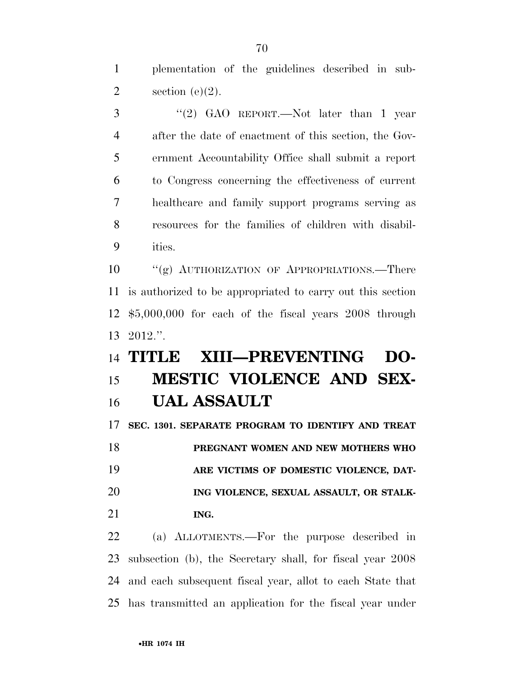plementation of the guidelines described in sub-2 section  $(e)(2)$ .

 ''(2) GAO REPORT.—Not later than 1 year after the date of enactment of this section, the Gov- ernment Accountability Office shall submit a report to Congress concerning the effectiveness of current healthcare and family support programs serving as resources for the families of children with disabil-ities.

10 "(g) AUTHORIZATION OF APPROPRIATIONS.—There is authorized to be appropriated to carry out this section \$5,000,000 for each of the fiscal years 2008 through 2012.''.

# **TITLE XIII—PREVENTING DO- MESTIC VIOLENCE AND SEX-UAL ASSAULT**

 **SEC. 1301. SEPARATE PROGRAM TO IDENTIFY AND TREAT PREGNANT WOMEN AND NEW MOTHERS WHO ARE VICTIMS OF DOMESTIC VIOLENCE, DAT- ING VIOLENCE, SEXUAL ASSAULT, OR STALK-ING.** 

 (a) ALLOTMENTS.—For the purpose described in subsection (b), the Secretary shall, for fiscal year 2008 and each subsequent fiscal year, allot to each State that has transmitted an application for the fiscal year under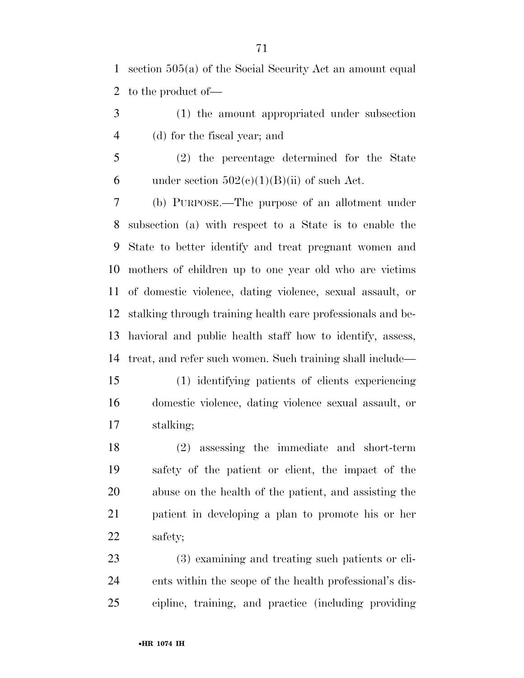section 505(a) of the Social Security Act an amount equal to the product of—

 (1) the amount appropriated under subsection (d) for the fiscal year; and

 (2) the percentage determined for the State 6 under section  $502(c)(1)(B)(ii)$  of such Act.

 (b) PURPOSE.—The purpose of an allotment under subsection (a) with respect to a State is to enable the State to better identify and treat pregnant women and mothers of children up to one year old who are victims of domestic violence, dating violence, sexual assault, or stalking through training health care professionals and be- havioral and public health staff how to identify, assess, treat, and refer such women. Such training shall include—

 (1) identifying patients of clients experiencing domestic violence, dating violence sexual assault, or stalking;

 (2) assessing the immediate and short-term safety of the patient or client, the impact of the abuse on the health of the patient, and assisting the patient in developing a plan to promote his or her safety;

 (3) examining and treating such patients or cli- ents within the scope of the health professional's dis-cipline, training, and practice (including providing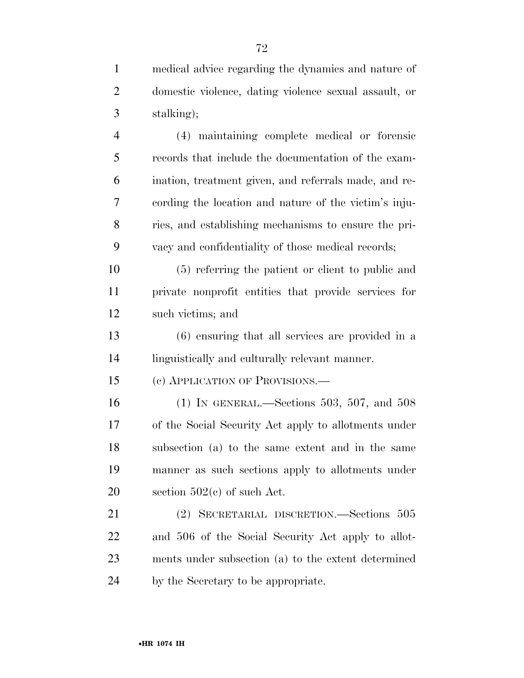| $\mathbf{1}$   | medical advice regarding the dynamics and nature of   |
|----------------|-------------------------------------------------------|
| $\overline{2}$ | domestic violence, dating violence sexual assault, or |
| 3              | stalking);                                            |
| $\overline{4}$ | (4) maintaining complete medical or forensic          |
| 5              | records that include the documentation of the exam-   |
| 6              | ination, treatment given, and referrals made, and re- |
| 7              | cording the location and nature of the victim's inju- |
| 8              | ries, and establishing mechanisms to ensure the pri-  |
| 9              | vacy and confidentiality of those medical records;    |
| 10             | (5) referring the patient or client to public and     |
| 11             | private nonprofit entities that provide services for  |
| 12             | such victims; and                                     |
| 13             | (6) ensuring that all services are provided in a      |
| 14             | linguistically and culturally relevant manner.        |
| 15             | (c) APPLICATION OF PROVISIONS.—                       |
| 16             | (1) IN GENERAL.—Sections 503, 507, and 508            |
| 17             | of the Social Security Act apply to allotments under  |
| 18             | subsection (a) to the same extent and in the same     |
| 19             | manner as such sections apply to allotments under     |
| 20             | section $502(e)$ of such Act.                         |
| 21             | (2) SECRETARIAL DISCRETION.—Sections 505              |
| 22             | and 506 of the Social Security Act apply to allot-    |
| 23             | ments under subsection (a) to the extent determined   |
| 24             | by the Secretary to be appropriate.                   |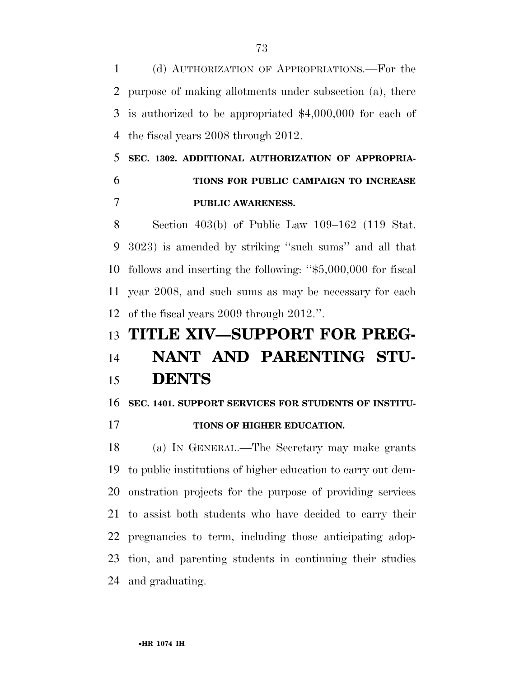(d) AUTHORIZATION OF APPROPRIATIONS.—For the purpose of making allotments under subsection (a), there is authorized to be appropriated \$4,000,000 for each of the fiscal years 2008 through 2012.

### **SEC. 1302. ADDITIONAL AUTHORIZATION OF APPROPRIA- TIONS FOR PUBLIC CAMPAIGN TO INCREASE PUBLIC AWARENESS.**

 Section 403(b) of Public Law 109–162 (119 Stat. 3023) is amended by striking ''such sums'' and all that follows and inserting the following: ''\$5,000,000 for fiscal year 2008, and such sums as may be necessary for each of the fiscal years 2009 through 2012.''.

### **TITLE XIV—SUPPORT FOR PREG-**

# **NANT AND PARENTING STU-DENTS**

#### **SEC. 1401. SUPPORT SERVICES FOR STUDENTS OF INSTITU-**

**TIONS OF HIGHER EDUCATION.** 

 (a) IN GENERAL.—The Secretary may make grants to public institutions of higher education to carry out dem- onstration projects for the purpose of providing services to assist both students who have decided to carry their pregnancies to term, including those anticipating adop- tion, and parenting students in continuing their studies and graduating.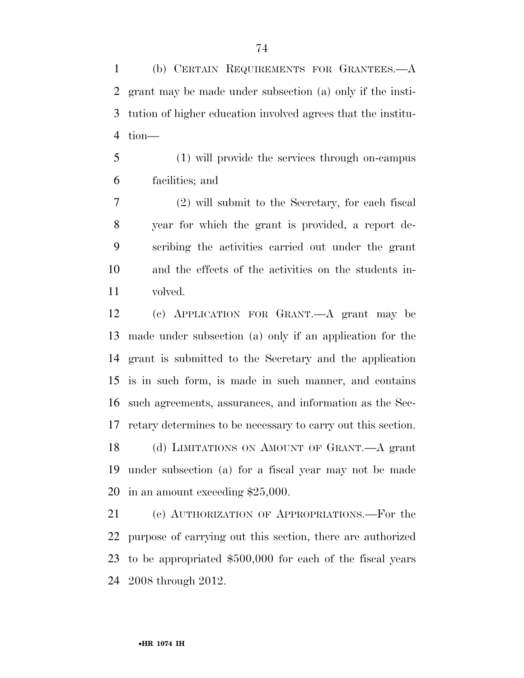(b) CERTAIN REQUIREMENTS FOR GRANTEES.—A grant may be made under subsection (a) only if the insti- tution of higher education involved agrees that the institu-tion—

 (1) will provide the services through on-campus facilities; and

 (2) will submit to the Secretary, for each fiscal year for which the grant is provided, a report de- scribing the activities carried out under the grant and the effects of the activities on the students in-volved.

 (c) APPLICATION FOR GRANT.—A grant may be made under subsection (a) only if an application for the grant is submitted to the Secretary and the application is in such form, is made in such manner, and contains such agreements, assurances, and information as the Sec- retary determines to be necessary to carry out this section. (d) LIMITATIONS ON AMOUNT OF GRANT.—A grant under subsection (a) for a fiscal year may not be made in an amount exceeding \$25,000.

 (e) AUTHORIZATION OF APPROPRIATIONS.—For the purpose of carrying out this section, there are authorized to be appropriated \$500,000 for each of the fiscal years 2008 through 2012.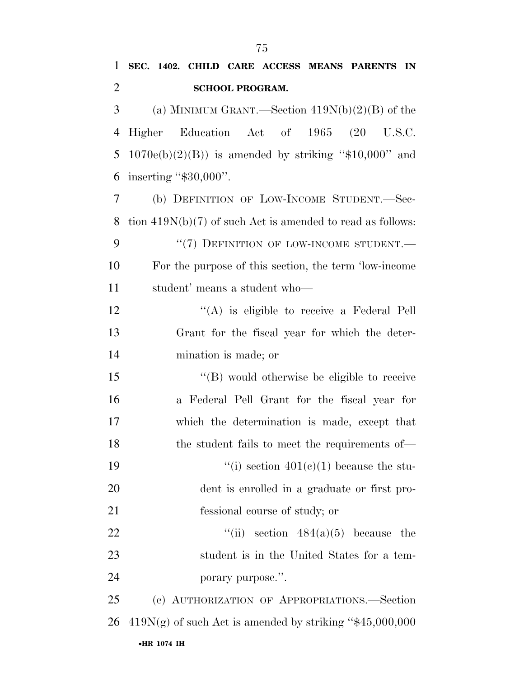**SEC. 1402. CHILD CARE ACCESS MEANS PARENTS IN** 

| $\overline{2}$ | <b>SCHOOL PROGRAM.</b>                                       |
|----------------|--------------------------------------------------------------|
| 3              | (a) MINIMUM GRANT.—Section $419N(b)(2)(B)$ of the            |
| $\overline{4}$ | Education Act of 1965<br><b>Higher</b>                       |
| 5              | $1070e(b)(2)(B)$ is amended by striking "\$10,000" and       |
| 6              | inserting " $$30,000$ ".                                     |
| 7              | (b) DEFINITION OF LOW-INCOME STUDENT.-Sec-                   |
| 8              | tion $419N(b)(7)$ of such Act is amended to read as follows: |
| 9              | "(7) DEFINITION OF LOW-INCOME STUDENT.-                      |
| 10             | For the purpose of this section, the term 'low-income        |
| 11             | student' means a student who-                                |
| 12             | $\lq\lq$ is eligible to receive a Federal Pell               |
| 13             | Grant for the fiscal year for which the deter-               |
| 14             | mination is made; or                                         |
| 15             | "(B) would otherwise be eligible to receive                  |
| 16             | a Federal Pell Grant for the fiscal year for                 |
| 17             | which the determination is made, except that                 |
| 18             | the student fails to meet the requirements of—               |
| 19             | "(i) section $401(c)(1)$ because the stu-                    |
| 20             | dent is enrolled in a graduate or first pro-                 |
| 21             | fessional course of study; or                                |
| 22             | ``(ii)<br>section $484(a)(5)$ because the                    |
| 23             | student is in the United States for a tem-                   |
| 24             | porary purpose.".                                            |
| 25             | (c) AUTHORIZATION OF APPROPRIATIONS.-Section                 |
| 26             | $419N(g)$ of such Act is amended by striking "\$45,000,000   |

#### •**HR 1074 IH**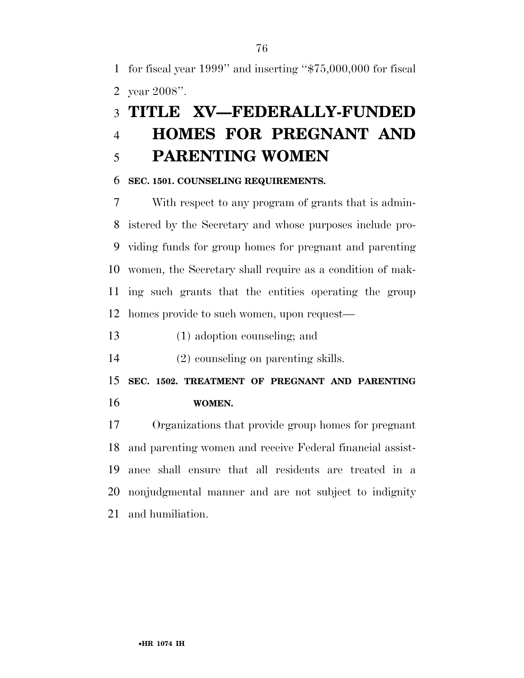for fiscal year 1999'' and inserting ''\$75,000,000 for fiscal year 2008''.

### **TITLE XV—FEDERALLY-FUNDED HOMES FOR PREGNANT AND PARENTING WOMEN**

#### **SEC. 1501. COUNSELING REQUIREMENTS.**

 With respect to any program of grants that is admin- istered by the Secretary and whose purposes include pro- viding funds for group homes for pregnant and parenting women, the Secretary shall require as a condition of mak- ing such grants that the entities operating the group homes provide to such women, upon request—

(1) adoption counseling; and

(2) counseling on parenting skills.

 **SEC. 1502. TREATMENT OF PREGNANT AND PARENTING WOMEN.** 

 Organizations that provide group homes for pregnant and parenting women and receive Federal financial assist- ance shall ensure that all residents are treated in a nonjudgmental manner and are not subject to indignity and humiliation.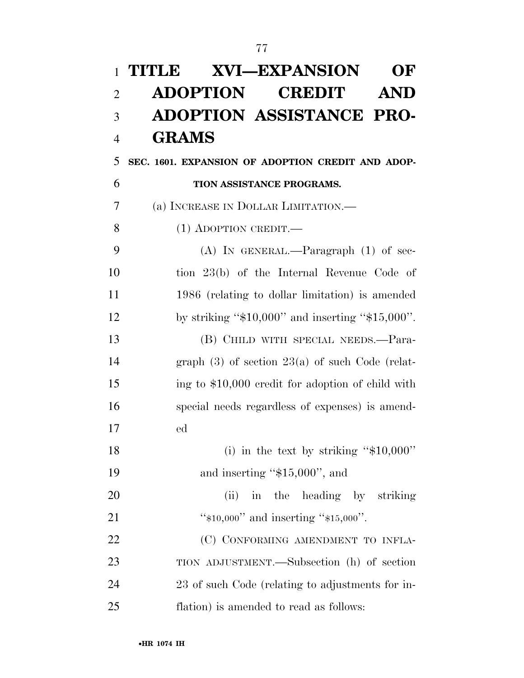# **TITLE XVI—EXPANSION OF ADOPTION CREDIT AND ADOPTION ASSISTANCE PRO-GRAMS**

**SEC. 1601. EXPANSION OF ADOPTION CREDIT AND ADOP-**

**TION ASSISTANCE PROGRAMS.** 

(a) INCREASE IN DOLLAR LIMITATION.—

8 (1) ADOPTION CREDIT.

 (A) IN GENERAL.—Paragraph (1) of sec- tion 23(b) of the Internal Revenue Code of 1986 (relating to dollar limitation) is amended by striking ''\$10,000'' and inserting ''\$15,000''. (B) CHILD WITH SPECIAL NEEDS.—Para- graph (3) of section 23(a) of such Code (relat- ing to \$10,000 credit for adoption of child with special needs regardless of expenses) is amend-ed

18 (i) in the text by striking "\$10,000" 19 and inserting "\$15,000", and

20 (ii) in the heading by striking 21 "\*\$10,000" and inserting "\$15,000".

22 (C) CONFORMING AMENDMENT TO INFLA- TION ADJUSTMENT.—Subsection (h) of section 23 of such Code (relating to adjustments for in-flation) is amended to read as follows: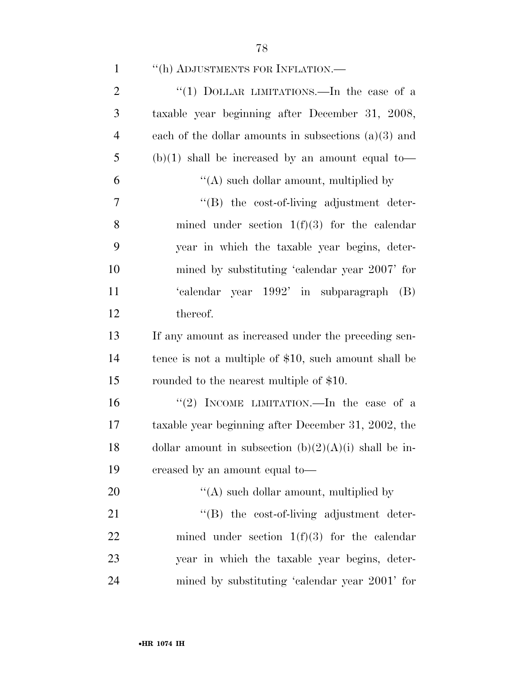| $\mathbf{1}$   | "(h) ADJUSTMENTS FOR INFLATION.-                        |
|----------------|---------------------------------------------------------|
| $\overline{2}$ | "(1) DOLLAR LIMITATIONS.—In the case of a               |
| 3              | taxable year beginning after December 31, 2008,         |
| $\overline{4}$ | each of the dollar amounts in subsections $(a)(3)$ and  |
| 5              | $(b)(1)$ shall be increased by an amount equal to-      |
| 6              | $\lq\lq$ such dollar amount, multiplied by              |
| 7              | $\lq\lq(B)$ the cost-of-living adjustment deter-        |
| 8              | mined under section $1(f)(3)$ for the calendar          |
| 9              | year in which the taxable year begins, deter-           |
| 10             | mined by substituting 'calendar year 2007' for          |
| 11             | 'calendar year 1992' in subparagraph (B)                |
| 12             | thereof.                                                |
| 13             | If any amount as increased under the preceding sen-     |
| 14             | tence is not a multiple of \$10, such amount shall be   |
| 15             | rounded to the nearest multiple of \$10.                |
| 16             | "(2) INCOME LIMITATION.—In the case of a                |
| 17             | taxable year beginning after December 31, 2002, the     |
| 18             | dollar amount in subsection $(b)(2)(A)(i)$ shall be in- |
| 19             | creased by an amount equal to—                          |
| 20             | "(A) such dollar amount, multiplied by                  |
| 21             | $\lq\lq(B)$ the cost-of-living adjustment deter-        |
| 22             | mined under section $1(f)(3)$ for the calendar          |
| 23             | year in which the taxable year begins, deter-           |
| 24             | mined by substituting 'calendar year 2001' for          |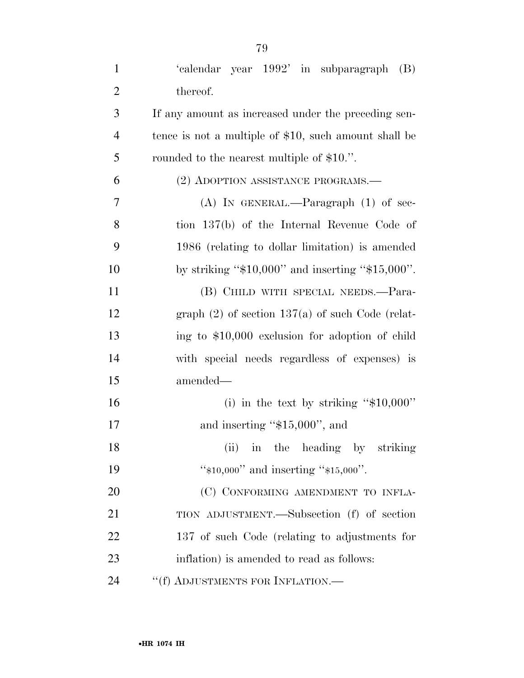| $\mathbf{1}$   | 'calendar year 1992' in subparagraph<br>(B)           |
|----------------|-------------------------------------------------------|
| $\overline{2}$ | thereof.                                              |
| 3              | If any amount as increased under the preceding sen-   |
| $\overline{4}$ | tence is not a multiple of \$10, such amount shall be |
| 5              | rounded to the nearest multiple of \$10.".            |
| 6              | (2) ADOPTION ASSISTANCE PROGRAMS.                     |
| 7              | (A) IN GENERAL.—Paragraph $(1)$ of sec-               |
| 8              | tion 137(b) of the Internal Revenue Code of           |
| 9              | 1986 (relating to dollar limitation) is amended       |
| 10             | by striking " $$10,000"$ and inserting " $$15,000"$ . |
| 11             | (B) CHILD WITH SPECIAL NEEDS.—Para-                   |
| 12             | graph $(2)$ of section 137(a) of such Code (relat-    |
| 13             | ing to \$10,000 exclusion for adoption of child       |
| 14             | with special needs regardless of expenses) is         |
| 15             | amended—                                              |
| 16             | (i) in the text by striking " $$10,000"$ "            |
| 17             | and inserting " $$15,000"$ , and                      |
| 18             | (ii) in the heading by striking                       |
| 19             | " $*10,000$ " and inserting " $*15,000$ ".            |
| 20             | (C) CONFORMING AMENDMENT TO INFLA-                    |
| 21             | TION ADJUSTMENT.—Subsection (f) of section            |
| 22             | 137 of such Code (relating to adjustments for         |
| 23             | inflation) is amended to read as follows:             |
| 24             | "(f) ADJUSTMENTS FOR INFLATION.—                      |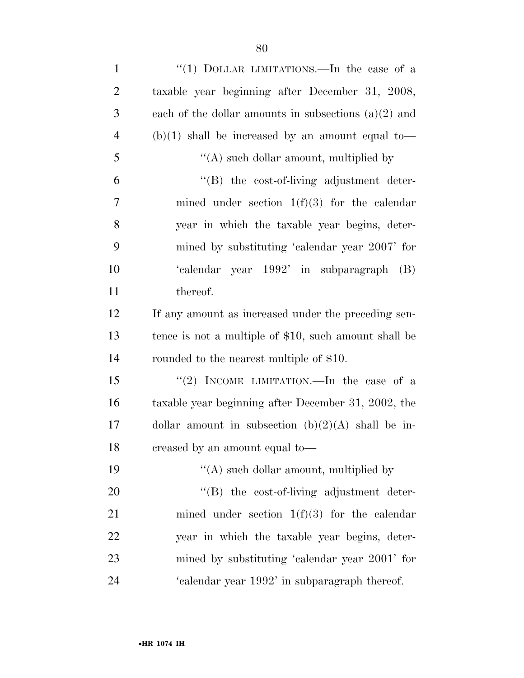| $\mathbf{1}$   | "(1) DOLLAR LIMITATIONS.—In the case of a              |
|----------------|--------------------------------------------------------|
| $\overline{2}$ | taxable year beginning after December 31, 2008,        |
| 3              | each of the dollar amounts in subsections $(a)(2)$ and |
| $\overline{4}$ | $(b)(1)$ shall be increased by an amount equal to-     |
| 5              | $\lq\lq$ such dollar amount, multiplied by             |
| 6              | $\lq\lq(B)$ the cost-of-living adjustment deter-       |
| 7              | mined under section $1(f)(3)$ for the calendar         |
| 8              | year in which the taxable year begins, deter-          |
| 9              | mined by substituting 'calendar year 2007' for         |
| 10             | 'calendar year 1992' in subparagraph (B)               |
| 11             | thereof.                                               |
| 12             | If any amount as increased under the preceding sen-    |
| 13             | tence is not a multiple of \$10, such amount shall be  |
| 14             | rounded to the nearest multiple of \$10.               |
| 15             | "(2) INCOME LIMITATION.—In the case of a               |
| 16             | taxable year beginning after December 31, 2002, the    |
| 17             | dollar amount in subsection $(b)(2)(A)$ shall be in-   |
| 18             | creased by an amount equal to-                         |
| 19             | "(A) such dollar amount, multiplied by                 |
| 20             | $\lq\lq(B)$ the cost-of-living adjustment deter-       |
| 21             | mined under section $1(f)(3)$ for the calendar         |
| 22             | year in which the taxable year begins, deter-          |
| 23             | mined by substituting 'calendar year 2001' for         |
| 24             | 'calendar year 1992' in subparagraph thereof.          |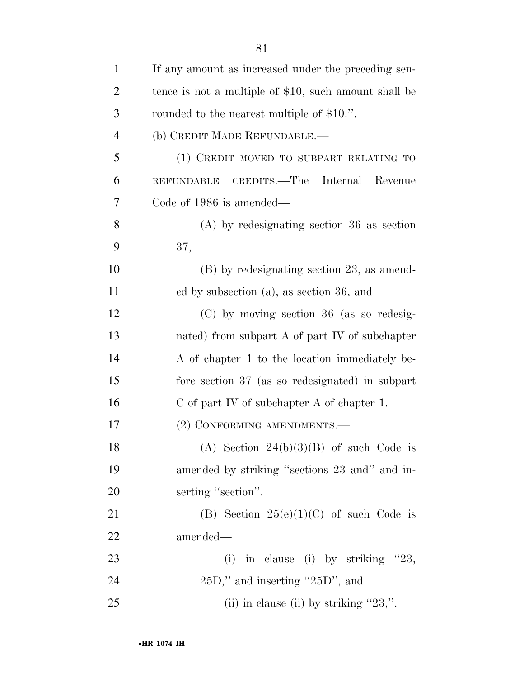| $\mathbf{1}$   | If any amount as increased under the preceding sen-   |
|----------------|-------------------------------------------------------|
| $\overline{2}$ | tence is not a multiple of \$10, such amount shall be |
| 3              | rounded to the nearest multiple of \$10.".            |
| $\overline{4}$ | (b) CREDIT MADE REFUNDABLE.-                          |
| 5              | (1) CREDIT MOVED TO SUBPART RELATING TO               |
| 6              | REFUNDABLE CREDITS.—The Internal<br>Revenue           |
| 7              | Code of 1986 is amended—                              |
| 8              | $(A)$ by redesignating section 36 as section          |
| 9              | 37,                                                   |
| 10             | $(B)$ by redesignating section 23, as amend-          |
| 11             | ed by subsection (a), as section 36, and              |
| 12             | $(C)$ by moving section 36 (as so redesig-            |
| 13             | nated) from subpart $A$ of part IV of subchapter      |
| 14             | A of chapter 1 to the location immediately be-        |
| 15             | fore section 37 (as so redesignated) in subpart       |
| 16             | $C$ of part IV of subchapter A of chapter 1.          |
| 17             | (2) CONFORMING AMENDMENTS.—                           |
| 18             | (A) Section $24(b)(3)(B)$ of such Code is             |
| 19             | amended by striking "sections 23 and" and in-         |
| 20             | serting "section".                                    |
| 21             | (B) Section $25(e)(1)(C)$ of such Code is             |
| 22             | amended—                                              |
| 23             | (i) in clause (i) by striking $"23$ ,                 |
| 24             | $25D$ ," and inserting " $25D$ ", and                 |
| 25             | (ii) in clause (ii) by striking " $23$ ,".            |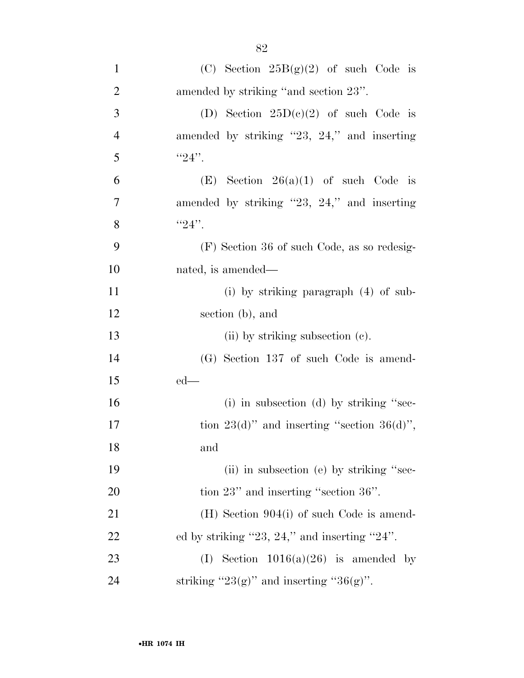| $\mathbf{1}$   | (C) Section $25B(g)(2)$ of such Code is          |
|----------------|--------------------------------------------------|
| $\overline{2}$ | amended by striking "and section 23".            |
| $\mathfrak{Z}$ | (D) Section $25D(e)(2)$ of such Code is          |
| $\overline{4}$ | amended by striking "23, 24," and inserting      |
| 5              | $"24"$ .                                         |
| 6              | (E) Section $26(a)(1)$ of such Code is           |
| $\overline{7}$ | amended by striking "23, 24," and inserting      |
| 8              | $"24"$ .                                         |
| 9              | (F) Section 36 of such Code, as so redesig-      |
| 10             | nated, is amended—                               |
| 11             | (i) by striking paragraph $(4)$ of sub-          |
| 12             | section (b), and                                 |
| 13             | (ii) by striking subsection (c).                 |
| 14             | (G) Section 137 of such Code is amend-           |
| 15             | $ed$ —                                           |
| 16             | (i) in subsection (d) by striking "sec-          |
| 17             | tion $23(d)$ " and inserting "section $36(d)$ ", |
| 18             | and                                              |
| 19             | (ii) in subsection (e) by striking "sec-         |
| 20             | tion $23$ " and inserting "section $36$ ".       |
| 21             | $(H)$ Section 904(i) of such Code is amend-      |
| 22             | ed by striking "23, 24," and inserting "24".     |
| 23             | (I) Section $1016(a)(26)$ is amended by          |
| 24             | striking " $23(g)$ " and inserting " $36(g)$ ".  |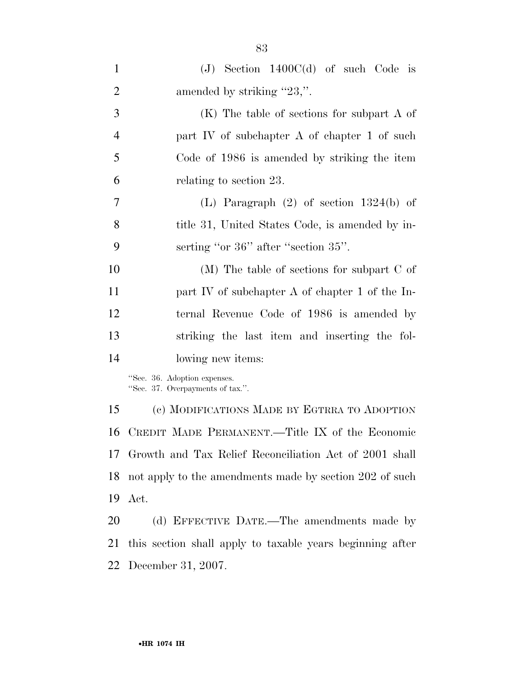| $\mathbf{1}$   | $(J)$ Section 1400 $C(d)$ of such Code is                        |
|----------------|------------------------------------------------------------------|
| $\overline{2}$ | amended by striking "23,".                                       |
| 3              | $(K)$ The table of sections for subpart A of                     |
| $\overline{4}$ | part IV of subchapter A of chapter 1 of such                     |
| 5              | Code of 1986 is amended by striking the item                     |
| 6              | relating to section 23.                                          |
| 7              | (L) Paragraph $(2)$ of section 1324(b) of                        |
| 8              | title 31, United States Code, is amended by in-                  |
| 9              | serting "or 36" after "section 35".                              |
| 10             | $(M)$ The table of sections for subpart C of                     |
| 11             | part IV of subchapter A of chapter 1 of the In-                  |
| 12             | ternal Revenue Code of 1986 is amended by                        |
| 13             | striking the last item and inserting the fol-                    |
| 14             | lowing new items:                                                |
|                | "Sec. 36. Adoption expenses.<br>"Sec. 37. Overpayments of tax.". |
| 15             | (c) MODIFICATIONS MADE BY EGTRRA TO ADOPTION                     |
| 16             | CREDIT MADE PERMANENT.—Title IX of the Economic                  |
| 17             | Growth and Tax Relief Reconciliation Act of 2001 shall           |
| 18             | not apply to the amendments made by section 202 of such          |
| 19             | Act.                                                             |
| 20             | (d) EFFECTIVE DATE.—The amendments made by                       |
| 21             | this section shall apply to taxable years beginning after        |

December 31, 2007.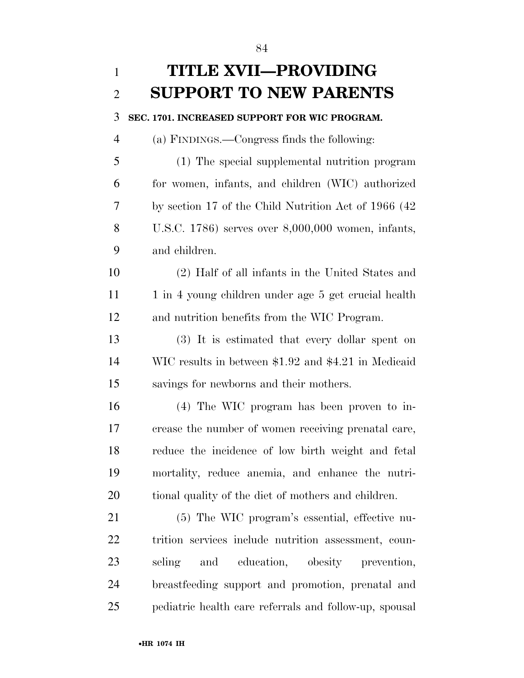**TITLE XVII—PROVIDING SUPPORT TO NEW PARENTS SEC. 1701. INCREASED SUPPORT FOR WIC PROGRAM.**  (a) FINDINGS.—Congress finds the following: (1) The special supplemental nutrition program for women, infants, and children (WIC) authorized by section 17 of the Child Nutrition Act of 1966 (42 U.S.C. 1786) serves over 8,000,000 women, infants, and children. (2) Half of all infants in the United States and 11 1 1 in 4 young children under age 5 get crucial health and nutrition benefits from the WIC Program. (3) It is estimated that every dollar spent on WIC results in between \$1.92 and \$4.21 in Medicaid savings for newborns and their mothers. (4) The WIC program has been proven to in- crease the number of women receiving prenatal care, reduce the incidence of low birth weight and fetal mortality, reduce anemia, and enhance the nutri- tional quality of the diet of mothers and children. (5) The WIC program's essential, effective nu- trition services include nutrition assessment, coun- seling and education, obesity prevention, breastfeeding support and promotion, prenatal and pediatric health care referrals and follow-up, spousal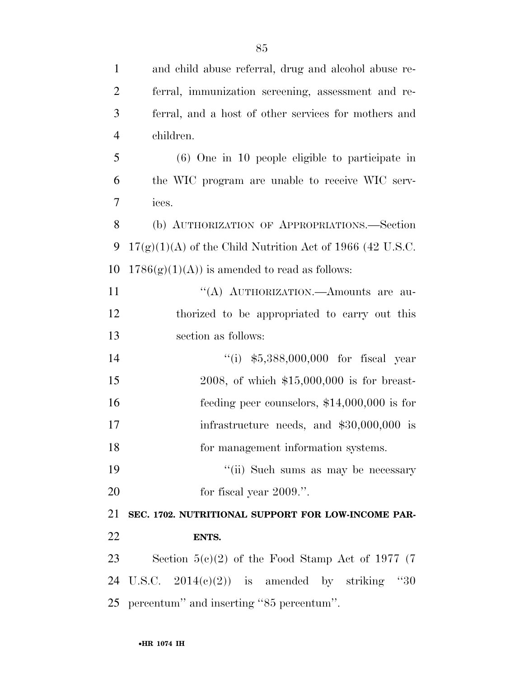| $\mathbf{1}$   | and child abuse referral, drug and alcohol abuse re-        |
|----------------|-------------------------------------------------------------|
| $\overline{2}$ | ferral, immunization screening, assessment and re-          |
| 3              | ferral, and a host of other services for mothers and        |
| $\overline{4}$ | children.                                                   |
| 5              | $(6)$ One in 10 people eligible to participate in           |
| 6              | the WIC program are unable to receive WIC serv-             |
| 7              | ices.                                                       |
| 8              | (b) AUTHORIZATION OF APPROPRIATIONS.-Section                |
| 9              | $17(g)(1)(A)$ of the Child Nutrition Act of 1966 (42 U.S.C. |
| 10             | $1786(g)(1)(A)$ is amended to read as follows:              |
| 11             | "(A) AUTHORIZATION.—Amounts are au-                         |
| 12             | thorized to be appropriated to carry out this               |
| 13             | section as follows:                                         |
| 14             | "(i) $$5,388,000,000$ for fiscal year                       |
| 15             | 2008, of which $$15,000,000$ is for breast-                 |
| 16             | feeding peer counselors, $$14,000,000$ is for               |
| 17             | infrastructure needs, and $$30,000,000$ is                  |
| 18             | for management information systems.                         |
| 19             | "(ii) Such sums as may be necessary                         |
| 20             | for fiscal year 2009.".                                     |
| 21             | SEC. 1702. NUTRITIONAL SUPPORT FOR LOW-INCOME PAR-          |
| 22             | ENTS.                                                       |
| 23             | Section $5(c)(2)$ of the Food Stamp Act of 1977 (7)         |
| 24             | U.S.C. $2014(c)(2)$ is amended by striking<br>"30"          |
| 25             | percentum" and inserting "85 percentum".                    |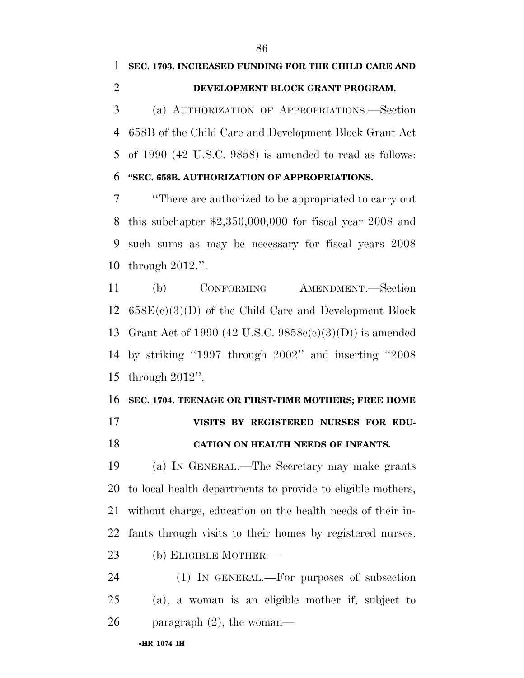of 1990 (42 U.S.C. 9858) is amended to read as follows: **''SEC. 658B. AUTHORIZATION OF APPROPRIATIONS.** 

 ''There are authorized to be appropriated to carry out this subchapter \$2,350,000,000 for fiscal year 2008 and such sums as may be necessary for fiscal years 2008 through 2012.''.

 (b) CONFORMING AMENDMENT.—Section  $658E(c)(3)(D)$  of the Child Care and Development Block Grant Act of 1990 (42 U.S.C. 9858c(c)(3)(D)) is amended by striking ''1997 through 2002'' and inserting ''2008 through 2012''.

#### **SEC. 1704. TEENAGE OR FIRST-TIME MOTHERS; FREE HOME**

- **VISITS BY REGISTERED NURSES FOR EDU-**
- **CATION ON HEALTH NEEDS OF INFANTS.**

 (a) IN GENERAL.—The Secretary may make grants to local health departments to provide to eligible mothers, without charge, education on the health needs of their in-fants through visits to their homes by registered nurses.

(b) ELIGIBLE MOTHER.—

 (1) IN GENERAL.—For purposes of subsection (a), a woman is an eligible mother if, subject to paragraph (2), the woman—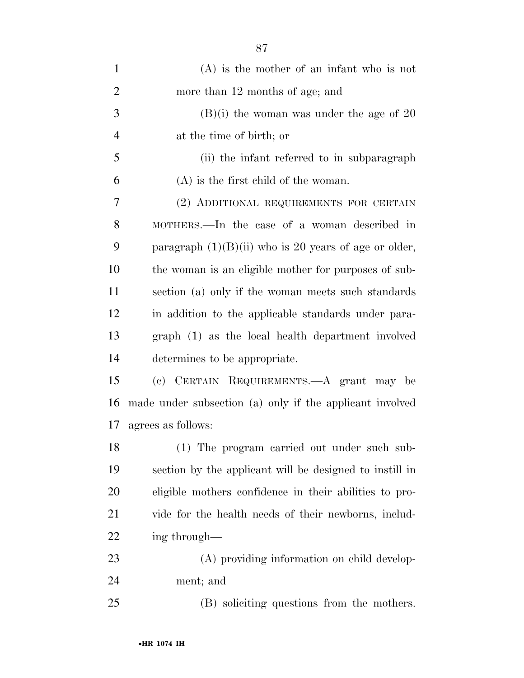| $\mathbf{1}$   | $(A)$ is the mother of an infant who is not              |
|----------------|----------------------------------------------------------|
| $\overline{2}$ | more than 12 months of age; and                          |
| 3              | $(B)(i)$ the woman was under the age of 20               |
| $\overline{4}$ | at the time of birth; or                                 |
| 5              | (ii) the infant referred to in subparagraph              |
| 6              | $(A)$ is the first child of the woman.                   |
| 7              | (2) ADDITIONAL REQUIREMENTS FOR CERTAIN                  |
| 8              | MOTHERS.—In the case of a woman described in             |
| 9              | paragraph $(1)(B)(ii)$ who is 20 years of age or older,  |
| 10             | the woman is an eligible mother for purposes of sub-     |
| 11             | section (a) only if the woman meets such standards       |
| 12             | in addition to the applicable standards under para-      |
| 13             | graph (1) as the local health department involved        |
| 14             | determines to be appropriate.                            |
| 15             | (c) CERTAIN REQUIREMENTS.—A grant may be                 |
| 16             | made under subsection (a) only if the applicant involved |
| 17             | agrees as follows:                                       |
| 18             | (1) The program carried out under such sub-              |
| 19             | section by the applicant will be designed to instill in  |
| 20             | eligible mothers confidence in their abilities to pro-   |
| 21             | vide for the health needs of their newborns, includ-     |
| 22             | ing through—                                             |
| 23             | (A) providing information on child develop-              |
| 24             | ment; and                                                |
| 25             | (B) soliciting questions from the mothers.               |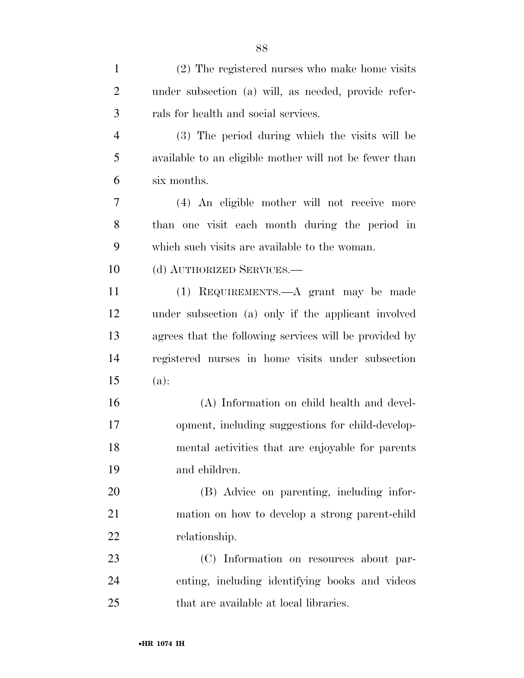| $\mathbf{1}$   | (2) The registered nurses who make home visits         |
|----------------|--------------------------------------------------------|
| $\overline{2}$ | under subsection (a) will, as needed, provide refer-   |
| 3              | rals for health and social services.                   |
| $\overline{4}$ | (3) The period during which the visits will be         |
| 5              | available to an eligible mother will not be fewer than |
| 6              | six months.                                            |
| 7              | (4) An eligible mother will not receive more           |
| 8              | than one visit each month during the period in         |
| 9              | which such visits are available to the woman.          |
| 10             | (d) AUTHORIZED SERVICES.—                              |
| 11             | (1) REQUIREMENTS.—A grant may be made                  |
| 12             | under subsection (a) only if the applicant involved    |
| 13             | agrees that the following services will be provided by |
| 14             | registered nurses in home visits under subsection      |
| 15             | (a):                                                   |
| 16             | (A) Information on child health and devel-             |
| 17             | opment, including suggestions for child-develop-       |
| 18             | mental activities that are enjoyable for parents       |
| 19             | and children.                                          |
| 20             | (B) Advice on parenting, including infor-              |
| 21             | mation on how to develop a strong parent-child         |
| 22             | relationship.                                          |
| 23             | (C) Information on resources about par-                |
| 24             | enting, including identifying books and videos         |
| 25             | that are available at local libraries.                 |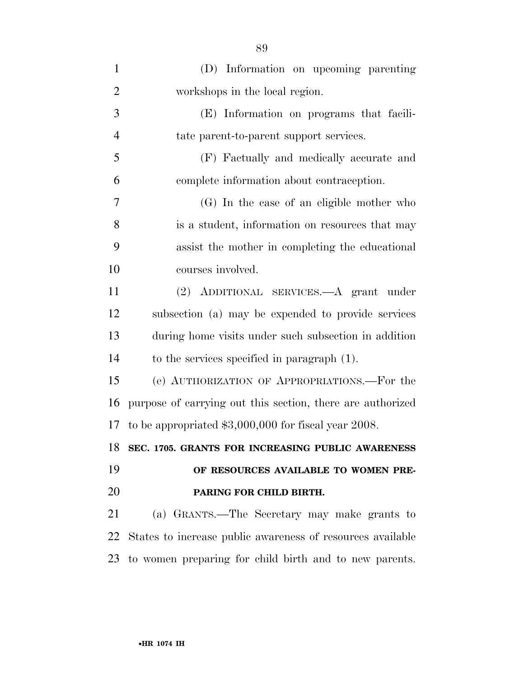| $\mathbf{1}$   | (D) Information on upcoming parenting                      |
|----------------|------------------------------------------------------------|
| $\overline{2}$ | workshops in the local region.                             |
| 3              | (E) Information on programs that facili-                   |
| $\overline{4}$ | tate parent-to-parent support services.                    |
| 5              | (F) Factually and medically accurate and                   |
| 6              | complete information about contraception.                  |
| $\overline{7}$ | (G) In the case of an eligible mother who                  |
| 8              | is a student, information on resources that may            |
| 9              | assist the mother in completing the educational            |
| 10             | courses involved.                                          |
| 11             | (2) ADDITIONAL SERVICES.—A grant under                     |
| 12             | subsection (a) may be expended to provide services         |
| 13             | during home visits under such subsection in addition       |
| 14             | to the services specified in paragraph $(1)$ .             |
| 15             | (e) AUTHORIZATION OF APPROPRIATIONS.—For the               |
| 16             | purpose of carrying out this section, there are authorized |
| 17             | to be appropriated $$3,000,000$ for fiscal year 2008.      |
|                | 18 SEC. 1705. GRANTS FOR INCREASING PUBLIC AWARENESS       |
| 19             | OF RESOURCES AVAILABLE TO WOMEN PRE-                       |
| 20             | PARING FOR CHILD BIRTH.                                    |
| 21             | (a) GRANTS.—The Secretary may make grants to               |
| 22             | States to increase public awareness of resources available |
| 23             | to women preparing for child birth and to new parents.     |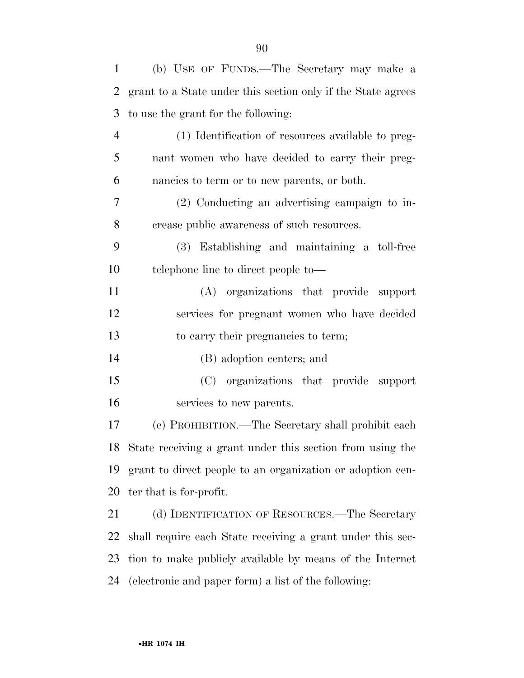| $\mathbf{1}$   | (b) USE OF FUNDS.—The Secretary may make a                   |
|----------------|--------------------------------------------------------------|
| $\overline{2}$ | grant to a State under this section only if the State agrees |
| 3              | to use the grant for the following:                          |
| $\overline{4}$ | (1) Identification of resources available to preg-           |
| 5              | nant women who have decided to carry their preg-             |
| 6              | nancies to term or to new parents, or both.                  |
| 7              | $(2)$ Conducting an advertising campaign to in-              |
| 8              | crease public awareness of such resources.                   |
| 9              | (3) Establishing and maintaining a toll-free                 |
| 10             | telephone line to direct people to—                          |
| 11             | (A) organizations that provide support                       |
| 12             | services for pregnant women who have decided                 |
| 13             | to carry their pregnancies to term;                          |
| 14             | (B) adoption centers; and                                    |
| 15             | (C) organizations that provide support                       |
| 16             | services to new parents.                                     |
| 17             | (c) PROHIBITION.—The Secretary shall prohibit each           |
|                | 18 State receiving a grant under this section from using the |
| 19             | grant to direct people to an organization or adoption cen-   |
| 20             | ter that is for-profit.                                      |
| 21             | (d) IDENTIFICATION OF RESOURCES.—The Secretary               |
| 22             | shall require each State receiving a grant under this sec-   |
| 23             | tion to make publicly available by means of the Internet     |
| 24             | (electronic and paper form) a list of the following:         |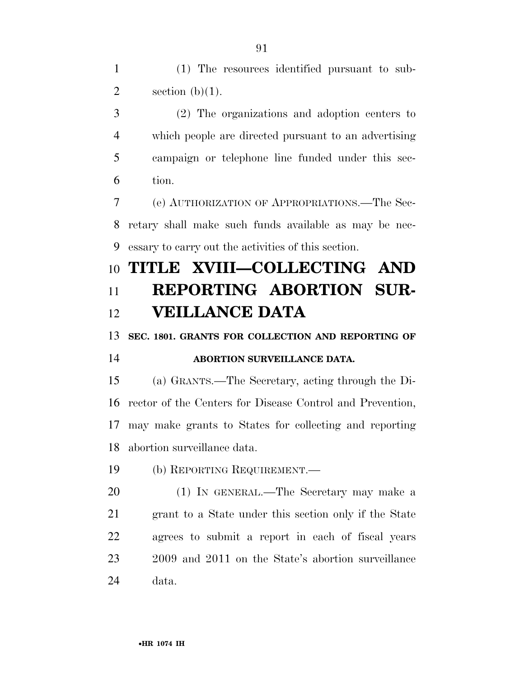(1) The resources identified pursuant to sub-2 section  $(b)(1)$ .

 (2) The organizations and adoption centers to which people are directed pursuant to an advertising campaign or telephone line funded under this sec-tion.

 (e) AUTHORIZATION OF APPROPRIATIONS.—The Sec- retary shall make such funds available as may be nec-essary to carry out the activities of this section.

## **TITLE XVIII—COLLECTING AND REPORTING ABORTION SUR-VEILLANCE DATA**

**SEC. 1801. GRANTS FOR COLLECTION AND REPORTING OF** 

#### **ABORTION SURVEILLANCE DATA.**

 (a) GRANTS.—The Secretary, acting through the Di- rector of the Centers for Disease Control and Prevention, may make grants to States for collecting and reporting abortion surveillance data.

(b) REPORTING REQUIREMENT.—

 (1) IN GENERAL.—The Secretary may make a grant to a State under this section only if the State agrees to submit a report in each of fiscal years 2009 and 2011 on the State's abortion surveillance data.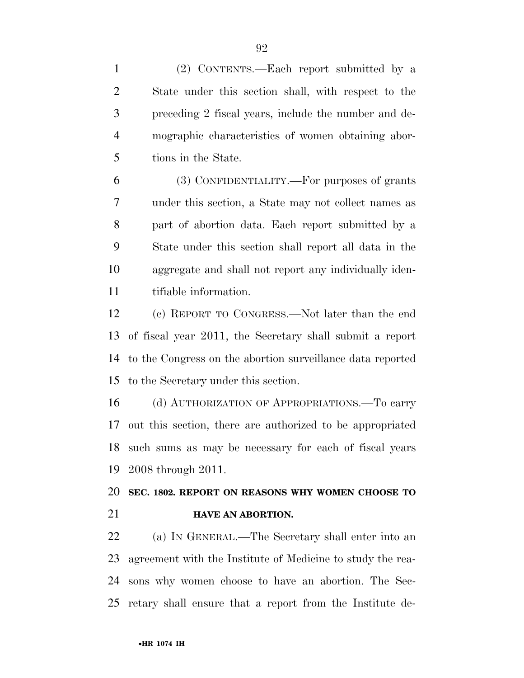(2) CONTENTS.—Each report submitted by a State under this section shall, with respect to the preceding 2 fiscal years, include the number and de- mographic characteristics of women obtaining abor-tions in the State.

 (3) CONFIDENTIALITY.—For purposes of grants under this section, a State may not collect names as part of abortion data. Each report submitted by a State under this section shall report all data in the aggregate and shall not report any individually iden-tifiable information.

 (c) REPORT TO CONGRESS.—Not later than the end of fiscal year 2011, the Secretary shall submit a report to the Congress on the abortion surveillance data reported to the Secretary under this section.

 (d) AUTHORIZATION OF APPROPRIATIONS.—To carry out this section, there are authorized to be appropriated such sums as may be necessary for each of fiscal years 2008 through 2011.

 **SEC. 1802. REPORT ON REASONS WHY WOMEN CHOOSE TO HAVE AN ABORTION.** 

 (a) IN GENERAL.—The Secretary shall enter into an agreement with the Institute of Medicine to study the rea- sons why women choose to have an abortion. The Sec-retary shall ensure that a report from the Institute de